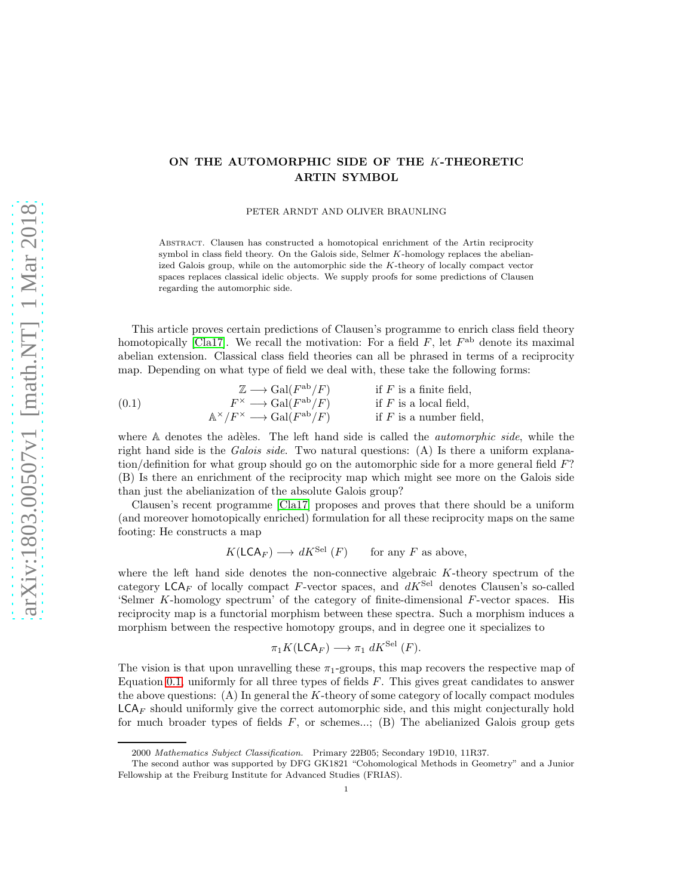# ON THE AUTOMORPHIC SIDE OF THE K-THEORETIC ARTIN SYMBOL

PETER ARNDT AND OLIVER BRAUNLING

Abstract. Clausen has constructed a homotopical enrichment of the Artin reciprocity symbol in class field theory. On the Galois side, Selmer K-homology replaces the abelianized Galois group, while on the automorphic side the K-theory of locally compact vector spaces replaces classical idelic objects. We supply proofs for some predictions of Clausen regarding the automorphic side.

This article proves certain predictions of Clausen's programme to enrich class field theory homotopically [\[Cla17\]](#page-39-0). We recall the motivation: For a field  $F$ , let  $F^{ab}$  denote its maximal abelian extension. Classical class field theories can all be phrased in terms of a reciprocity map. Depending on what type of field we deal with, these take the following forms:

<span id="page-0-0"></span>(0.1) 
$$
\mathbb{Z} \longrightarrow \text{Gal}(F^{\text{ab}}/F) \qquad \text{if } F \text{ is a finite field,}
$$

$$
F^{\times} \longrightarrow \text{Gal}(F^{\text{ab}}/F) \qquad \text{if } F \text{ is a local field,}
$$

$$
\mathbb{A}^{\times}/F^{\times} \longrightarrow \text{Gal}(F^{\text{ab}}/F) \qquad \text{if } F \text{ is a number field,}
$$

where  $A$  denotes the adèles. The left hand side is called the *automorphic side*, while the right hand side is the *Galois side*. Two natural questions: (A) Is there a uniform explanation/definition for what group should go on the automorphic side for a more general field F? (B) Is there an enrichment of the reciprocity map which might see more on the Galois side than just the abelianization of the absolute Galois group?

Clausen's recent programme [\[Cla17\]](#page-39-0) proposes and proves that there should be a uniform (and moreover homotopically enriched) formulation for all these reciprocity maps on the same footing: He constructs a map

$$
K(\mathsf{LCA}_F) \longrightarrow dK^{\mathrm{Sel}}(F) \qquad \text{for any } F \text{ as above},
$$

where the left hand side denotes the non-connective algebraic  $K$ -theory spectrum of the category  $\mathsf{LCA}_F$  of locally compact F-vector spaces, and  $dK^{\mathsf{Sel}}$  denotes Clausen's so-called 'Selmer K-homology spectrum' of the category of finite-dimensional F-vector spaces. His reciprocity map is a functorial morphism between these spectra. Such a morphism induces a morphism between the respective homotopy groups, and in degree one it specializes to

$$
\pi_1 K(\mathsf{LCA}_F) \longrightarrow \pi_1 dK^{\mathrm{Sel}}(F).
$$

The vision is that upon unravelling these  $\pi_1$ -groups, this map recovers the respective map of Equation [0.1,](#page-0-0) uniformly for all three types of fields  $F$ . This gives great candidates to answer the above questions:  $(A)$  In general the K-theory of some category of locally compact modules  $LCA_F$  should uniformly give the correct automorphic side, and this might conjecturally hold for much broader types of fields  $F$ , or schemes...; (B) The abelianized Galois group gets

<sup>2000</sup> Mathematics Subject Classification. Primary 22B05; Secondary 19D10, 11R37.

The second author was supported by DFG GK1821 "Cohomological Methods in Geometry" and a Junior Fellowship at the Freiburg Institute for Advanced Studies (FRIAS).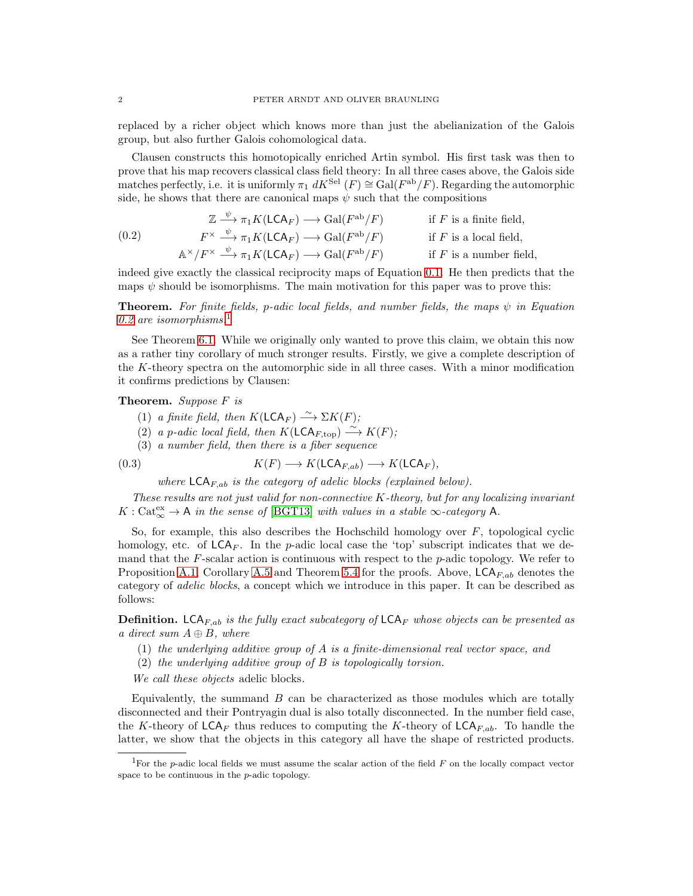replaced by a richer object which knows more than just the abelianization of the Galois group, but also further Galois cohomological data.

Clausen constructs this homotopically enriched Artin symbol. His first task was then to prove that his map recovers classical class field theory: In all three cases above, the Galois side matches perfectly, i.e. it is uniformly  $\pi_1 dK^{\text{Sel}}(F) \cong \text{Gal}(F^{\text{ab}}/F)$ . Regarding the automorphic side, he shows that there are canonical maps  $\psi$  such that the compositions

<span id="page-1-0"></span>(0.2) 
$$
\mathbb{Z} \xrightarrow{\psi} \pi_1 K(\mathsf{LCA}_F) \longrightarrow \mathrm{Gal}(F^{\mathrm{ab}}/F) \quad \text{if } F \text{ is a finite field,}
$$

$$
F^{\times} \xrightarrow{\psi} \pi_1 K(\mathsf{LCA}_F) \longrightarrow \mathrm{Gal}(F^{\mathrm{ab}}/F) \quad \text{if } F \text{ is a local field,}
$$

$$
\mathbb{A}^{\times}/F^{\times} \xrightarrow{\psi} \pi_1 K(\mathsf{LCA}_F) \longrightarrow \mathrm{Gal}(F^{\mathrm{ab}}/F) \quad \text{if } F \text{ is a number field,}
$$

indeed give exactly the classical reciprocity maps of Equation [0.1.](#page-0-0) He then predicts that the maps  $\psi$  should be isomorphisms. The main motivation for this paper was to prove this:

**Theorem.** For finite fields, p-adic local fields, and number fields, the maps  $\psi$  in Equation [0.2](#page-1-0) are isomorphisms.<sup>[1](#page-1-1)</sup>

See Theorem [6.1.](#page-35-0) While we originally only wanted to prove this claim, we obtain this now as a rather tiny corollary of much stronger results. Firstly, we give a complete description of the K-theory spectra on the automorphic side in all three cases. With a minor modification it confirms predictions by Clausen:

## Theorem. Suppose F is

- (1) a finite field, then  $K(\mathsf{LCA}_F) \xrightarrow{\sim} \Sigma K(F);$
- (2) a p-adic local field, then  $K(\mathsf{LCA}_{F,\text{top}}) \stackrel{\sim}{\longrightarrow} K(F);$
- (3) a number field, then there is a fiber sequence

(0.3) 
$$
K(F) \longrightarrow K(\mathsf{LCA}_{F,ab}) \longrightarrow K(\mathsf{LCA}_F),
$$

<span id="page-1-2"></span>where  $\mathsf{LCA}_{F,ab}$  is the category of adelic blocks (explained below).

These results are not just valid for non-connective K-theory, but for any localizing invariant  $K: \text{Cat}_{\infty}^{\text{ex}} \to \mathsf{A}$  in the sense of [\[BGT13\]](#page-39-1) with values in a stable  $\infty$ -category  $\mathsf{A}$ .

So, for example, this also describes the Hochschild homology over  $F$ , topological cyclic homology, etc. of  $\mathsf{LCA}_F$ . In the p-adic local case the 'top' subscript indicates that we demand that the  $F$ -scalar action is continuous with respect to the  $p$ -adic topology. We refer to Proposition [A.1,](#page-36-0) Corollary [A.5](#page-38-0) and Theorem [5.4](#page-33-0) for the proofs. Above,  $\mathsf{LCA}_{F,ab}$  denotes the category of adelic blocks, a concept which we introduce in this paper. It can be described as follows:

**Definition.** LCA<sub>F,ab</sub> is the fully exact subcategory of LCA<sub>F</sub> whose objects can be presented as a direct sum  $A \oplus B$ , where

- (1) the underlying additive group of  $A$  is a finite-dimensional real vector space, and
- (2) the underlying additive group of B is topologically torsion.

We call these objects adelic blocks.

Equivalently, the summand  $B$  can be characterized as those modules which are totally disconnected and their Pontryagin dual is also totally disconnected. In the number field case, the K-theory of  $\mathsf{LCA}_F$  thus reduces to computing the K-theory of  $\mathsf{LCA}_{F,ab}$ . To handle the latter, we show that the objects in this category all have the shape of restricted products.

<span id="page-1-1"></span><sup>&</sup>lt;sup>1</sup>For the p-adic local fields we must assume the scalar action of the field  $F$  on the locally compact vector space to be continuous in the p-adic topology.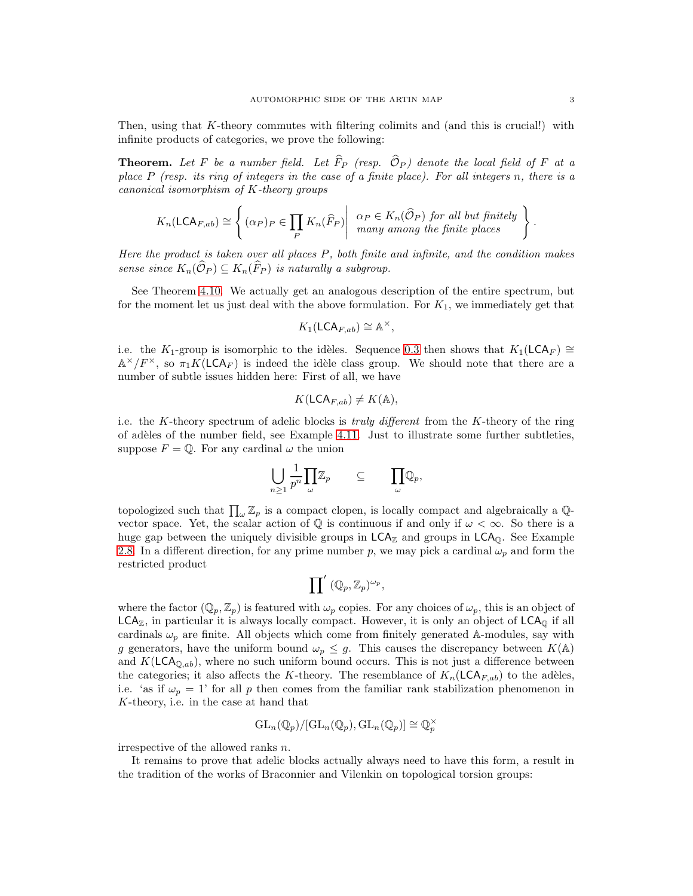Then, using that  $K$ -theory commutes with filtering colimits and (and this is crucial!) with infinite products of categories, we prove the following:

**Theorem.** Let F be a number field. Let  $\widehat{F}_P$  (resp.  $\widehat{O}_P$ ) denote the local field of F at a place  $P$  (resp. its ring of integers in the case of a finite place). For all integers n, there is a canonical isomorphism of K-theory groups

$$
K_n(\mathsf{LCA}_{F,ab}) \cong \left\{ (\alpha_P)_P \in \prod_P K_n(\widehat{F}_P) \middle| \begin{array}{c} \alpha_P \in K_n(\widehat{\mathcal{O}}_P) \text{ for all but finitely} \\ many among the finite places \end{array} \right\}
$$

Here the product is taken over all places P, both finite and infinite, and the condition makes sense since  $K_n(\widehat{\mathcal{O}}_P) \subseteq K_n(\widehat{F}_P)$  is naturally a subgroup.

See Theorem [4.10.](#page-29-0) We actually get an analogous description of the entire spectrum, but for the moment let us just deal with the above formulation. For  $K_1$ , we immediately get that

$$
K_1(\mathsf{LCA}_{F,ab}) \cong \mathbb{A}^{\times},
$$

i.e. the K<sub>1</sub>-group is isomorphic to the idèles. Sequence [0.3](#page-1-2) then shows that K<sub>1</sub>(LCA<sub>F</sub>) ≅  $\mathbb{A}^{\times}/F^{\times}$ , so  $\pi_1 K(\mathsf{LCA}_F)$  is indeed the idèle class group. We should note that there are a number of subtle issues hidden here: First of all, we have

$$
K(\mathsf{LCA}_{F,ab}) \neq K(\mathbb{A}),
$$

i.e. the K-theory spectrum of adelic blocks is *truly different* from the K-theory of the ring of adèles of the number field, see Example [4.11.](#page-30-0) Just to illustrate some further subtleties, suppose  $F = \mathbb{Q}$ . For any cardinal  $\omega$  the union

$$
\bigcup_{n\geq 1}\frac{1}{p^n}\prod_{\omega}\mathbb{Z}_p\qquad\subseteq\qquad \prod_{\omega}\mathbb{Q}_p,
$$

topologized such that  $\prod_{\omega} \mathbb{Z}_p$  is a compact clopen, is locally compact and algebraically a  $\mathbb{Q}$ vector space. Yet, the scalar action of  $\mathbb Q$  is continuous if and only if  $\omega < \infty$ . So there is a huge gap between the uniquely divisible groups in  $LCA<sub>z</sub>$  and groups in  $LCA<sub>Q</sub>$ . See Example [2.8.](#page-7-0) In a different direction, for any prime number p, we may pick a cardinal  $\omega_p$  and form the restricted product

$$
\prod\nolimits' \; (\mathbb{Q}_p,\mathbb{Z}_p)^{\omega_p},
$$

where the factor  $(\mathbb{Q}_p, \mathbb{Z}_p)$  is featured with  $\omega_p$  copies. For any choices of  $\omega_p$ , this is an object of  $LCA<sub>Z</sub>$ , in particular it is always locally compact. However, it is only an object of  $LCA<sub>Q</sub>$  if all cardinals  $\omega_p$  are finite. All objects which come from finitely generated A-modules, say with g generators, have the uniform bound  $\omega_p \leq g$ . This causes the discrepancy between  $K(\mathbb{A})$ and  $K(\mathsf{LCA}_{\mathbb{Q},ab})$ , where no such uniform bound occurs. This is not just a difference between the categories; it also affects the K-theory. The resemblance of  $K_n(\mathsf{LCA}_{F,ab})$  to the adèles, i.e. 'as if  $\omega_p = 1$ ' for all p then comes from the familiar rank stabilization phenomenon in K-theory, i.e. in the case at hand that

$$
\mathrm{GL}_n(\mathbb{Q}_p)/[\mathrm{GL}_n(\mathbb{Q}_p),\mathrm{GL}_n(\mathbb{Q}_p)] \cong \mathbb{Q}_p^{\times}
$$

irrespective of the allowed ranks n.

It remains to prove that adelic blocks actually always need to have this form, a result in the tradition of the works of Braconnier and Vilenkin on topological torsion groups:

.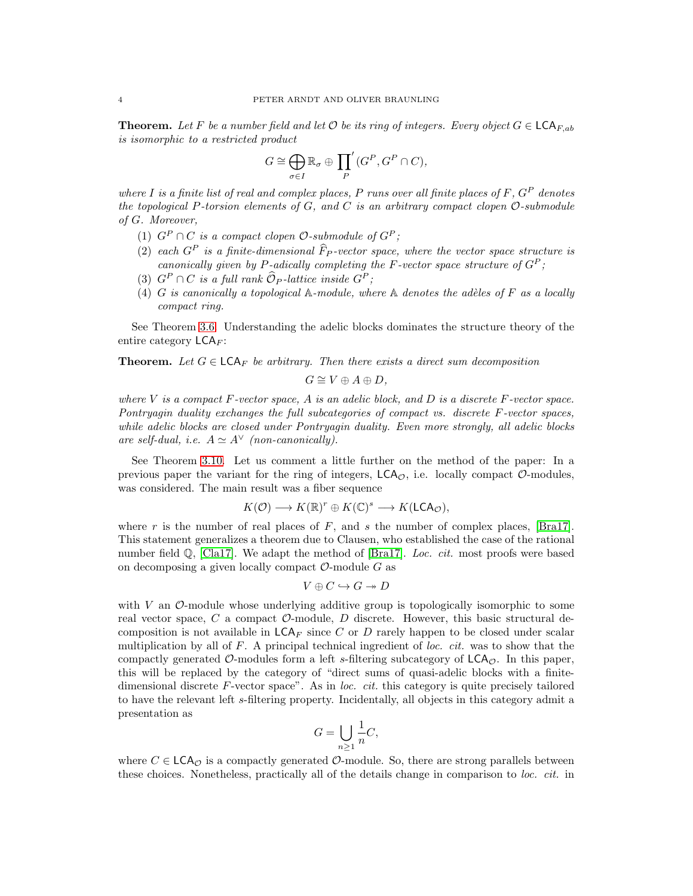**Theorem.** Let F be a number field and let  $\mathcal{O}$  be its ring of integers. Every object  $G \in \mathsf{LCA}_{F,ab}$ is isomorphic to a restricted product

$$
G \cong \bigoplus_{\sigma \in I} \mathbb{R}_{\sigma} \oplus \prod_{P}^{\prime} (G^{P}, G^{P} \cap C),
$$

where I is a finite list of real and complex places, P runs over all finite places of F,  $G^P$  denotes the topological P-torsion elements of  $G$ , and  $C$  is an arbitrary compact clopen  $\mathcal{O}\text{-submodule}$ of G. Moreover,

- (1)  $G^P \cap C$  is a compact clopen  $\mathcal{O}\text{-submodule of } G^P$ ;
- (2) each  $G^P$  is a finite-dimensional  $\widehat{F}_P$ -vector space, where the vector space structure is canonically given by P-adically completing the F-vector space structure of  $G^P$ ;
- (3)  $G^P \cap C$  is a full rank  $\widehat{\mathcal{O}}_P$ -lattice inside  $G^P$ ;
- (4) G is canonically a topological  $A$ -module, where  $A$  denotes the adèles of F as a locally compact ring.

See Theorem [3.6.](#page-22-0) Understanding the adelic blocks dominates the structure theory of the entire category  $\mathsf{LCA}_F$ :

**Theorem.** Let  $G \in \mathsf{LCA}_F$  be arbitrary. Then there exists a direct sum decomposition

$$
G\cong V\oplus A\oplus D,
$$

where V is a compact  $F$ -vector space, A is an adelic block, and D is a discrete  $F$ -vector space. Pontryagin duality exchanges the full subcategories of compact vs. discrete F-vector spaces, while adelic blocks are closed under Pontryagin duality. Even more strongly, all adelic blocks are self-dual, i.e.  $A \simeq A^{\vee}$  (non-canonically).

See Theorem [3.10.](#page-24-0) Let us comment a little further on the method of the paper: In a previous paper the variant for the ring of integers,  $LCA_{\mathcal{O}}$ , i.e. locally compact  $\mathcal{O}\text{-modules}$ , was considered. The main result was a fiber sequence

$$
K(\mathcal{O}) \longrightarrow K(\mathbb{R})^r \oplus K(\mathbb{C})^s \longrightarrow K(\mathsf{LCA}_{\mathcal{O}}),
$$

where r is the number of real places of  $F$ , and s the number of complex places, [\[Bra17\]](#page-39-2). This statement generalizes a theorem due to Clausen, who established the case of the rational number field  $\mathbb{Q}$ , [\[Cla17\]](#page-39-0). We adapt the method of [\[Bra17\]](#page-39-2). Loc. cit. most proofs were based on decomposing a given locally compact  $\mathcal{O}$ -module  $G$  as

$$
V \oplus C \hookrightarrow G \twoheadrightarrow D
$$

with V an  $\mathcal{O}\text{-module}$  whose underlying additive group is topologically isomorphic to some real vector space, C a compact  $\mathcal{O}$ -module, D discrete. However, this basic structural decomposition is not available in  $\mathsf{LCA}_F$  since C or D rarely happen to be closed under scalar multiplication by all of  $F$ . A principal technical ingredient of loc. cit. was to show that the compactly generated  $\mathcal{O}\text{-modules}$  form a left s-filtering subcategory of  $\mathsf{LCA}_\mathcal{O}$ . In this paper, this will be replaced by the category of "direct sums of quasi-adelic blocks with a finitedimensional discrete  $F$ -vector space". As in *loc. cit.* this category is quite precisely tailored to have the relevant left s-filtering property. Incidentally, all objects in this category admit a presentation as

$$
G = \bigcup_{n \ge 1} \frac{1}{n}C,
$$

where  $C \in \mathsf{LCA}_{\mathcal{O}}$  is a compactly generated  $\mathcal{O}\text{-module}$ . So, there are strong parallels between these choices. Nonetheless, practically all of the details change in comparison to loc. cit. in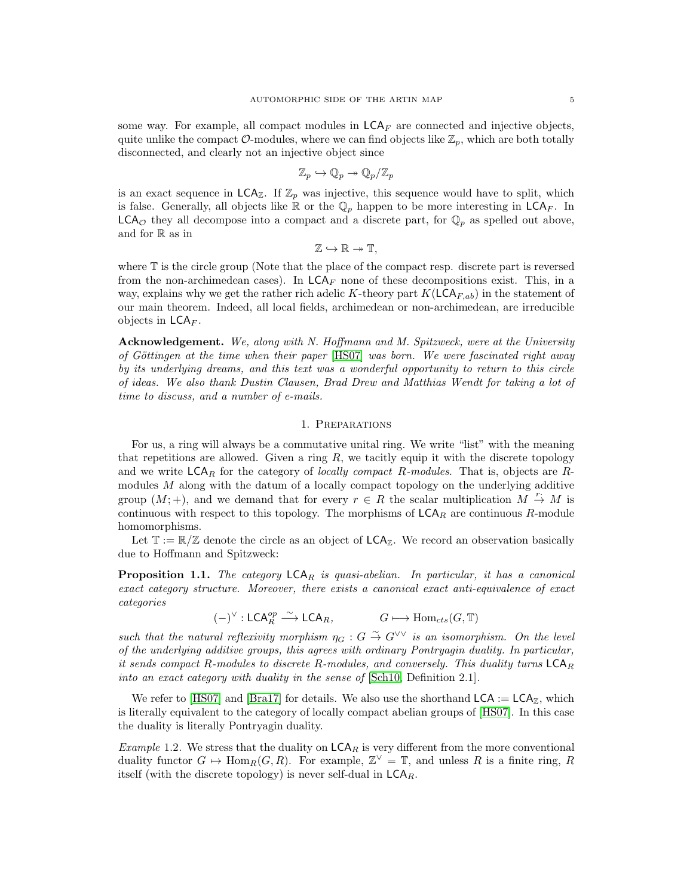some way. For example, all compact modules in  $\mathsf{LCA}_F$  are connected and injective objects, quite unlike the compact  $\mathcal{O}\text{-modules}$ , where we can find objects like  $\mathbb{Z}_p$ , which are both totally disconnected, and clearly not an injective object since

$$
\mathbb{Z}_p \hookrightarrow \mathbb{Q}_p \twoheadrightarrow \mathbb{Q}_p/\mathbb{Z}_p
$$

is an exact sequence in  $\mathsf{LCA}_{\mathbb{Z}}$ . If  $\mathbb{Z}_p$  was injective, this sequence would have to split, which is false. Generally, all objects like  $\mathbb R$  or the  $\mathbb Q_p$  happen to be more interesting in  $\mathsf{LCA}_F$ . In  $LCA_{\mathcal{O}}$  they all decompose into a compact and a discrete part, for  $\mathbb{Q}_p$  as spelled out above, and for R as in

 $\mathbb{Z} \hookrightarrow \mathbb{R} \twoheadrightarrow \mathbb{T}$ ,

where T is the circle group (Note that the place of the compact resp. discrete part is reversed from the non-archimedean cases). In  $LCA_F$  none of these decompositions exist. This, in a way, explains why we get the rather rich adelic K-theory part  $K(\mathsf{LCA}_{F,ab})$  in the statement of our main theorem. Indeed, all local fields, archimedean or non-archimedean, are irreducible objects in  $\mathsf{LCA}_F$ .

Acknowledgement. We, along with N. Hoffmann and M. Spitzweck, were at the University of Göttingen at the time when their paper  $[HS07]$  was born. We were fascinated right away by its underlying dreams, and this text was a wonderful opportunity to return to this circle of ideas. We also thank Dustin Clausen, Brad Drew and Matthias Wendt for taking a lot of time to discuss, and a number of e-mails.

## 1. Preparations

For us, a ring will always be a commutative unital ring. We write "list" with the meaning that repetitions are allowed. Given a ring  $R$ , we tacitly equip it with the discrete topology and we write  $\mathsf{LCA}_R$  for the category of locally compact R-modules. That is, objects are Rmodules  $M$  along with the datum of a locally compact topology on the underlying additive group  $(M; +)$ , and we demand that for every  $r \in R$  the scalar multiplication  $M \stackrel{r}{\rightarrow} M$  is continuous with respect to this topology. The morphisms of  $LCA_R$  are continuous R-module homomorphisms.

Let  $\mathbb{T} := \mathbb{R}/\mathbb{Z}$  denote the circle as an object of  $\mathsf{LCA}_{\mathbb{Z}}$ . We record an observation basically due to Hoffmann and Spitzweck:

<span id="page-4-0"></span>**Proposition 1.1.** The category  $\mathsf{LCA}_R$  is quasi-abelian. In particular, it has a canonical exact category structure. Moreover, there exists a canonical exact anti-equivalence of exact categories

 $(-)^{\vee}: \mathsf{LCA}^{op}_R \xrightarrow{\sim} \mathsf{LCA}_R, \qquad G \longmapsto \mathrm{Hom}_{\mathit{cts}}(G, \mathbb{T})$ 

such that the natural reflexivity morphism  $\eta_G : G \overset{\sim}{\to} G^{\vee\vee}$  is an isomorphism. On the level of the underlying additive groups, this agrees with ordinary Pontryagin duality. In particular, it sends compact R-modules to discrete R-modules, and conversely. This duality turns  $LCA_R$ into an exact category with duality in the sense of [\[Sch10,](#page-39-4) Definition 2.1].

We refer to [\[HS07\]](#page-39-3) and [\[Bra17\]](#page-39-2) for details. We also use the shorthand  $LCA := LCA_{\mathbb{Z}}$ , which is literally equivalent to the category of locally compact abelian groups of [\[HS07\]](#page-39-3). In this case the duality is literally Pontryagin duality.

*Example* 1.2. We stress that the duality on  $LCA_R$  is very different from the more conventional duality functor  $G \mapsto \text{Hom}_R(G, R)$ . For example,  $\mathbb{Z}^{\vee} = \mathbb{T}$ , and unless R is a finite ring, R itself (with the discrete topology) is never self-dual in  $\mathsf{LCA}_{R}$ .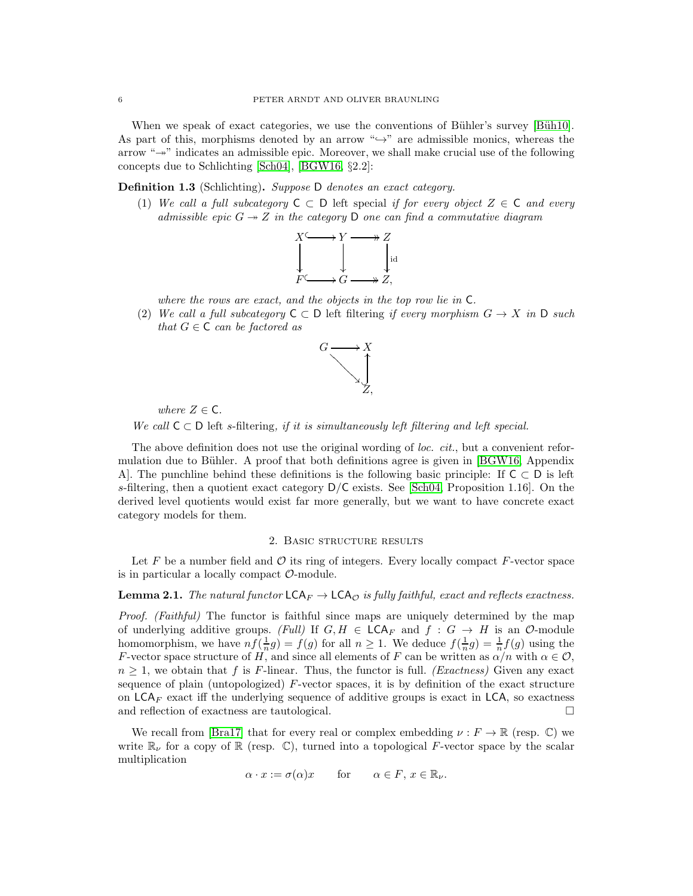When we speak of exact categories, we use the conventions of Bühler's survey [Büh10]. As part of this, morphisms denoted by an arrow " $\hookrightarrow$ " are admissible monics, whereas the arrow " $\rightarrow$ " indicates an admissible epic. Moreover, we shall make crucial use of the following concepts due to Schlichting [\[Sch04\]](#page-39-6), [\[BGW16,](#page-39-7) §2.2]:

Definition 1.3 (Schlichting). Suppose D denotes an exact category.

(1) We call a full subcategory  $C \subset D$  left special if for every object  $Z \in C$  and every admissible epic  $G \rightarrow Z$  in the category D one can find a commutative diagram



where the rows are exact, and the objects in the top row lie in C.

(2) We call a full subcategory  $C \subset D$  left filtering if every morphism  $G \to X$  in D such that  $G \in \mathsf{C}$  can be factored as



where  $Z \in \mathsf{C}$ .

We call  $C \subset D$  left s-filtering, if it is simultaneously left filtering and left special.

The above definition does not use the original wording of loc. cit., but a convenient refor-mulation due to Bühler. A proof that both definitions agree is given in [\[BGW16,](#page-39-7) Appendix A. The punchline behind these definitions is the following basic principle: If  $C \subset D$  is left s-filtering, then a quotient exact category  $D/C$  exists. See [\[Sch04,](#page-39-6) Proposition 1.16]. On the derived level quotients would exist far more generally, but we want to have concrete exact category models for them.

#### 2. Basic structure results

Let F be a number field and  $\mathcal O$  its ring of integers. Every locally compact F-vector space is in particular a locally compact  $\mathcal{O}$ -module.

## <span id="page-5-0"></span>**Lemma 2.1.** The natural functor  $\mathsf{LCA}_F \to \mathsf{LCA}_\mathcal{O}$  is fully faithful, exact and reflects exactness.

Proof. (Faithful) The functor is faithful since maps are uniquely determined by the map of underlying additive groups. (Full) If  $G, H \in \mathsf{LCA}_F$  and  $f : G \to H$  is an  $\mathcal{O}\text{-module}$ homomorphism, we have  $nf(\frac{1}{n}g) = f(g)$  for all  $n \ge 1$ . We deduce  $f(\frac{1}{n}g) = \frac{1}{n}f(g)$  using the F-vector space structure of H, and since all elements of F can be written as  $\alpha/n$  with  $\alpha \in \mathcal{O}$ ,  $n \geq 1$ , we obtain that f is F-linear. Thus, the functor is full. (Exactness) Given any exact sequence of plain (untopologized) F-vector spaces, it is by definition of the exact structure on  $LCA_F$  exact iff the underlying sequence of additive groups is exact in LCA, so exactness and reflection of exactness are tautological.

We recall from [\[Bra17\]](#page-39-2) that for every real or complex embedding  $\nu : F \to \mathbb{R}$  (resp. C) we write  $\mathbb{R}_{\nu}$  for a copy of  $\mathbb{R}$  (resp.  $\mathbb{C}$ ), turned into a topological F-vector space by the scalar multiplication

$$
\alpha \cdot x := \sigma(\alpha)x \qquad \text{for} \qquad \alpha \in F, \, x \in \mathbb{R}_{\nu}.
$$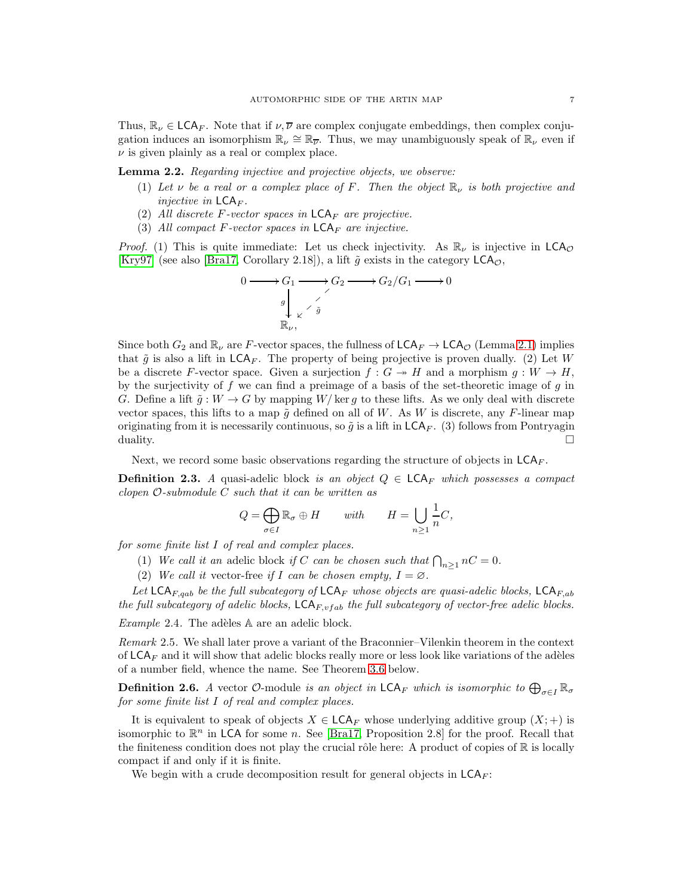Thus,  $\mathbb{R}_{\nu} \in \mathsf{LCA}_F$ . Note that if  $\nu, \overline{\nu}$  are complex conjugate embeddings, then complex conjugation induces an isomorphism  $\mathbb{R}_{\nu} \cong \mathbb{R}_{\overline{\nu}}$ . Thus, we may unambiguously speak of  $\mathbb{R}_{\nu}$  even if  $\nu$  is given plainly as a real or complex place.

<span id="page-6-0"></span>Lemma 2.2. Regarding injective and projective objects, we observe:

- (1) Let v be a real or a complex place of F. Then the object  $\mathbb{R}_{\nu}$  is both projective and injective in  $\mathsf{LCA}_F$ .
- (2) All discrete F-vector spaces in  $\mathsf{LCA}_F$  are projective.
- (3) All compact F-vector spaces in  $\mathsf{LCA}_F$  are injective.

*Proof.* (1) This is quite immediate: Let us check injectivity. As  $\mathbb{R}_{\nu}$  is injective in  $\mathsf{LCA}_{\mathcal{O}}$ [\[Kry97\]](#page-39-8) (see also [\[Bra17,](#page-39-2) Corollary 2.18]), a lift  $\tilde{g}$  exists in the category  $\mathsf{LCA}_{\mathcal{O}}$ ,

$$
0 \longrightarrow G_1 \longrightarrow G_2 \longrightarrow G_2/G_1 \longrightarrow 0
$$
  
\n
$$
g \downarrow \check{g}
$$
  
\n
$$
\mathbb{R}_{\nu},
$$

Since both  $G_2$  and  $\mathbb{R}_{\nu}$  are F-vector spaces, the fullness of  $\mathsf{LCA}_F \to \mathsf{LCA}_\mathcal{O}$  (Lemma [2.1\)](#page-5-0) implies that  $\tilde{g}$  is also a lift in  $\mathsf{LCA}_F$ . The property of being projective is proven dually. (2) Let W be a discrete F-vector space. Given a surjection  $f : G \to H$  and a morphism  $g : W \to H$ , by the surjectivity of  $f$  we can find a preimage of a basis of the set-theoretic image of  $g$  in G. Define a lift  $\tilde{g}: W \to G$  by mapping  $W/\text{ker } g$  to these lifts. As we only deal with discrete vector spaces, this lifts to a map  $\tilde{g}$  defined on all of W. As W is discrete, any F-linear map originating from it is necessarily continuous, so  $\tilde{g}$  is a lift in  $\mathsf{LCA}_F$ . (3) follows from Pontryagin duality.

Next, we record some basic observations regarding the structure of objects in  $LCA_F$ .

<span id="page-6-1"></span>**Definition 2.3.** A quasi-adelic block is an object  $Q \in \mathsf{LCA}_F$  which possesses a compact clopen  $\mathcal{O}\text{-}submodule C such that it can be written as$ 

$$
Q = \bigoplus_{\sigma \in I} \mathbb{R}_{\sigma} \oplus H \qquad with \qquad H = \bigcup_{n \ge 1} \frac{1}{n} C,
$$

for some finite list I of real and complex places.

- (1) We call it an adelic block if C can be chosen such that  $\bigcap_{n\geq 1} nC = 0$ .
- (2) We call it vector-free if I can be chosen empty,  $I = \emptyset$ .

Let LCA<sub>F,qab</sub> be the full subcategory of LCA<sub>F</sub> whose objects are quasi-adelic blocks, LCA<sub>F,ab</sub> the full subcategory of adelic blocks,  $\mathsf{LCA}_{F,vfab}$  the full subcategory of vector-free adelic blocks.

Example 2.4. The adèles  $A$  are an adelic block.

Remark 2.5. We shall later prove a variant of the Braconnier–Vilenkin theorem in the context of  $LCA_F$  and it will show that adelic blocks really more or less look like variations of the adèles of a number field, whence the name. See Theorem [3.6](#page-22-0) below.

**Definition 2.6.** A vector  $\mathcal{O}$ -module is an object in  $\mathsf{LCA}_F$  which is isomorphic to  $\bigoplus_{\sigma\in I}\mathbb{R}_\sigma$ for some finite list I of real and complex places.

It is equivalent to speak of objects  $X \in \mathsf{LCA}_F$  whose underlying additive group  $(X; +)$  is isomorphic to  $\mathbb{R}^n$  in LCA for some n. See [\[Bra17,](#page-39-2) Proposition 2.8] for the proof. Recall that the finiteness condition does not play the crucial rôle here: A product of copies of  $\mathbb R$  is locally compact if and only if it is finite.

We begin with a crude decomposition result for general objects in  $\mathsf{LCA}_F$ :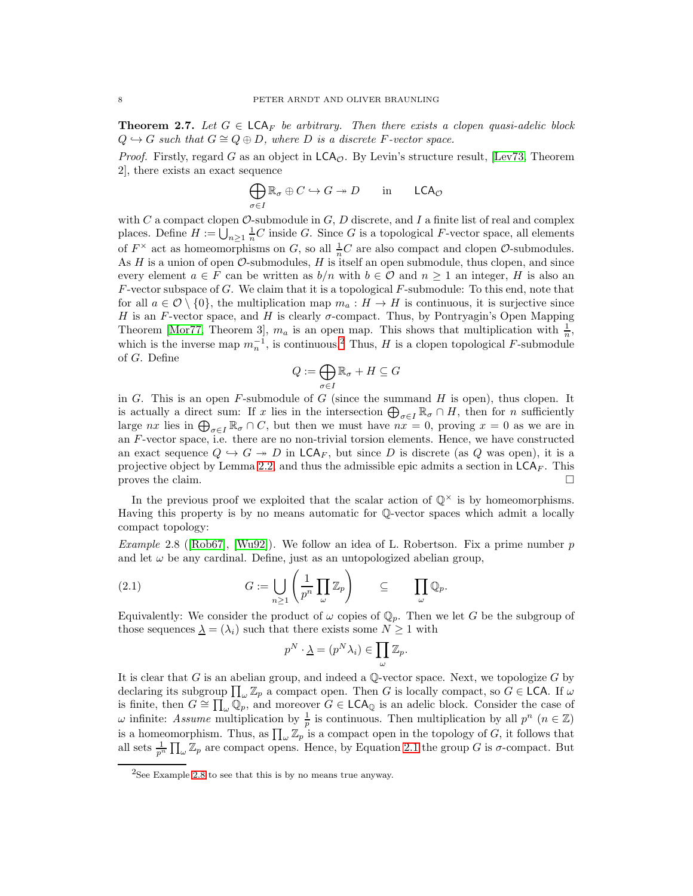<span id="page-7-3"></span>**Theorem 2.7.** Let  $G \in \mathsf{LCA}_F$  be arbitrary. Then there exists a clopen quasi-adelic block  $Q \hookrightarrow G$  such that  $G \cong Q \oplus D$ , where D is a discrete F-vector space.

*Proof.* Firstly, regard G as an object in  $LCA<sub>o</sub>$ . By Levin's structure result, [\[Lev73,](#page-39-9) Theorem 2], there exists an exact sequence

$$
\bigoplus_{\sigma \in I} \mathbb{R}_{\sigma} \oplus C \hookrightarrow G \twoheadrightarrow D \quad \text{in} \quad \mathsf{LCA}_{\mathcal{O}}
$$

with C a compact clopen  $\mathcal{O}\text{-submodule}$  in G, D discrete, and I a finite list of real and complex places. Define  $H := \bigcup_{n \geq 1} \frac{1}{n}C$  inside G. Since G is a topological F-vector space, all elements of  $F^{\times}$  act as homeomorphisms on G, so all  $\frac{1}{n}C$  are also compact and clopen  $\mathcal{O}$ -submodules. As  $H$  is a union of open  $\mathcal{O}$ -submodules,  $H$  is itself an open submodule, thus clopen, and since every element  $a \in F$  can be written as  $b/n$  with  $b \in \mathcal{O}$  and  $n \geq 1$  an integer, H is also an  $F$ -vector subspace of  $G$ . We claim that it is a topological  $F$ -submodule: To this end, note that for all  $a \in \mathcal{O} \setminus \{0\}$ , the multiplication map  $m_a : H \to H$  is continuous, it is surjective since H is an F-vector space, and H is clearly  $\sigma$ -compact. Thus, by Pontryagin's Open Mapping Theorem [\[Mor77,](#page-39-10) Theorem 3],  $m_a$  is an open map. This shows that multiplication with  $\frac{1}{n}$ , which is the inverse map  $m_n^{-1}$ , is continuous.<sup>[2](#page-7-1)</sup> Thus, H is a clopen topological F-submodule of G. Define

$$
Q := \bigoplus_{\sigma \in I} \mathbb{R}_{\sigma} + H \subseteq G
$$

in G. This is an open  $F$ -submodule of  $G$  (since the summand  $H$  is open), thus clopen. It is actually a direct sum: If x lies in the intersection  $\bigoplus_{\sigma\in I}\mathbb{R}_{\sigma}\cap H$ , then for n sufficiently large nx lies in  $\bigoplus_{\sigma \in I} \mathbb{R}_{\sigma} \cap C$ , but then we must have  $nx = 0$ , proving  $x = 0$  as we are in an F-vector space, i.e. there are no non-trivial torsion elements. Hence, we have constructed an exact sequence  $Q \hookrightarrow G \twoheadrightarrow D$  in  $\mathsf{LCA}_F$ , but since D is discrete (as Q was open), it is a projective object by Lemma [2.2,](#page-6-0) and thus the admissible epic admits a section in  $\mathsf{LCA}_F$ . This proves the claim.  $\Box$ 

In the previous proof we exploited that the scalar action of  $\mathbb{Q}^{\times}$  is by homeomorphisms. Having this property is by no means automatic for Q-vector spaces which admit a locally compact topology:

<span id="page-7-0"></span>*Example*2.8 ([\[Rob67\]](#page-39-11), [\[Wu92\]](#page-39-12)). We follow an idea of L. Robertson. Fix a prime number p and let  $\omega$  be any cardinal. Define, just as an untopologized abelian group,

(2.1) 
$$
G := \bigcup_{n \geq 1} \left( \frac{1}{p^n} \prod_{\omega} \mathbb{Z}_p \right) \subseteq \prod_{\omega} \mathbb{Q}_p.
$$

Equivalently: We consider the product of  $\omega$  copies of  $\mathbb{Q}_p$ . Then we let G be the subgroup of those sequences  $\lambda = (\lambda_i)$  such that there exists some  $N \geq 1$  with

<span id="page-7-2"></span>
$$
p^N \cdot \underline{\lambda} = (p^N \lambda_i) \in \prod_{\omega} \mathbb{Z}_p.
$$

It is clear that G is an abelian group, and indeed a  $\mathbb{Q}\text{-vector space}$ . Next, we topologize G by declaring its subgroup  $\prod_{\omega} \mathbb{Z}_p$  a compact open. Then G is locally compact, so  $G \in \mathsf{LCA}$ . If  $\omega$ is finite, then  $G \cong \prod_{\omega} \widetilde{\mathbb{Q}_p}$ , and moreover  $G \in \mathsf{LCA}_{\mathbb{Q}}$  is an adelic block. Consider the case of  $\omega$  infinite: Assume multiplication by  $\frac{1}{p}$  is continuous. Then multiplication by all  $p^n$   $(n \in \mathbb{Z})$ is a homeomorphism. Thus, as  $\prod_{\omega} \mathbb{Z}_p$  is a compact open in the topology of G, it follows that all sets  $\frac{1}{p^n} \prod_{\omega} \mathbb{Z}_p$  are compact opens. Hence, by Equation [2.1](#page-7-2) the group G is  $\sigma$ -compact. But

<span id="page-7-1"></span><sup>&</sup>lt;sup>2</sup>See Example [2.8](#page-7-0) to see that this is by no means true anyway.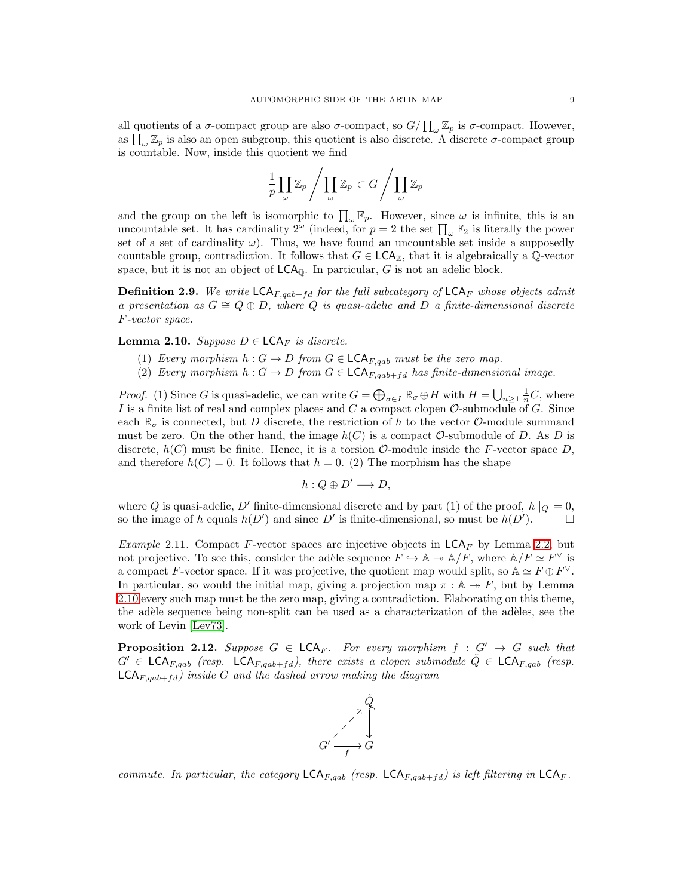all quotients of a  $\sigma$ -compact group are also  $\sigma$ -compact, so  $G/\prod_{\omega} \mathbb{Z}_p$  is  $\sigma$ -compact. However, as  $\prod_{\omega} \mathbb{Z}_p$  is also an open subgroup, this quotient is also discrete. A discrete  $\sigma$ -compact group is countable. Now, inside this quotient we find

$$
\frac{1}{p}\prod_{\omega}\mathbb{Z}_p\Bigg/\prod_{\omega}\mathbb{Z}_p\subset G\Bigg/\prod_{\omega}\mathbb{Z}_p
$$

and the group on the left is isomorphic to  $\prod_{\omega} \mathbb{F}_p$ . However, since  $\omega$  is infinite, this is an uncountable set. It has cardinality  $2^{\omega}$  (indeed, for  $p=2$  the set  $\prod_{\omega} \mathbb{F}_2$  is literally the power set of a set of cardinality  $\omega$ ). Thus, we have found an uncountable set inside a supposedly countable group, contradiction. It follows that  $G \in \mathsf{LCA}_{\mathbb{Z}}$ , that it is algebraically a Q-vector space, but it is not an object of  $\mathsf{LCA}_0$ . In particular, G is not an adelic block.

**Definition 2.9.** We write  $\mathsf{LCA}_{F,qab+fd}$  for the full subcategory of  $\mathsf{LCA}_F$  whose objects admit a presentation as  $G \cong Q \oplus D$ , where Q is quasi-adelic and D a finite-dimensional discrete F-vector space.

<span id="page-8-0"></span>**Lemma 2.10.** Suppose  $D \in \mathsf{LCA}_F$  is discrete.

- (1) Every morphism  $h: G \to D$  from  $G \in \mathsf{LCA}_{F, qab}$  must be the zero map.
- (2) Every morphism  $h: G \to D$  from  $G \in \mathsf{LCA}_{F, qab+fd}$  has finite-dimensional image.

*Proof.* (1) Since G is quasi-adelic, we can write  $G = \bigoplus_{\sigma \in I} \mathbb{R}_{\sigma} \oplus H$  with  $H = \bigcup_{n \geq 1} \frac{1}{n}C$ , where I is a finite list of real and complex places and  $C$  a compact clopen  $\mathcal O$ -submodule of  $G$ . Since each  $\mathbb{R}_{\sigma}$  is connected, but D discrete, the restriction of h to the vector O-module summand must be zero. On the other hand, the image  $h(C)$  is a compact  $\mathcal O$ -submodule of D. As D is discrete,  $h(C)$  must be finite. Hence, it is a torsion  $\mathcal{O}\text{-module}$  inside the F-vector space D, and therefore  $h(C) = 0$ . It follows that  $h = 0$ . (2) The morphism has the shape

$$
h: Q \oplus D' \longrightarrow D,
$$

where Q is quasi-adelic, D' finite-dimensional discrete and by part (1) of the proof,  $h|_Q = 0$ , so the image of h equals  $h(D')$  and since D' is finite-dimensional, so must be  $h(D')$ .

*Example 2.11.* Compact F-vector spaces are injective objects in  $LCA_F$  by Lemma [2.2,](#page-6-0) but not projective. To see this, consider the adèle sequence  $F \hookrightarrow \mathbb{A} \twoheadrightarrow \mathbb{A}/F$ , where  $\mathbb{A}/F \simeq F^{\vee}$  is a compact F-vector space. If it was projective, the quotient map would split, so  $\mathbb{A} \simeq F \oplus F^{\vee}$ . In particular, so would the initial map, giving a projection map  $\pi : \mathbb{A} \to F$ , but by Lemma [2.10](#page-8-0) every such map must be the zero map, giving a contradiction. Elaborating on this theme, the adèle sequence being non-split can be used as a characterization of the adèles, see the work of Levin [\[Lev73\]](#page-39-9).

<span id="page-8-1"></span>**Proposition 2.12.** Suppose  $G \in \mathsf{LCA}_F$ . For every morphism  $f : G' \to G$  such that  $G' \in \mathsf{LCA}_{F, qab}$  (resp.  $\mathsf{LCA}_{F, qab+fd}$ ), there exists a clopen submodule  $\tilde{Q} \in \mathsf{LCA}_{F, qab}$  (resp.  $\mathsf{LCA}_{F, qab+fd}$  inside G and the dashed arrow making the diagram



commute. In particular, the category  $\mathsf{LCA}_{F, qab}$  (resp.  $\mathsf{LCA}_{F, qab+fd}$ ) is left filtering in  $\mathsf{LCA}_{F}$ .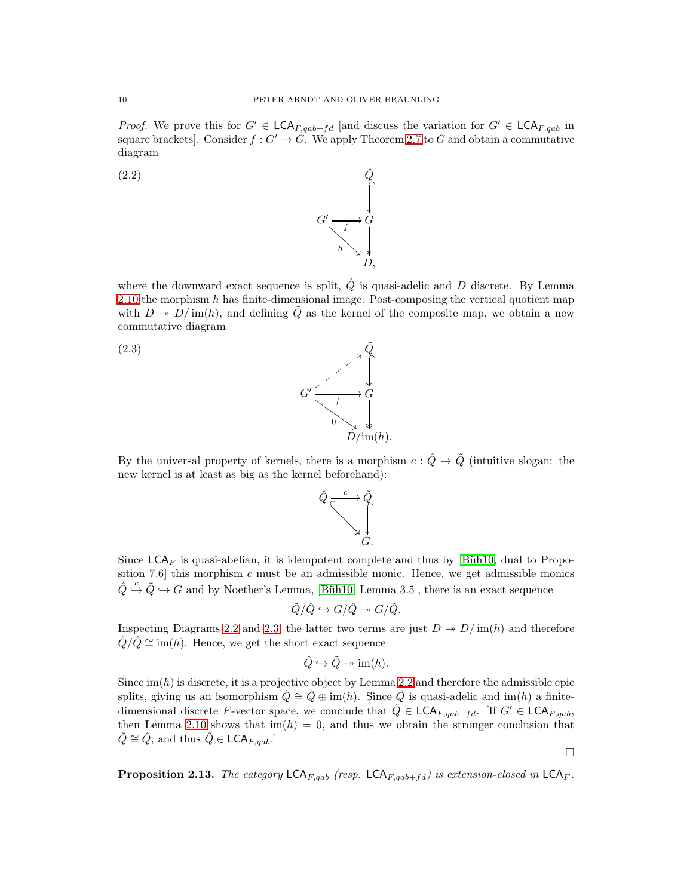*Proof.* We prove this for  $G' \in \mathsf{LCA}_{F,qab+f d}$  [and discuss the variation for  $G' \in \mathsf{LCA}_{F,qab}$  in square brackets]. Consider  $f: G' \to G$ . We apply Theorem [2.7](#page-7-3) to G and obtain a commutative diagram

> <span id="page-9-0"></span> $G' \longrightarrow G'$  $\begin{array}{c}\n f \uparrow G \\
>  h \searrow \downarrow\n\end{array}$  $\mathbf{r}$ ķ D,

 $\overline{\phantom{a}}$ 

 $\overline{a}$ 

 $\frac{1}{2}$  $D/\text{im}(h)$ .



where the downward exact sequence is split,  $\hat{Q}$  is quasi-adelic and D discrete. By Lemma [2.10](#page-8-0) the morphism  $h$  has finite-dimensional image. Post-composing the vertical quotient map with  $D \to D/\text{im}(h)$ , and defining Q as the kernel of the composite map, we obtain a new commutative diagram





<span id="page-9-1"></span> $G'\xrightarrow{f} G$ :: ✈ ✈ ✈ ✈ ✈

 $\rightarrow$  $\begin{array}{c}\n f \\
 f \\
 g \\
 g\n \end{array}$ 



Since  $\mathsf{LCA}_F$  is quasi-abelian, it is idempotent complete and thus by [Büh10, dual to Proposition 7.6 this morphism  $c$  must be an admissible monic. Hence, we get admissible monics  $\hat{Q} \stackrel{c}{\hookrightarrow} \tilde{Q} \stackrel{\cdot}{\hookrightarrow} G$  and by Noether's Lemma, [Büh10, Lemma 3.5], there is an exact sequence

$$
\tilde{Q}/\hat{Q} \hookrightarrow G/\hat{Q} \twoheadrightarrow G/\tilde{Q}.
$$

Inspecting Diagrams [2.2](#page-9-0) and [2.3,](#page-9-1) the latter two terms are just  $D \rightarrow D/\text{im}(h)$  and therefore  $Q/Q \cong \text{im}(h)$ . Hence, we get the short exact sequence

$$
\hat{Q} \hookrightarrow \tilde{Q} \twoheadrightarrow \text{im}(h).
$$

Since  $\text{im}(h)$  is discrete, it is a projective object by Lemma [2.2](#page-6-0) and therefore the admissible epic splits, giving us an isomorphism  $\tilde{Q} \cong \hat{Q} \oplus \text{im}(h)$ . Since  $\hat{Q}$  is quasi-adelic and im(h) a finitedimensional discrete F-vector space, we conclude that  $\hat{Q} \in \mathsf{LCA}_{F,qab+fd}$ . [If  $G' \in \mathsf{LCA}_{F,qab}$ , then Lemma [2.10](#page-8-0) shows that  $\text{im}(h) = 0$ , and thus we obtain the stronger conclusion that  $\tilde{Q} \cong \hat{Q}$ , and thus  $\tilde{Q} \in \mathsf{LCA}_{F, qab}.$ 

 $\Box$ 

**Proposition 2.13.** The category  $\mathsf{LCA}_{F,qab}$  (resp.  $\mathsf{LCA}_{F,qab+fd}$ ) is extension-closed in  $\mathsf{LCA}_{F}$ .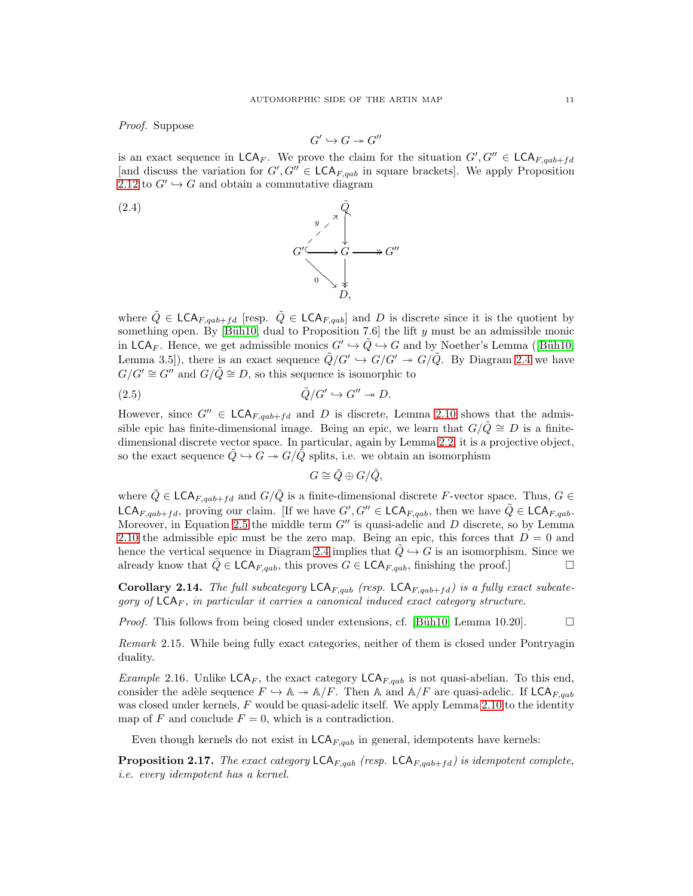Proof. Suppose

<span id="page-10-0"></span>
$$
G'\hookrightarrow G\twoheadrightarrow G''
$$

is an exact sequence in  $\mathsf{LCA}_F$ . We prove the claim for the situation  $G', G'' \in \mathsf{LCA}_{F, qab+fd}$ [and discuss the variation for  $G', G'' \in \mathsf{LCA}_{F, qab}$  in square brackets]. We apply Proposition [2.12](#page-8-1) to  $G' \hookrightarrow G$  and obtain a commutative diagram



where  $\tilde{Q} \in \mathsf{LCA}_{F, qab+fd}$  [resp.  $\tilde{Q} \in \mathsf{LCA}_{F, qab}$ ] and D is discrete since it is the quotient by something open. By [Büh10, dual to Proposition 7.6] the lift y must be an admissible monic inLCA<sub>F</sub>. Hence, we get admissible monics  $G' \hookrightarrow \tilde{Q} \hookrightarrow G$  and by Noether's Lemma ([Büh10, Lemma 3.5]), there is an exact sequence  $\tilde{Q}/G' \hookrightarrow G/G' \twoheadrightarrow G/\tilde{Q}$ . By Diagram [2.4](#page-10-0) we have  $G/G' \cong G''$  and  $G/\tilde{Q} \cong D$ , so this sequence is isomorphic to

 $\overline{\phantom{a}}$ ķ

D,

$$
\tilde{Q}/G' \hookrightarrow G'' \twoheadrightarrow D.
$$

However, since  $G'' \in \mathsf{LCA}_{F, qab+fd}$  and D is discrete, Lemma [2.10](#page-8-0) shows that the admissible epic has finite-dimensional image. Being an epic, we learn that  $G/\tilde{Q} \cong D$  is a finitedimensional discrete vector space. In particular, again by Lemma [2.2,](#page-6-0) it is a projective object, so the exact sequence  $\tilde{Q} \hookrightarrow G \twoheadrightarrow G/\tilde{Q}$  splits, i.e. we obtain an isomorphism

<span id="page-10-1"></span>
$$
G\cong \tilde{Q}\oplus G/\tilde{Q},
$$

where  $\tilde{Q} \in \mathsf{LCA}_{F, qab+f d}$  and  $G/\tilde{Q}$  is a finite-dimensional discrete F-vector space. Thus,  $G \in$ LCA<sub>F,qab+fd</sub>, proving our claim. [If we have  $G', G'' \in \mathsf{LCA}_{F, qab}$ , then we have  $\tilde{Q} \in \mathsf{LCA}_{F, qab}$ . Moreover, in Equation [2.5](#page-10-1) the middle term  $G''$  is quasi-adelic and D discrete, so by Lemma [2.10](#page-8-0) the admissible epic must be the zero map. Being an epic, this forces that  $D = 0$  and hence the vertical sequence in Diagram [2.4](#page-10-0) implies that  $Q \rightarrow G$  is an isomorphism. Since we already know that  $\tilde{Q} \in \mathsf{LCA}_{F,qab}$ , this proves  $G \in \mathsf{LCA}_{F,qab}$ , finishing the proof.]

Corollary 2.14. The full subcategory  $LCA_{F, qab}$  (resp.  $LCA_{F, qab+fd}$ ) is a fully exact subcategory of  $LCA_F$ , in particular it carries a canonical induced exact category structure.

*Proof.* This follows from being closed under extensions, cf. [Büh10, Lemma 10.20].  $\Box$ 

Remark 2.15. While being fully exact categories, neither of them is closed under Pontryagin duality.

<span id="page-10-2"></span>*Example* 2.16. Unlike  $\mathsf{LCA}_F$ , the exact category  $\mathsf{LCA}_{F,qab}$  is not quasi-abelian. To this end, consider the adèle sequence  $F \hookrightarrow \mathbb{A} \twoheadrightarrow \mathbb{A}/F$ . Then  $\mathbb A$  and  $\mathbb A/F$  are quasi-adelic. If LCA<sub>F,qab</sub> was closed under kernels,  $F$  would be quasi-adelic itself. We apply Lemma [2.10](#page-8-0) to the identity map of F and conclude  $F = 0$ , which is a contradiction.

Even though kernels do not exist in  $\mathsf{LCA}_{F, qab}$  in general, idempotents have kernels:

<span id="page-10-3"></span>**Proposition 2.17.** The exact category  $\mathsf{LCA}_{F,qab}$  (resp.  $\mathsf{LCA}_{F,qab+fd}$ ) is idempotent complete, i.e. every idempotent has a kernel.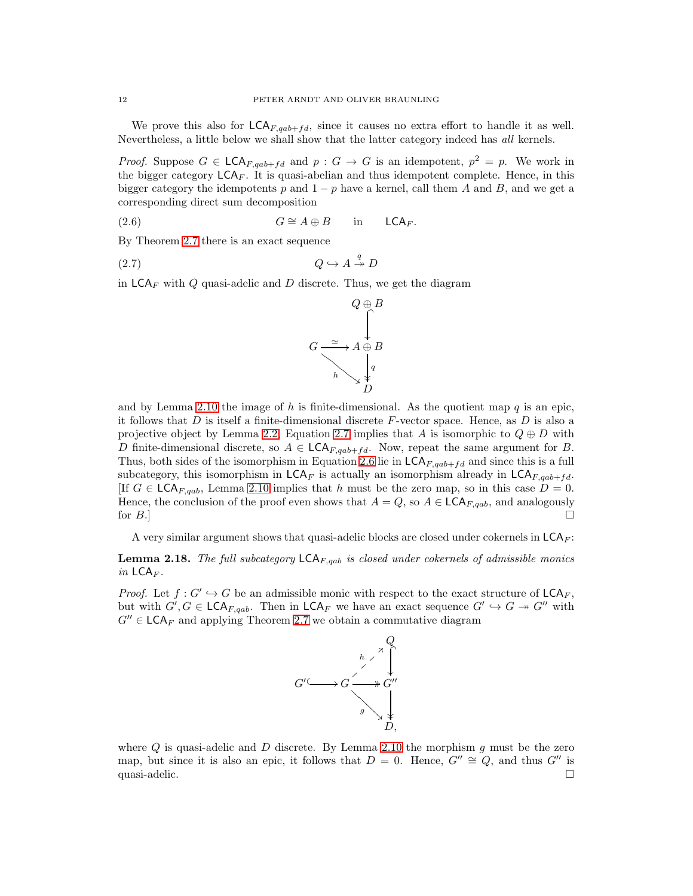We prove this also for  $\mathsf{LCA}_{F,qab+fd}$ , since it causes no extra effort to handle it as well. Nevertheless, a little below we shall show that the latter category indeed has all kernels.

*Proof.* Suppose  $G \in \mathsf{LCA}_{F, qab+fd}$  and  $p : G \to G$  is an idempotent,  $p^2 = p$ . We work in the bigger category  $LCA_F$ . It is quasi-abelian and thus idempotent complete. Hence, in this bigger category the idempotents p and  $1 - p$  have a kernel, call them A and B, and we get a corresponding direct sum decomposition

(2.6) 
$$
G \cong A \oplus B \quad \text{in} \quad \mathsf{LCA}_F.
$$

By Theorem [2.7](#page-7-3) there is an exact sequence

$$
(2.7) \tQ \hookrightarrow A \stackrel{q}{\rightarrow} D
$$

in  $\mathsf{LCA}_F$  with  $Q$  quasi-adelic and  $D$  discrete. Thus, we get the diagram

<span id="page-11-1"></span><span id="page-11-0"></span>

and by Lemma [2.10](#page-8-0) the image of h is finite-dimensional. As the quotient map  $q$  is an epic, it follows that D is itself a finite-dimensional discrete  $F$ -vector space. Hence, as D is also a projective object by Lemma [2.2,](#page-6-0) Equation [2.7](#page-11-0) implies that A is isomorphic to  $Q \oplus D$  with D finite-dimensional discrete, so  $A \in \mathsf{LCA}_{F,qab+fd}$ . Now, repeat the same argument for B. Thus, both sides of the isomorphism in Equation [2.6](#page-11-1) lie in  $\mathsf{LCA}_{F,qab+fd}$  and since this is a full subcategory, this isomorphism in  $LCA_F$  is actually an isomorphism already in  $LCA_{F,qab+fd}$ . [If  $G \in \mathsf{LCA}_{F, qab}$ , Lemma [2.10](#page-8-0) implies that h must be the zero map, so in this case  $D = 0$ . Hence, the conclusion of the proof even shows that  $A = Q$ , so  $A \in \mathsf{LCA}_{F, qab}$ , and analogously for  $B$ .]

A very similar argument shows that quasi-adelic blocks are closed under cokernels in  $\mathsf{LCA}_F$ :

<span id="page-11-2"></span>**Lemma 2.18.** The full subcategory  $\mathsf{LCA}_{F,qab}$  is closed under cokernels of admissible monics in  $LCA_F$ .

*Proof.* Let  $f: G' \hookrightarrow G$  be an admissible monic with respect to the exact structure of  $LCA_F$ , but with  $G', G \in \mathsf{LCA}_{F, qab}$ . Then in  $\mathsf{LCA}_F$  we have an exact sequence  $G' \hookrightarrow G \twoheadrightarrow G''$  with  $G'' \in \mathsf{LCA}_F$  and applying Theorem [2.7](#page-7-3) we obtain a commutative diagram



where  $Q$  is quasi-adelic and  $D$  discrete. By Lemma [2.10](#page-8-0) the morphism  $g$  must be the zero map, but since it is also an epic, it follows that  $D = 0$ . Hence,  $G'' \cong Q$ , and thus  $G''$  is quasi-adelic.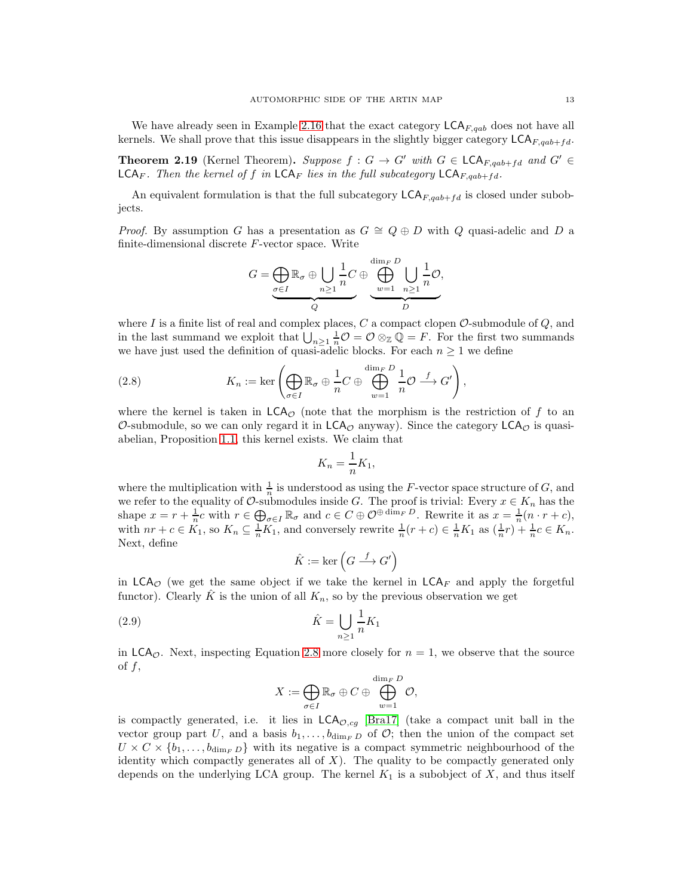We have already seen in Example [2.16](#page-10-2) that the exact category  $\mathsf{LCA}_{F,qab}$  does not have all kernels. We shall prove that this issue disappears in the slightly bigger category  $\mathsf{LCA}_{F, qab+fd}$ .

<span id="page-12-2"></span>**Theorem 2.19** (Kernel Theorem). Suppose  $f : G \to G'$  with  $G \in \mathsf{LCA}_{F,qab+fd}$  and  $G' \in$  $\mathsf{LCA}_F$ . Then the kernel of f in  $\mathsf{LCA}_F$  lies in the full subcategory  $\mathsf{LCA}_{F, qab+fd}$ .

An equivalent formulation is that the full subcategory  $LCA_{F, qab+fd}$  is closed under subobjects.

*Proof.* By assumption G has a presentation as  $G \cong Q \oplus D$  with Q quasi-adelic and D a finite-dimensional discrete F-vector space. Write

$$
G = \underbrace{\bigoplus_{\sigma \in I} \mathbb{R}_{\sigma} \oplus \bigcup_{n \geq 1} \frac{1}{n} C}_{Q} \oplus \underbrace{\bigoplus_{w=1}^{\dim_F D} \bigcup_{n \geq 1} \frac{1}{n} \mathcal{O}}_{D},
$$

where I is a finite list of real and complex places,  $C$  a compact clopen  $\mathcal{O}\text{-submodule of }Q$ , and in the last summand we exploit that  $\bigcup_{n\geq 1} \frac{1}{n}\mathcal{O} = \mathcal{O}\otimes_{\mathbb{Z}} \mathbb{Q} = F$ . For the first two summands we have just used the definition of quasi-adelic blocks. For each  $n \geq 1$  we define

<span id="page-12-0"></span>(2.8) 
$$
K_n := \ker \left( \bigoplus_{\sigma \in I} \mathbb{R}_{\sigma} \oplus \frac{1}{n} C \oplus \bigoplus_{w=1}^{\dim_F D} \frac{1}{n} \mathcal{O} \xrightarrow{f} G' \right),
$$

where the kernel is taken in  $LCA_{\mathcal{O}}$  (note that the morphism is the restriction of f to an O-submodule, so we can only regard it in  $LCA<sub>O</sub>$  anyway). Since the category  $LCA<sub>O</sub>$  is quasiabelian, Proposition [1.1,](#page-4-0) this kernel exists. We claim that

$$
K_n = \frac{1}{n} K_1,
$$

where the multiplication with  $\frac{1}{n}$  is understood as using the F-vector space structure of G, and we refer to the equality of  $\mathcal{O}$ -submodules inside G. The proof is trivial: Every  $x \in K_n$  has the shape  $x = r + \frac{1}{n}c$  with  $r \in \bigoplus_{\sigma \in I} \mathbb{R}_{\sigma}$  and  $c \in C \oplus \mathcal{O}^{\oplus \dim_F D}$ . Rewrite it as  $x = \frac{1}{n}(n \cdot r + c)$ , with  $nr + c \in K_1$ , so  $K_n \subseteq \frac{1}{n}K_1$ , and conversely rewrite  $\frac{1}{n}(r+c) \in \frac{1}{n}K_1$  as  $(\frac{1}{n}r) + \frac{1}{n}c \in K_n$ . Next, define

<span id="page-12-1"></span>
$$
\hat{K}:=\ker\left(G\stackrel{f}{\longrightarrow}G'\right)
$$

in  $LCA_{\mathcal{O}}$  (we get the same object if we take the kernel in  $LCA_F$  and apply the forgetful functor). Clearly  $\hat{K}$  is the union of all  $K_n$ , so by the previous observation we get

$$
\hat{K} = \bigcup_{n \ge 1} \frac{1}{n} K_1
$$

in  $LCA<sub>o</sub>$ . Next, inspecting Equation [2.8](#page-12-0) more closely for  $n = 1$ , we observe that the source of  $f$ ,

$$
X:=\bigoplus_{\sigma\in I}\mathbb{R}_{\sigma}\oplus C\oplus\bigoplus_{w=1}^{\dim_F D}\mathcal{O},
$$

is compactly generated, i.e. it lies in  $\mathsf{LCA}_{\mathcal{O},cg}$  [\[Bra17\]](#page-39-2) (take a compact unit ball in the vector group part U, and a basis  $b_1, \ldots, b_{\dim_F D}$  of  $\mathcal{O}$ ; then the union of the compact set  $U \times C \times \{b_1, \ldots, b_{\dim_F D}\}\$  with its negative is a compact symmetric neighbourhood of the identity which compactly generates all of  $X$ ). The quality to be compactly generated only depends on the underlying LCA group. The kernel  $K_1$  is a subobject of X, and thus itself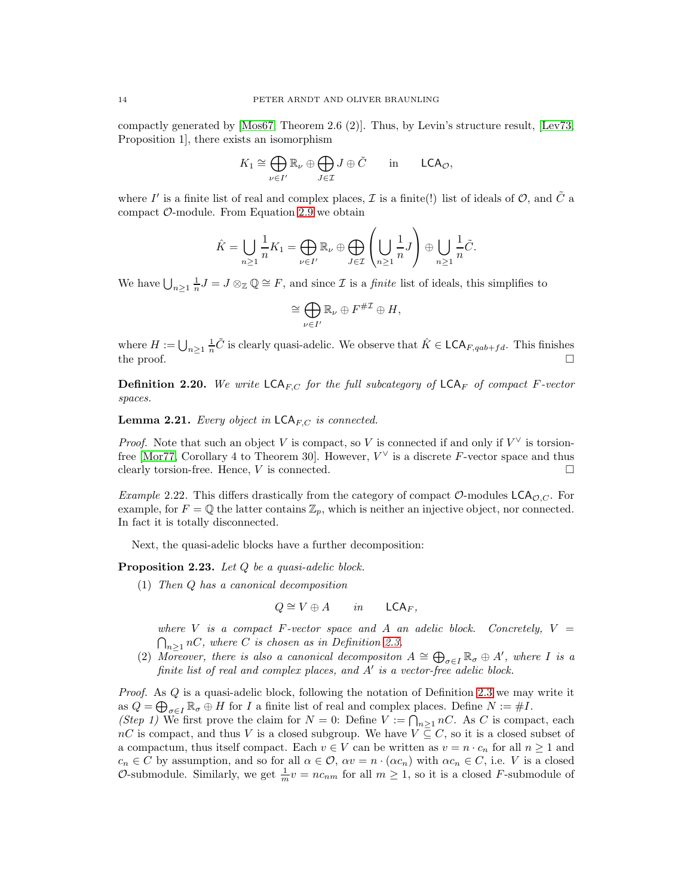compactly generated by [\[Mos67,](#page-39-13) Theorem 2.6 (2)]. Thus, by Levin's structure result, [\[Lev73,](#page-39-9) Proposition 1], there exists an isomorphism

$$
K_1 \cong \bigoplus_{\nu \in I'} \mathbb{R}_{\nu} \oplus \bigoplus_{J \in \mathcal{I}} J \oplus \tilde{C} \quad \text{in} \quad \mathsf{LCA}_{\mathcal{O}},
$$

where I' is a finite list of real and complex places,  $\mathcal I$  is a finite(!) list of ideals of  $\mathcal O$ , and  $\tilde C$  a compact  $\mathcal{O}$ -module. From Equation [2.9](#page-12-1) we obtain

$$
\hat{K} = \bigcup_{n \geq 1} \frac{1}{n} K_1 = \bigoplus_{\nu \in I'} \mathbb{R}_{\nu} \oplus \bigoplus_{J \in \mathcal{I}} \left( \bigcup_{n \geq 1} \frac{1}{n} J \right) \oplus \bigcup_{n \geq 1} \frac{1}{n} \tilde{C}.
$$

We have  $\bigcup_{n\geq 1} \frac{1}{n}J = J\otimes_{\mathbb{Z}}\mathbb{Q} \cong F$ , and since  $\mathcal I$  is a *finite* list of ideals, this simplifies to

$$
\cong \bigoplus_{\nu \in I'} \mathbb{R}_{\nu} \oplus F^{\# \mathcal{I}} \oplus H,
$$

where  $H := \bigcup_{n\geq 1} \frac{1}{n}\tilde{C}$  is clearly quasi-adelic. We observe that  $\hat{K} \in \mathsf{LCA}_{F, qab+fd}$ . This finishes the proof.  $\square$ 

**Definition 2.20.** We write  $\mathsf{LCA}_{FC}$  for the full subcategory of  $\mathsf{LCA}_{F}$  of compact F-vector spaces.

<span id="page-13-1"></span>**Lemma 2.21.** Every object in  $\mathsf{LCA}_{F,C}$  is connected.

*Proof.* Note that such an object V is compact, so V is connected if and only if  $V^{\vee}$  is torsion-free [\[Mor77,](#page-39-10) Corollary 4 to Theorem 30]. However,  $V^{\vee}$  is a discrete F-vector space and thus clearly torsion-free. Hence,  $V$  is connected.  $\Box$ 

*Example 2.22.* This differs drastically from the category of compact  $\mathcal{O}\text{-modules }LCA_{\mathcal{O},C}$ . For example, for  $F = \mathbb{Q}$  the latter contains  $\mathbb{Z}_p$ , which is neither an injective object, nor connected. In fact it is totally disconnected.

Next, the quasi-adelic blocks have a further decomposition:

<span id="page-13-0"></span>Proposition 2.23. Let Q be a quasi-adelic block.

(1) Then Q has a canonical decomposition

$$
Q \cong V \oplus A \qquad in \qquad \mathsf{LCA}_F,
$$

where V is a compact F-vector space and A an adelic block. Concretely,  $V =$  $n \geq 1$  nC, where C is chosen as in Definition [2.3.](#page-6-1)

(2) Moreover, there is also a canonical decompositon  $A \cong \bigoplus_{\sigma \in I} \mathbb{R}_{\sigma} \oplus A'$ , where I is a finite list of real and complex places, and A' is a vector-free adelic block.

*Proof.* As  $Q$  is a quasi-adelic block, following the notation of Definition [2.3](#page-6-1) we may write it as  $Q = \bigoplus_{\sigma \in I} \mathbb{R}_{\sigma} \oplus H$  for I a finite list of real and complex places. Define  $N := \#I$ .

(Step 1) We first prove the claim for  $N = 0$ : Define  $V := \bigcap_{n \geq 1} nC$ . As C is compact, each nC is compact, and thus V is a closed subgroup. We have  $V \subseteq C$ , so it is a closed subset of a compactum, thus itself compact. Each  $v \in V$  can be written as  $v = n \cdot c_n$  for all  $n \ge 1$  and  $c_n \in C$  by assumption, and so for all  $\alpha \in \mathcal{O}$ ,  $\alpha v = n \cdot (\alpha c_n)$  with  $\alpha c_n \in C$ , i.e. V is a closed O-submodule. Similarly, we get  $\frac{1}{m}v = nc_{nm}$  for all  $m \ge 1$ , so it is a closed F-submodule of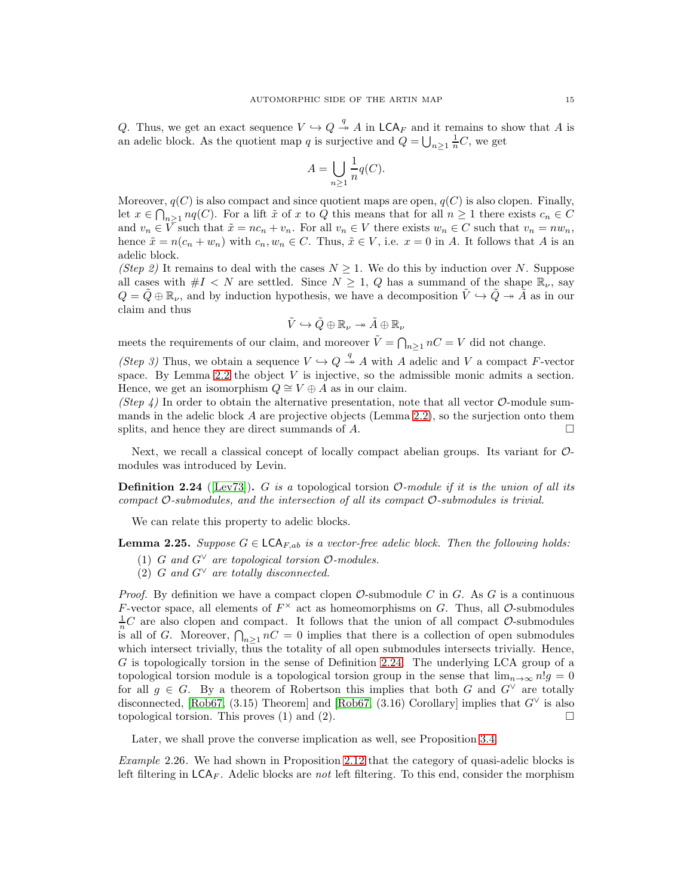Q. Thus, we get an exact sequence  $V \hookrightarrow Q \stackrel{q}{\twoheadrightarrow} A$  in  $\mathsf{LCA}_F$  and it remains to show that A is an adelic block. As the quotient map q is surjective and  $Q = \bigcup_{n \geq 1} \frac{1}{n}C$ , we get

$$
A = \bigcup_{n \ge 1} \frac{1}{n} q(C).
$$

Moreover,  $q(C)$  is also compact and since quotient maps are open,  $q(C)$  is also clopen. Finally, let  $x \in \bigcap_{n\geq 1} nq(C)$ . For a lift  $\tilde{x}$  of x to Q this means that for all  $n \geq 1$  there exists  $c_n \in C$ and  $v_n \in \overline{V}$  such that  $\tilde{x} = nc_n + v_n$ . For all  $v_n \in V$  there exists  $w_n \in C$  such that  $v_n = nw_n$ , hence  $\tilde{x} = n(c_n + w_n)$  with  $c_n, w_n \in C$ . Thus,  $\tilde{x} \in V$ , i.e.  $x = 0$  in A. It follows that A is an adelic block.

(Step 2) It remains to deal with the cases  $N \geq 1$ . We do this by induction over N. Suppose all cases with  $#I < N$  are settled. Since  $N \geq 1$ , Q has a summand of the shape  $\mathbb{R}_{\nu}$ , say  $Q = \tilde{Q} \oplus \mathbb{R}_{\nu}$ , and by induction hypothesis, we have a decomposition  $\tilde{V} \hookrightarrow \tilde{Q} \twoheadrightarrow \tilde{A}$  as in our claim and thus

$$
\tilde{V} \hookrightarrow \tilde{Q} \oplus \mathbb{R}_{\nu} \twoheadrightarrow \tilde{A} \oplus \mathbb{R}_{\nu}
$$

meets the requirements of our claim, and moreover  $\tilde{V} = \bigcap_{n \geq 1} nC = V$  did not change.

(Step 3) Thus, we obtain a sequence  $V \hookrightarrow Q \overset{q}{\rightarrow} A$  with A adelic and V a compact F-vector space. By Lemma [2.2](#page-6-0) the object V is injective, so the admissible monic admits a section. Hence, we get an isomorphism  $Q \cong V \oplus A$  as in our claim.

(Step 4) In order to obtain the alternative presentation, note that all vector  $\mathcal{O}$ -module summands in the adelic block  $A$  are projective objects (Lemma [2.2\)](#page-6-0), so the surjection onto them splits, and hence they are direct summands of  $A$ .

Next, we recall a classical concept of locally compact abelian groups. Its variant for Omodules was introduced by Levin.

<span id="page-14-0"></span>**Definition 2.24** ([\[Lev73\]](#page-39-9)). G is a topological torsion  $\mathcal{O}\text{-module}$  if it is the union of all its compact  $\mathcal{O}\text{-submodules}$ , and the intersection of all its compact  $\mathcal{O}\text{-submodules}$  is trivial.

We can relate this property to adelic blocks.

<span id="page-14-1"></span>**Lemma 2.25.** Suppose  $G \in \mathsf{LCA}_{F,ab}$  is a vector-free adelic block. Then the following holds:

- (1) G and  $G^{\vee}$  are topological torsion  $\mathcal{O}\text{-modules.}$
- (2) G and  $G^{\vee}$  are totally disconnected.

*Proof.* By definition we have a compact clopen  $\mathcal{O}\text{-submodule } C$  in G. As G is a continuous F-vector space, all elements of  $F^{\times}$  act as homeomorphisms on G. Thus, all O-submodules  $\frac{1}{n}C$  are also clopen and compact. It follows that the union of all compact  $\mathcal{O}$ -submodules is all of G. Moreover,  $\bigcap_{n\geq 1} nC = 0$  implies that there is a collection of open submodules which intersect trivially, thus the totality of all open submodules intersects trivially. Hence, G is topologically torsion in the sense of Definition [2.24.](#page-14-0) The underlying LCA group of a topological torsion module is a topological torsion group in the sense that  $\lim_{n\to\infty} n!g = 0$ for all  $g \in G$ . By a theorem of Robertson this implies that both G and  $G^{\vee}$  are totally disconnected, [\[Rob67,](#page-39-11) (3.15) Theorem] and [Rob67, (3.16) Corollary] implies that  $G^{\vee}$  is also topological torsion. This proves (1) and (2).

Later, we shall prove the converse implication as well, see Proposition [3.4.](#page-21-0)

Example 2.26. We had shown in Proposition [2.12](#page-8-1) that the category of quasi-adelic blocks is left filtering in  $LCA_F$ . Adelic blocks are not left filtering. To this end, consider the morphism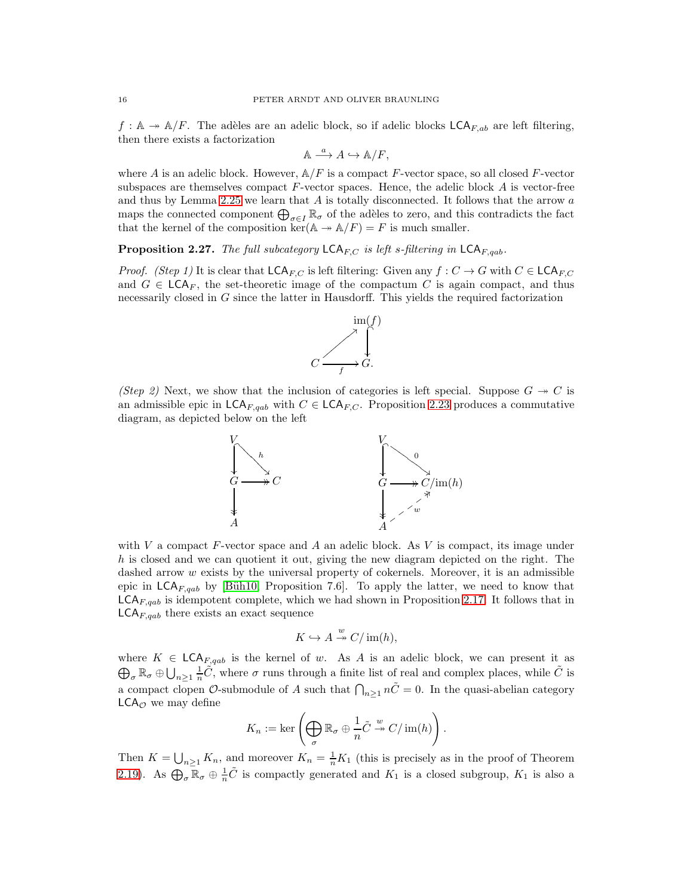$f : \mathbb{A} \to \mathbb{A}/F$ . The adèles are an adelic block, so if adelic blocks  $\mathsf{LCA}_{F,ab}$  are left filtering, then there exists a factorization

$$
\mathbb{A} \xrightarrow{a} A \hookrightarrow \mathbb{A}/F,
$$

where A is an adelic block. However,  $\mathbb{A}/F$  is a compact F-vector space, so all closed F-vector subspaces are themselves compact  $F$ -vector spaces. Hence, the adelic block  $A$  is vector-free and thus by Lemma [2.25](#page-14-1) we learn that  $A$  is totally disconnected. It follows that the arrow  $a$ maps the connected component  $\bigoplus_{\sigma \in I} \mathbb{R}_{\sigma}$  of the adèles to zero, and this contradicts the fact that the kernel of the composition  $\ker(A \to A/F) = F$  is much smaller.

<span id="page-15-0"></span>**Proposition 2.27.** The full subcategory  $\mathsf{LCA}_{F,C}$  is left s-filtering in  $\mathsf{LCA}_{F,qab}$ .

*Proof.* (Step 1) It is clear that  $\mathsf{LCA}_{F,C}$  is left filtering: Given any  $f: C \to G$  with  $C \in \mathsf{LCA}_{F,C}$ and  $G \in \mathsf{LCA}_F$ , the set-theoretic image of the compactum C is again compact, and thus necessarily closed in G since the latter in Hausdorff. This yields the required factorization



(Step 2) Next, we show that the inclusion of categories is left special. Suppose  $G \rightarrow C$  is an admissible epic in  $\mathsf{LCA}_{F,qab}$  with  $C \in \mathsf{LCA}_{F,C}$ . Proposition [2.23](#page-13-0) produces a commutative diagram, as depicted below on the left



with V a compact  $F$ -vector space and A an adelic block. As V is compact, its image under  $h$  is closed and we can quotient it out, giving the new diagram depicted on the right. The dashed arrow  $w$  exists by the universal property of cokernels. Moreover, it is an admissible epic in  $LCA_{F,qab}$  by [Büh10, Proposition 7.6]. To apply the latter, we need to know that  $LCA_{F, qab}$  is idempotent complete, which we had shown in Proposition [2.17.](#page-10-3) It follows that in  $\mathsf{LCA}_{F,qab}$  there exists an exact sequence

$$
K \hookrightarrow A \stackrel{w}{\twoheadrightarrow} C/\operatorname{im}(h),
$$

 $\bigoplus_{\sigma} \mathbb{R}_{\sigma} \oplus \bigcup_{n\geq 1} \frac{1}{n}\tilde{C}$ , where  $\sigma$  runs through a finite list of real and complex places, while  $\tilde{C}$  is where  $K \in \mathsf{LCA}_{F, qab}$  is the kernel of w. As A is an adelic block, we can present it as a compact clopen  $\mathcal O$ -submodule of A such that  $\bigcap_{n\geq 1} n\tilde{C} = 0$ . In the quasi-abelian category  $LCA_{\mathcal{O}}$  we may define

$$
K_n := \ker \left(\bigoplus_{\sigma} \mathbb{R}_{\sigma} \oplus \frac{1}{n}\tilde{C} \stackrel{w}{\twoheadrightarrow} C/\operatorname{im}(h)\right).
$$

Then  $K = \bigcup_{n \geq 1} K_n$ , and moreover  $K_n = \frac{1}{n} K_1$  (this is precisely as in the proof of Theorem [2.19\)](#page-12-2). As  $\bigoplus_{\sigma} \overline{\mathbb{R}}_{\sigma} \oplus \frac{1}{n} \tilde{C}$  is compactly generated and  $K_1$  is a closed subgroup,  $K_1$  is also a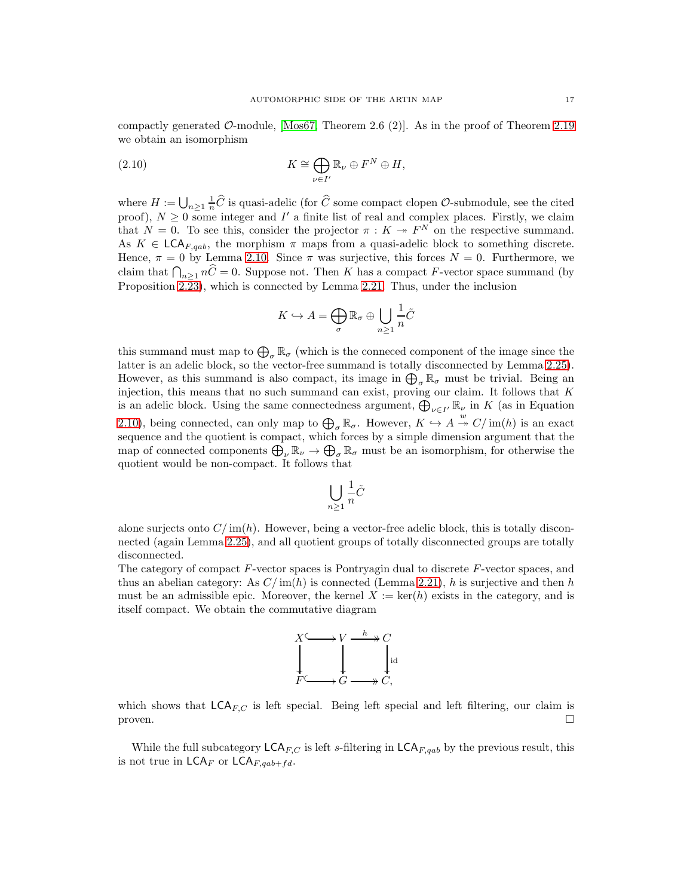compactly generated  $\mathcal{O}\text{-module}$ , [\[Mos67,](#page-39-13) Theorem 2.6 (2)]. As in the proof of Theorem [2.19](#page-12-2) we obtain an isomorphism

(2.10) 
$$
K \cong \bigoplus_{\nu \in I'} \mathbb{R}_{\nu} \oplus F^N \oplus H,
$$

where  $H := \bigcup_{n\geq 1} \frac{1}{n}\widehat{C}$  is quasi-adelic (for  $\widehat{C}$  some compact clopen  $\mathcal{O}$ -submodule, see the cited proof),  $N \geq 0$  some integer and I' a finite list of real and complex places. Firstly, we claim that  $N = 0$ . To see this, consider the projector  $\pi : K \twoheadrightarrow F^N$  on the respective summand. As  $K \in \mathsf{LCA}_{F, qab}$ , the morphism  $\pi$  maps from a quasi-adelic block to something discrete. Hence,  $\pi = 0$  by Lemma [2.10.](#page-8-0) Since  $\pi$  was surjective, this forces  $N = 0$ . Furthermore, we claim that  $\bigcap_{n\geq 1} n\widehat{C} = 0$ . Suppose not. Then K has a compact F-vector space summand (by Proposition  $2.\overline{2}3$ ), which is connected by Lemma [2.21.](#page-13-1) Thus, under the inclusion

<span id="page-16-0"></span>
$$
K \hookrightarrow A = \bigoplus_{\sigma} \mathbb{R}_{\sigma} \oplus \bigcup_{n \ge 1} \frac{1}{n}\tilde{C}
$$

this summand must map to  $\bigoplus_{\sigma} \mathbb{R}_{\sigma}$  (which is the conneced component of the image since the latter is an adelic block, so the vector-free summand is totally disconnected by Lemma [2.25\)](#page-14-1). However, as this summand is also compact, its image in  $\bigoplus_{\sigma} \mathbb{R}_{\sigma}$  must be trivial. Being an injection, this means that no such summand can exist, proving our claim. It follows that  $K$ is an adelic block. Using the same connectedness argument,  $\bigoplus_{\nu \in I'} \mathbb{R}_{\nu}$  in K (as in Equation [2.10\)](#page-16-0), being connected, can only map to  $\bigoplus_{\sigma} \mathbb{R}_{\sigma}$ . However,  $K \hookrightarrow A \stackrel{w}{\rightarrow} C/\text{im}(h)$  is an exact sequence and the quotient is compact, which forces by a simple dimension argument that the map of connected components  $\bigoplus_{\nu} \mathbb{R}_{\nu} \to \bigoplus_{\sigma} \mathbb{R}_{\sigma}$  must be an isomorphism, for otherwise the quotient would be non-compact. It follows that

$$
\bigcup_{n\geq 1}\frac{1}{n}\tilde{C}
$$

alone surjects onto  $C/\text{im}(h)$ . However, being a vector-free adelic block, this is totally disconnected (again Lemma [2.25\)](#page-14-1), and all quotient groups of totally disconnected groups are totally disconnected.

The category of compact F-vector spaces is Pontryagin dual to discrete F-vector spaces, and thus an abelian category: As  $C/\text{im}(h)$  is connected (Lemma [2.21\)](#page-13-1), h is surjective and then h must be an admissible epic. Moreover, the kernel  $X := \text{ker}(h)$  exists in the category, and is itself compact. We obtain the commutative diagram



which shows that  $\mathsf{LCA}_{FC}$  is left special. Being left special and left filtering, our claim is proven.  $\Box$ 

While the full subcategory  $\mathsf{LCA}_{F,C}$  is left s-filtering in  $\mathsf{LCA}_{F,qab}$  by the previous result, this is not true in  $\mathsf{LCA}_F$  or  $\mathsf{LCA}_{F,qab+fd}$ .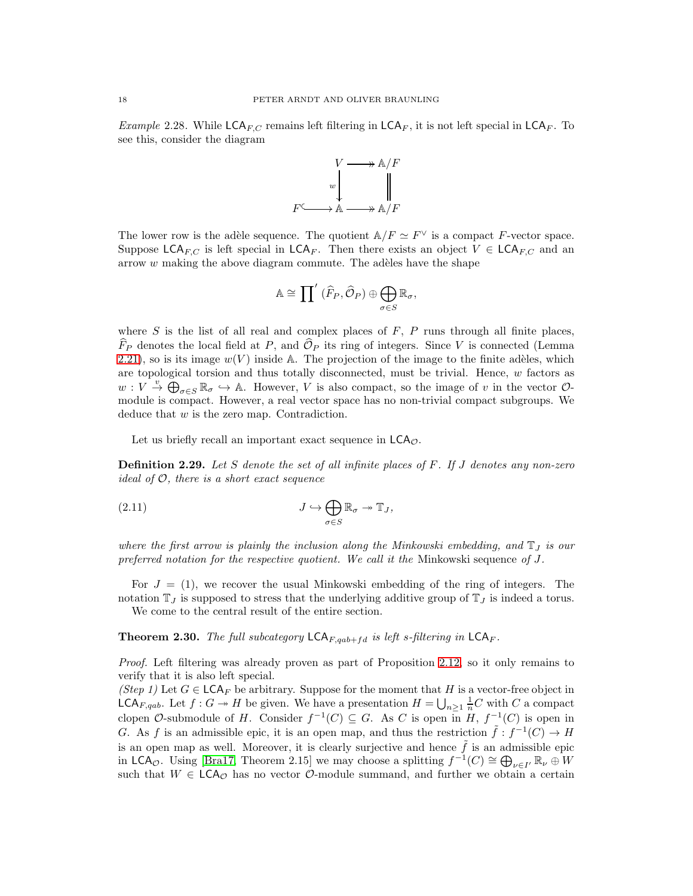*Example* 2.28. While  $\mathsf{LCA}_{F,C}$  remains left filtering in  $\mathsf{LCA}_F$ , it is not left special in  $\mathsf{LCA}_F$ . To see this, consider the diagram



The lower row is the adèle sequence. The quotient  $\mathbb{A}/F \simeq F^{\vee}$  is a compact F-vector space. Suppose LCA<sub>F,C</sub> is left special in LCA<sub>F</sub>. Then there exists an object  $V \in LCA_{FC}$  and an arrow  $w$  making the above diagram commute. The adèles have the shape

$$
\mathbb{A} \cong \prod' \left( \widehat{F}_P, \widehat{\mathcal{O}}_P \right) \oplus \bigoplus_{\sigma \in S} \mathbb{R}_\sigma,
$$

where  $S$  is the list of all real and complex places of  $F$ ,  $P$  runs through all finite places,  $\widehat{F}_P$  denotes the local field at P, and  $\widehat{O}_P$  its ring of integers. Since V is connected (Lemma [2.21\)](#page-13-1), so is its image  $w(V)$  inside A. The projection of the image to the finite adèles, which are topological torsion and thus totally disconnected, must be trivial. Hence,  $w$  factors as  $w: V \stackrel{v}{\rightarrow} \bigoplus_{\sigma \in S} \mathbb{R}_{\sigma} \hookrightarrow A$ . However, V is also compact, so the image of v in the vector  $\mathcal{O}$ module is compact. However, a real vector space has no non-trivial compact subgroups. We deduce that  $w$  is the zero map. Contradiction.

Let us briefly recall an important exact sequence in  $LCA_{\mathcal{O}}$ .

**Definition 2.29.** Let S denote the set of all infinite places of  $F$ . If J denotes any non-zero ideal of  $\mathcal{O}$ , there is a short exact sequence

<span id="page-17-0"></span>(2.11) 
$$
J \hookrightarrow \bigoplus_{\sigma \in S} \mathbb{R}_{\sigma} \twoheadrightarrow \mathbb{T}_{J},
$$

where the first arrow is plainly the inclusion along the Minkowski embedding, and  $\mathbb{T}_J$  is our preferred notation for the respective quotient. We call it the Minkowski sequence of  $J$ .

For  $J = (1)$ , we recover the usual Minkowski embedding of the ring of integers. The notation  $\mathbb{T}_J$  is supposed to stress that the underlying additive group of  $\mathbb{T}_J$  is indeed a torus. We come to the central result of the entire section.

<span id="page-17-1"></span>**Theorem 2.30.** The full subcategory  $\mathsf{LCA}_{F, qab+fd}$  is left s-filtering in  $\mathsf{LCA}_F$ .

Proof. Left filtering was already proven as part of Proposition [2.12,](#page-8-1) so it only remains to verify that it is also left special.

(Step 1) Let  $G \in \mathsf{LCA}_F$  be arbitrary. Suppose for the moment that H is a vector-free object in **LCA**<sub>F,qab</sub>. Let  $f: G \to H$  be given. We have a presentation  $H = \bigcup_{n \geq 1} \frac{1}{n}C$  with C a compact clopen  $\mathcal{O}\text{-submodule of } H$ . Consider  $f^{-1}(C) \subseteq G$ . As C is open in  $H, f^{-1}(C)$  is open in G. As f is an admissible epic, it is an open map, and thus the restriction  $\tilde{f}: f^{-1}(C) \to H$ is an open map as well. Moreover, it is clearly surjective and hence  $\tilde{f}$  is an admissible epic in LCA<sub>O</sub>. Using [\[Bra17,](#page-39-2) Theorem 2.15] we may choose a splitting  $f^{-1}(C) \cong \bigoplus_{\nu \in I'} \mathbb{R}_{\nu} \oplus W$ such that  $W \in \mathsf{LCA}_{\mathcal{O}}$  has no vector  $\mathcal{O}\text{-module summand}$ , and further we obtain a certain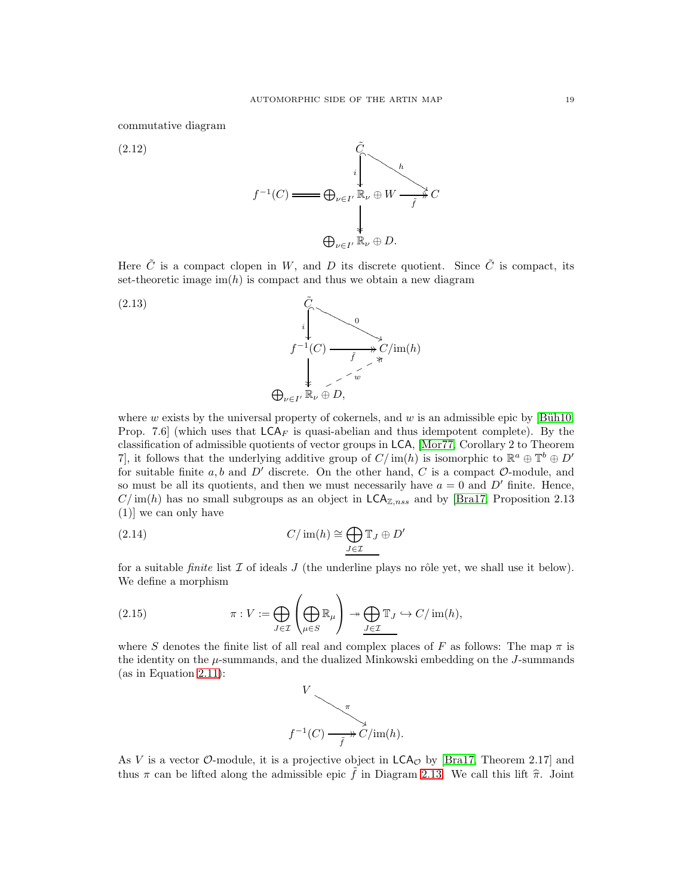commutative diagram

<span id="page-18-3"></span>

Here  $\tilde{C}$  is a compact clopen in W, and D its discrete quotient. Since  $\tilde{C}$  is compact, its set-theoretic image  $\text{im}(h)$  is compact and thus we obtain a new diagram

<span id="page-18-0"></span>(2.13)  
\n
$$
\begin{array}{ccc}\n\tilde{C} & & \\
& \downarrow & \\
f^{-1}(C) & \xrightarrow{\tilde{f}} C/\text{im}(h) \\
& \downarrow^{\tilde{f}} & \nearrow^{\tilde{w}} \\
& \bigoplus_{\nu \in I'} \mathbb{R}_{\nu} \oplus D,\n\end{array}
$$

where w exists by the universal property of cokernels, and w is an admissible epic by  $[\text{Büh10}]$ , Prop. 7.6] (which uses that  $LCA_F$  is quasi-abelian and thus idempotent complete). By the classification of admissible quotients of vector groups in LCA, [\[Mor77,](#page-39-10) Corollary 2 to Theorem 7, it follows that the underlying additive group of  $C/\text{im}(h)$  is isomorphic to  $\mathbb{R}^a \oplus \mathbb{T}^b \oplus D'$ for suitable finite a, b and  $D'$  discrete. On the other hand, C is a compact  $\mathcal{O}\text{-module}$ , and so must be all its quotients, and then we must necessarily have  $a = 0$  and D' finite. Hence,  $C/\text{im}(h)$  has no small subgroups as an object in  $\textsf{LCA}_{\mathbb{Z},nss}$  and by [\[Bra17,](#page-39-2) Proposition 2.13 (1)] we can only have

(2.14) 
$$
C/\operatorname{im}(h) \cong \bigoplus_{J \in \mathcal{I}} \mathbb{T}_J \oplus D'
$$

for a suitable *finite* list  $\mathcal I$  of ideals  $J$  (the underline plays no rôle yet, we shall use it below). We define a morphism

(2.15) 
$$
\pi: V := \bigoplus_{J \in \mathcal{I}} \left( \bigoplus_{\mu \in S} \mathbb{R}_{\mu} \right) \twoheadrightarrow \bigoplus_{J \in \mathcal{I}} \mathbb{T}_{J} \hookrightarrow C/\text{im}(h),
$$

where S denotes the finite list of all real and complex places of F as follows: The map  $\pi$  is the identity on the  $\mu$ -summands, and the dualized Minkowski embedding on the J-summands (as in Equation [2.11\)](#page-17-0):

<span id="page-18-2"></span><span id="page-18-1"></span>

As V is a vector O-module, it is a projective object in  $LCA<sub>O</sub>$  by [\[Bra17,](#page-39-2) Theorem 2.17] and thus  $\pi$  can be lifted along the admissible epic  $\tilde{f}$  in Diagram [2.13.](#page-18-0) We call this lift  $\hat{\pi}$ . Joint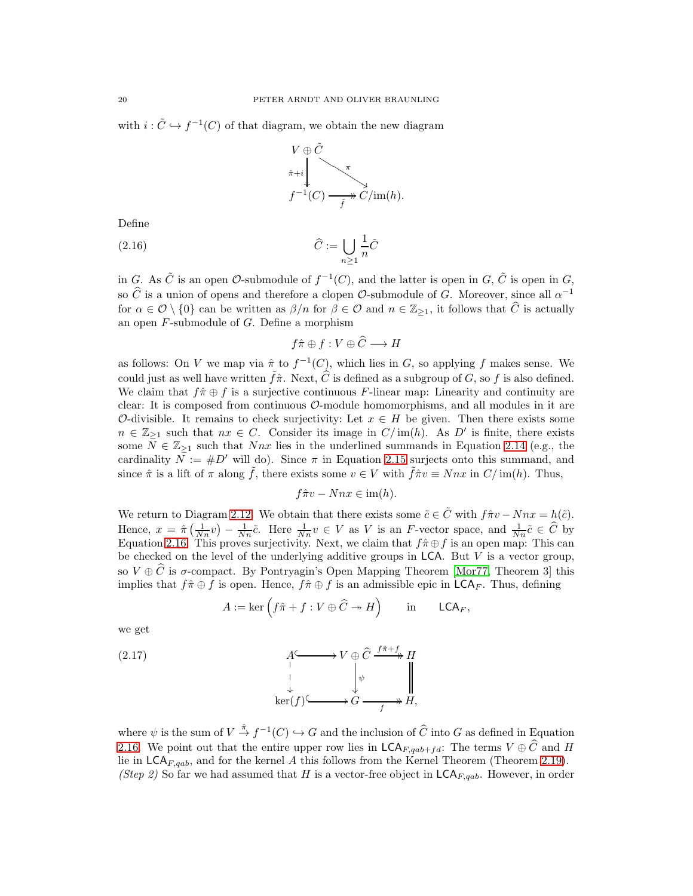with  $i: \tilde{C} \hookrightarrow f^{-1}(C)$  of that diagram, we obtain the new diagram



Define

$$
(2.16)\qquad \qquad \widehat{C} := \bigcup_{n \ge 1} \frac{1}{n} \widehat{C}
$$

in G. As  $\tilde{C}$  is an open  $\mathcal{O}$ -submodule of  $f^{-1}(C)$ , and the latter is open in  $G, \tilde{C}$  is open in  $G$ , so  $\widehat{C}$  is a union of opens and therefore a clopen  $\mathcal{O}$ -submodule of G. Moreover, since all  $\alpha^{-1}$ for  $\alpha \in \mathcal{O} \setminus \{0\}$  can be written as  $\beta/n$  for  $\beta \in \mathcal{O}$  and  $n \in \mathbb{Z}_{\geq 1}$ , it follows that  $\widehat{C}$  is actually an open  $F$ -submodule of  $G$ . Define a morphism

<span id="page-19-0"></span>
$$
f\hat{\pi} \oplus f : V \oplus C \longrightarrow H
$$

as follows: On V we map via  $\hat{\pi}$  to  $f^{-1}(C)$ , which lies in G, so applying f makes sense. We could just as well have written  $\tilde{f}\hat{\pi}$ . Next,  $\hat{C}$  is defined as a subgroup of G, so f is also defined. We claim that  $f\hat{\pi} \oplus f$  is a surjective continuous F-linear map: Linearity and continuity are clear: It is composed from continuous  $\mathcal{O}$ -module homomorphisms, and all modules in it are O-divisible. It remains to check surjectivity: Let  $x \in H$  be given. Then there exists some  $n \in \mathbb{Z}_{\geq 1}$  such that  $nx \in C$ . Consider its image in  $C/\text{im}(h)$ . As D' is finite, there exists some  $N \in \mathbb{Z}_{\geq 1}$  such that Nnx lies in the underlined summands in Equation [2.14](#page-18-1) (e.g., the cardinality  $N := #D'$  will do). Since  $\pi$  in Equation [2.15](#page-18-2) surjects onto this summand, and since  $\hat{\pi}$  is a lift of  $\pi$  along  $\hat{f}$ , there exists some  $v \in V$  with  $\hat{f}\hat{\pi}v \equiv Nnx$  in  $C/\text{im}(h)$ . Thus,

$$
f\hat{\pi}v - Nnx \in \text{im}(h).
$$

We return to Diagram [2.12.](#page-18-3) We obtain that there exists some  $\tilde{c} \in \tilde{C}$  with  $f\hat{\pi}v - Nnx = h(\tilde{c})$ . Hence,  $x = \hat{\pi} \left( \frac{1}{N_n} v \right) - \frac{1}{N_n} \tilde{c}$ . Here  $\frac{1}{N_n} v \in V$  as V is an F-vector space, and  $\frac{1}{N_n} \tilde{c} \in \widehat{C}$  by Equation [2.16.](#page-19-0) This proves surjectivity. Next, we claim that  $f\hat{\pi}\oplus f$  is an open map: This can be checked on the level of the underlying additive groups in  $LCA$ . But V is a vector group, so  $V \oplus \widehat{C}$  is  $\sigma$ -compact. By Pontryagin's Open Mapping Theorem [\[Mor77,](#page-39-10) Theorem 3] this implies that  $f\hat{\pi} \oplus f$  is open. Hence,  $f\hat{\pi} \oplus f$  is an admissible epic in  $\mathsf{LCA}_F$ . Thus, defining

<span id="page-19-1"></span>
$$
A := \ker \left( f\hat{\pi} + f : V \oplus \widehat{C} \twoheadrightarrow H \right) \quad \text{in} \quad \mathsf{LCA}_F,
$$

we get

(2.17) 
$$
A \longrightarrow V \oplus \widehat{C} \xrightarrow{f \hat{\pi} + f} H
$$
\n
$$
\downarrow \qquad \qquad \downarrow \qquad \qquad \downarrow \qquad \qquad \downarrow
$$
\n
$$
\ker(f) \longrightarrow G \xrightarrow{f} H,
$$

where  $\psi$  is the sum of  $V \stackrel{\hat{\pi}}{\rightarrow} f^{-1}(C) \hookrightarrow G$  and the inclusion of  $\widehat{C}$  into G as defined in Equation [2.16.](#page-19-0) We point out that the entire upper row lies in  $\mathsf{LCA}_{F, qab+fd}$ : The terms  $V \oplus \widehat{C}$  and H lie in  $\mathsf{LCA}_{F,qab}$ , and for the kernel A this follows from the Kernel Theorem (Theorem [2.19\)](#page-12-2). (Step 2) So far we had assumed that H is a vector-free object in  $\mathsf{LCA}_{F, qab}$ . However, in order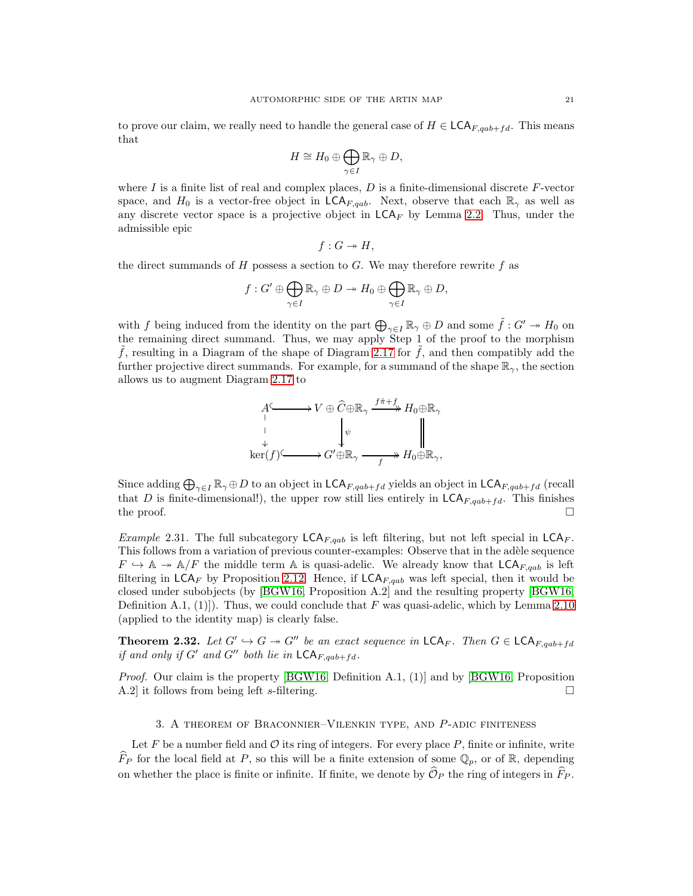to prove our claim, we really need to handle the general case of  $H \in \mathsf{LCA}_{F, aab+fd}$ . This means that

$$
H \cong H_0 \oplus \bigoplus_{\gamma \in I} \mathbb{R}_{\gamma} \oplus D,
$$

where I is a finite list of real and complex places,  $D$  is a finite-dimensional discrete F-vector space, and  $H_0$  is a vector-free object in  $\mathsf{LCA}_{F, qab}$ . Next, observe that each  $\mathbb{R}_{\gamma}$  as well as any discrete vector space is a projective object in  $\mathsf{LCA}_F$  by Lemma [2.2.](#page-6-0) Thus, under the admissible epic

$$
f: G \twoheadrightarrow H,
$$

the direct summands of H possess a section to G. We may therefore rewrite f as

$$
f: G' \oplus \bigoplus_{\gamma \in I} \mathbb{R}_{\gamma} \oplus D \twoheadrightarrow H_0 \oplus \bigoplus_{\gamma \in I} \mathbb{R}_{\gamma} \oplus D,
$$

with f being induced from the identity on the part  $\bigoplus_{\gamma\in I}\mathbb{R}_\gamma\oplus D$  and some  $\tilde{f}: G'\twoheadrightarrow H_0$  on the remaining direct summand. Thus, we may apply Step 1 of the proof to the morphism f, resulting in a Diagram of the shape of Diagram [2.17](#page-19-1) for  $\tilde{f}$ , and then compatibly add the further projective direct summands. For example, for a summand of the shape  $\mathbb{R}_{\gamma}$ , the section allows us to augment Diagram [2.17](#page-19-1) to

$$
A \longrightarrow V \oplus \widehat{C} \oplus \mathbb{R}_{\gamma} \xrightarrow{f \hat{\pi} + f} H_0 \oplus \mathbb{R}_{\gamma}
$$
  
\n
$$
\downarrow \qquad \qquad \downarrow \qquad \qquad \downarrow \qquad \qquad \parallel
$$
  
\n
$$
\downarrow \qquad \qquad \downarrow \qquad \qquad \parallel
$$
  
\n
$$
\downarrow \qquad \qquad \downarrow
$$
  
\n
$$
\downarrow \qquad \qquad \parallel
$$
  
\n
$$
\downarrow \qquad \qquad \parallel
$$
  
\n
$$
\downarrow \qquad \qquad \parallel
$$
  
\n
$$
\downarrow \qquad \qquad \parallel
$$
  
\n
$$
\downarrow \qquad \qquad \parallel
$$
  
\n
$$
\downarrow \qquad \qquad \parallel
$$
  
\n
$$
\downarrow \qquad \qquad \parallel
$$

Since adding  $\bigoplus_{\gamma\in I}\mathbb{R}_{\gamma}\oplus D$  to an object in  $\mathsf{LCA}_{F, qab+f d}$  yields an object in  $\mathsf{LCA}_{F, qab+f d}$  (recall that D is finite-dimensional!), the upper row still lies entirely in  $\mathsf{LCA}_{F,qab+fd}$ . This finishes the proof.  $\Box$ 

*Example 2.31.* The full subcategory  $LCA_{F,qab}$  is left filtering, but not left special in  $LCA_F$ . This follows from a variation of previous counter-examples: Observe that in the adèle sequence  $F \hookrightarrow \mathbb{A} \twoheadrightarrow \mathbb{A}/F$  the middle term  $\mathbb A$  is quasi-adelic. We already know that  $\mathsf{LCA}_{F,qab}$  is left filtering in  $LCA_F$  by Proposition [2.12.](#page-8-1) Hence, if  $LCA_{F, qab}$  was left special, then it would be closed under subobjects (by [\[BGW16,](#page-39-7) Proposition A.2] and the resulting property [\[BGW16,](#page-39-7) Definition A.1, (1). Thus, we could conclude that F was quasi-adelic, which by Lemma [2.10](#page-8-0) (applied to the identity map) is clearly false.

**Theorem 2.32.** Let  $G' \hookrightarrow G \twoheadrightarrow G''$  be an exact sequence in  $\mathsf{LCA}_F$ . Then  $G \in \mathsf{LCA}_{F,qab+fd}$ if and only if G' and G'' both lie in  $\mathsf{LCA}_{F, qab+fd}$ .

Proof. Our claim is the property [\[BGW16,](#page-39-7) Definition A.1, (1)] and by [\[BGW16,](#page-39-7) Proposition A.2] it follows from being left s-filtering.

## 3. A theorem of Braconnier–Vilenkin type, and P-adic finiteness

Let  $F$  be a number field and  $\mathcal O$  its ring of integers. For every place  $P$ , finite or infinite, write  $\widehat{F}_P$  for the local field at P, so this will be a finite extension of some  $\mathbb{Q}_p$ , or of R, depending on whether the place is finite or infinite. If finite, we denote by  $\mathcal{O}_P$  the ring of integers in  $\hat{F}_P$ .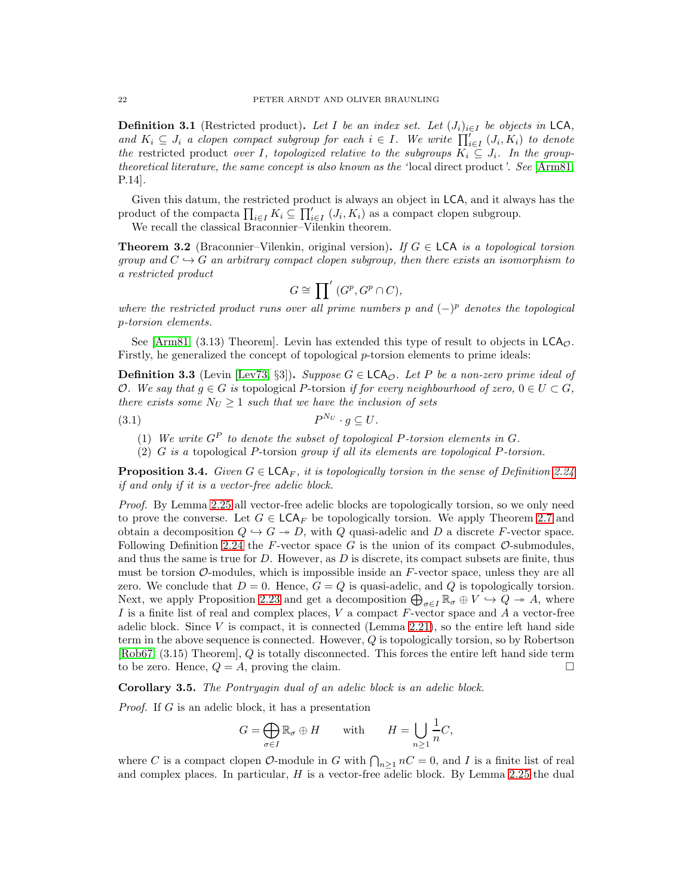**Definition 3.1** (Restricted product). Let I be an index set. Let  $(J_i)_{i\in I}$  be objects in LCA, and  $K_i \subseteq J_i$  a clopen compact subgroup for each  $i \in I$ . We write  $\prod_{i \in I}^{\prime} (J_i, K_i)$  to denote the restricted product over I, topologized relative to the subgroups  $K_i \subseteq J_i$ . In the grouptheoretical literature, the same concept is also known as the 'local direct product'. See [\[Arm81,](#page-39-14) P.14].

Given this datum, the restricted product is always an object in LCA, and it always has the product of the compacta  $\prod_{i\in I} K_i \subseteq \prod_{i\in I}' (J_i, K_i)$  as a compact clopen subgroup.

We recall the classical Braconnier–Vilenkin theorem.

**Theorem 3.2** (Braconnier–Vilenkin, original version). If  $G \in \mathsf{LCA}$  is a topological torsion group and  $C \rightarrow G$  an arbitrary compact clopen subgroup, then there exists an isomorphism to a restricted product

$$
G\cong {\prod}'\;(G^p,G^p\cap C),
$$

where the restricted product runs over all prime numbers p and  $(-)^p$  denotes the topological p-torsion elements.

See [\[Arm81,](#page-39-14) (3.13) Theorem]. Levin has extended this type of result to objects in  $\mathsf{LCA}_\mathcal{O}$ . Firstly, he generalized the concept of topological p-torsion elements to prime ideals:

**Definition 3.3** (Levin [\[Lev73,](#page-39-9) §3]). Suppose  $G \in \mathsf{LCA}_\mathcal{O}$ . Let P be a non-zero prime ideal of O. We say that  $g \in G$  is topological P-torsion if for every neighbourhood of zero,  $0 \in U \subset G$ , there exists some  $N_U \geq 1$  such that we have the inclusion of sets

$$
(3.1) \t\t P^{N_U} \cdot g \subseteq U.
$$

- (1) We write  $G^P$  to denote the subset of topological P-torsion elements in  $G$ .
- (2) G is a topological P-torsion group if all its elements are topological P-torsion.

<span id="page-21-0"></span>**Proposition 3.4.** Given  $G \in \mathsf{LCA}_F$ , it is topologically torsion in the sense of Definition [2.24](#page-14-0) if and only if it is a vector-free adelic block.

Proof. By Lemma [2.25](#page-14-1) all vector-free adelic blocks are topologically torsion, so we only need to prove the converse. Let  $G \in \mathsf{LCA}_F$  be topologically torsion. We apply Theorem [2.7](#page-7-3) and obtain a decomposition  $Q \hookrightarrow G \twoheadrightarrow D$ , with Q quasi-adelic and D a discrete F-vector space. Following Definition [2.24](#page-14-0) the F-vector space  $G$  is the union of its compact  $\mathcal{O}\text{-submodules}$ , and thus the same is true for  $D$ . However, as  $D$  is discrete, its compact subsets are finite, thus must be torsion  $\mathcal{O}\text{-modules}$ , which is impossible inside an F-vector space, unless they are all zero. We conclude that  $D = 0$ . Hence,  $G = Q$  is quasi-adelic, and Q is topologically torsion. Next, we apply Proposition [2.23](#page-13-0) and get a decomposition  $\bigoplus_{\sigma\in I}\mathbb{R}_\sigma\oplus V\hookrightarrow Q\twoheadrightarrow A$ , where I is a finite list of real and complex places,  $V$  a compact  $F$ -vector space and  $A$  a vector-free adelic block. Since  $V$  is compact, it is connected (Lemma [2.21\)](#page-13-1), so the entire left hand side term in the above sequence is connected. However,  $Q$  is topologically torsion, so by Robertson [\[Rob67,](#page-39-11) (3.15) Theorem], Q is totally disconnected. This forces the entire left hand side term to be zero. Hence,  $Q = A$ , proving the claim.

<span id="page-21-1"></span>Corollary 3.5. The Pontryagin dual of an adelic block is an adelic block.

Proof. If G is an adelic block, it has a presentation

$$
G = \bigoplus_{\sigma \in I} \mathbb{R}_{\sigma} \oplus H \quad \text{with} \quad H = \bigcup_{n \ge 1} \frac{1}{n} C,
$$

where C is a compact clopen  $\mathcal{O}\text{-module}$  in G with  $\bigcap_{n\geq 1} nC = 0$ , and I is a finite list of real and complex places. In particular,  $H$  is a vector-free adelic block. By Lemma [2.25](#page-14-1) the dual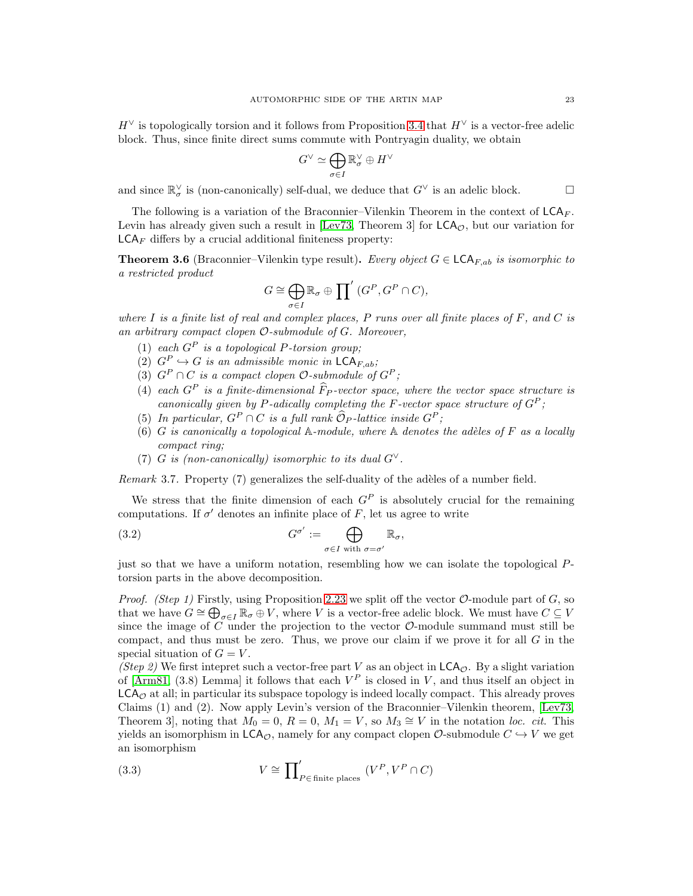$H^{\vee}$  is topologically torsion and it follows from Proposition [3.4](#page-21-0) that  $H^{\vee}$  is a vector-free adelic block. Thus, since finite direct sums commute with Pontryagin duality, we obtain

$$
G^\vee \simeq \bigoplus_{\sigma \in I} \mathbb{R}^\vee_\sigma \oplus H^\vee
$$

and since  $\mathbb{R}^\vee_\sigma$  is (non-canonically) self-dual, we deduce that  $G^\vee$  is an adelic block.

The following is a variation of the Braconnier–Vilenkin Theorem in the context of  $LCA_F$ . Levin has already given such a result in [\[Lev73,](#page-39-9) Theorem 3] for  $LCA_{\mathcal{O}}$ , but our variation for  $\mathsf{LCA}_F$  differs by a crucial additional finiteness property:

<span id="page-22-0"></span>**Theorem 3.6** (Braconnier–Vilenkin type result). Every object  $G \in \mathsf{LCA}_{F,ab}$  is isomorphic to a restricted product

$$
G \cong \bigoplus_{\sigma \in I} \mathbb{R}_{\sigma} \oplus \prod' (G^P, G^P \cap C),
$$

where  $I$  is a finite list of real and complex places,  $P$  runs over all finite places of  $F$ , and  $C$  is an arbitrary compact clopen O-submodule of G. Moreover,

- (1) each  $G^P$  is a topological P-torsion group;
- (2)  $G^P \hookrightarrow G$  is an admissible monic in  $\mathsf{LCA}_{F,ab}$ ;
- (3)  $G^P \cap C$  is a compact clopen  $\mathcal{O}\text{-submodule}$  of  $G^P$ ;
- (4) each  $G^P$  is a finite-dimensional  $\widehat{F}_P$ -vector space, where the vector space structure is canonically given by P-adically completing the F-vector space structure of  $G^P$ ;
- (5) In particular,  $G^P \cap C$  is a full rank  $\widehat{\mathcal{O}}_P$ -lattice inside  $G^P$ ;
- (6) G is canonically a topological  $\mathbb{A}\text{-module}$ , where  $\mathbb{A}\$  denotes the adèles of F as a locally compact ring;
- <span id="page-22-2"></span>(7) G is (non-canonically) isomorphic to its dual  $G^{\vee}$ .

Remark 3.7. Property  $(7)$  generalizes the self-duality of the adèles of a number field.

We stress that the finite dimension of each  $G<sup>P</sup>$  is absolutely crucial for the remaining computations. If  $\sigma'$  denotes an infinite place of F, let us agree to write

(3.2) 
$$
G^{\sigma'} := \bigoplus_{\sigma \in I \text{ with } \sigma = \sigma'} \mathbb{R}_{\sigma},
$$

just so that we have a uniform notation, resembling how we can isolate the topological Ptorsion parts in the above decomposition.

*Proof.* (Step 1) Firstly, using Proposition [2.23](#page-13-0) we split off the vector  $\mathcal{O}\text{-module part of } G$ , so that we have  $G \cong \bigoplus_{\sigma \in I} \mathbb{R}_{\sigma} \oplus V$ , where V is a vector-free adelic block. We must have  $C \subseteq V$ since the image of C under the projection to the vector  $\mathcal{O}\text{-module summand must still be}$ compact, and thus must be zero. Thus, we prove our claim if we prove it for all  $G$  in the special situation of  $G = V$ .

(Step 2) We first intepret such a vector-free part V as an object in  $\mathsf{LCA}_\mathcal{O}$ . By a slight variation of [\[Arm81,](#page-39-14)  $(3.8)$  Lemma] it follows that each  $V^P$  is closed in V, and thus itself an object in  $LCA<sub>o</sub>$  at all; in particular its subspace topology is indeed locally compact. This already proves Claims (1) and (2). Now apply Levin's version of the Braconnier–Vilenkin theorem, [\[Lev73,](#page-39-9) Theorem 3, noting that  $M_0 = 0$ ,  $R = 0$ ,  $M_1 = V$ , so  $M_3 \cong V$  in the notation loc. cit. This yields an isomorphism in  $\mathsf{LCA}_\mathcal{O}$ , namely for any compact clopen  $\mathcal{O}\text{-submodule } C \hookrightarrow V$  we get an isomorphism

<span id="page-22-1"></span>(3.3) 
$$
V \cong \prod'_{P \in \text{finite places}} (V^P, V^P \cap C)
$$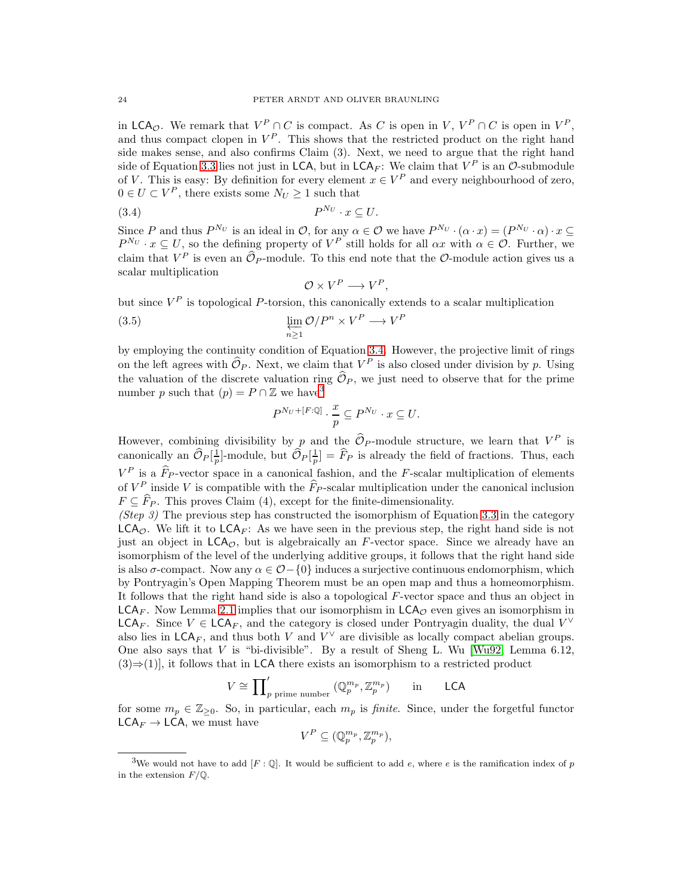in  $\mathsf{LCA}_{\mathcal{O}}$ . We remark that  $V^P \cap C$  is compact. As C is open in V,  $V^P \cap C$  is open in  $V^P$ , and thus compact clopen in  $V^P$ . This shows that the restricted product on the right hand side makes sense, and also confirms Claim (3). Next, we need to argue that the right hand side of Equation [3.3](#page-22-1) lies not just in LCA, but in LCA<sub>F</sub>: We claim that  $V^P$  is an  $\mathcal{O}\text{-submodule}$ of V. This is easy: By definition for every element  $x \in V^P$  and every neighbourhood of zero,  $0 \in U \subset V^P$ , there exists some  $N_U \geq 1$  such that

$$
(3.4) \t\t P^{N_U} \cdot x \subseteq U.
$$

Since P and thus  $P^{N_U}$  is an ideal in O, for any  $\alpha \in \mathcal{O}$  we have  $P^{N_U} \cdot (\alpha \cdot x) = (P^{N_U} \cdot \alpha) \cdot x \subseteq$  $P^{N_U} \cdot x \subseteq U$ , so the defining property of  $V^P$  still holds for all  $\alpha x$  with  $\alpha \in \mathcal{O}$ . Further, we claim that  $V^P$  is even an  $\mathcal{O}_P$ -module. To this end note that the  $\mathcal{O}$ -module action gives us a scalar multiplication

<span id="page-23-2"></span><span id="page-23-0"></span>
$$
\mathcal{O} \times V^P \longrightarrow V^P,
$$

but since  $V^P$  is topological P-torsion, this canonically extends to a scalar multiplication

(3.5) 
$$
\varprojlim_{n\geq 1} \mathcal{O}/P^n \times V^P \longrightarrow V^P
$$

by employing the continuity condition of Equation [3.4.](#page-23-0) However, the projective limit of rings on the left agrees with  $\hat{\mathcal{O}}_P$ . Next, we claim that  $V^P$  is also closed under division by p. Using the valuation of the discrete valuation ring  $\widehat{\mathcal{O}}_P$ , we just need to observe that for the prime number p such that  $(p) = P \cap \mathbb{Z}$  we have<sup>[3](#page-23-1)</sup>

$$
P^{N_U+[F:\mathbb{Q}]} \cdot \frac{x}{p} \subseteq P^{N_U} \cdot x \subseteq U.
$$

However, combining divisibility by p and the  $\hat{\mathcal{O}}_P$ -module structure, we learn that  $V^P$  is canonically an  $\widehat{\mathcal{O}}_P[\frac{1}{p}]$ -module, but  $\widehat{\mathcal{O}}_P[\frac{1}{p}] = \widehat{F}_P$  is already the field of fractions. Thus, each  $V^P$  is a  $\widehat{F}_P$ -vector space in a canonical fashion, and the F-scalar multiplication of elements of  $V^P$  inside V is compatible with the  $\widehat{F}_P$ -scalar multiplication under the canonical inclusion  $F \subseteq \widehat{F}_P$ . This proves Claim (4), except for the finite-dimensionality.

(Step 3) The previous step has constructed the isomorphism of Equation [3.3](#page-22-1) in the category  $LCA_{\mathcal{O}}$ . We lift it to  $LCA_F$ : As we have seen in the previous step, the right hand side is not just an object in  $LCA_{\mathcal{O}}$ , but is algebraically an F-vector space. Since we already have an isomorphism of the level of the underlying additive groups, it follows that the right hand side is also  $\sigma$ -compact. Now any  $\alpha \in \mathcal{O}-\{0\}$  induces a surjective continuous endomorphism, which by Pontryagin's Open Mapping Theorem must be an open map and thus a homeomorphism. It follows that the right hand side is also a topological F-vector space and thus an object in  $LCA_F$ . Now Lemma [2.1](#page-5-0) implies that our isomorphism in  $LCA_{\mathcal{O}}$  even gives an isomorphism in LCA<sub>F</sub>. Since  $V \in \mathsf{LCA}_F$ , and the category is closed under Pontryagin duality, the dual  $V^{\vee}$ also lies in  $\mathsf{LCA}_F$ , and thus both V and  $V^\vee$  are divisible as locally compact abelian groups. One also says that V is "bi-divisible". By a result of Sheng L. Wu  $[Wu92, \text{ Lemma } 6.12,$  $(3) \Rightarrow (1)$ , it follows that in LCA there exists an isomorphism to a restricted product

$$
V \cong \prod'_{p \text{ prime number}} (\mathbb{Q}_p^{m_p}, \mathbb{Z}_p^{m_p}) \quad \text{in} \quad \text{LCA}
$$

for some  $m_p \in \mathbb{Z}_{\geq 0}$ . So, in particular, each  $m_p$  is *finite*. Since, under the forgetful functor  $LCA_F \rightarrow LCA$ , we must have

$$
V^P \subseteq (\mathbb{Q}_p^{m_p}, \mathbb{Z}_p^{m_p}),
$$

<span id="page-23-1"></span><sup>&</sup>lt;sup>3</sup>We would not have to add  $[F: \mathbb{Q}]$ . It would be sufficient to add e, where e is the ramification index of p in the extension  $F/\mathbb{Q}$ .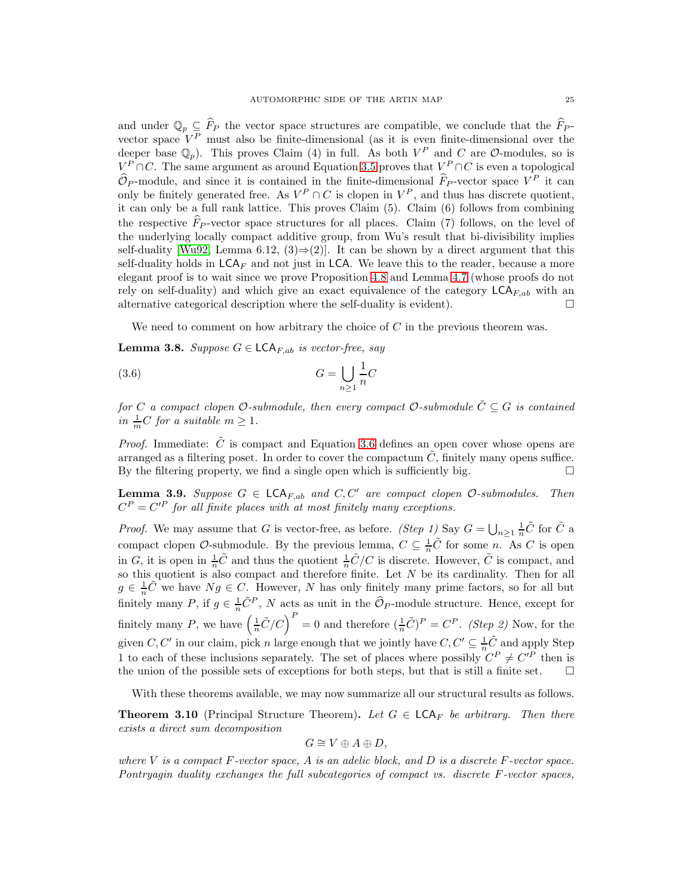and under  $\mathbb{Q}_p \subseteq \widehat{F}_P$  the vector space structures are compatible, we conclude that the  $\widehat{F}_P$ vector space  $V^P$  must also be finite-dimensional (as it is even finite-dimensional over the deeper base  $\mathbb{Q}_p$ ). This proves Claim (4) in full. As both  $V^P$  and C are O-modules, so is  $V^P \cap C$ . The same argument as around Equation [3.5](#page-23-2) proves that  $V^P \cap C$  is even a topological  $\mathcal{O}_P$ -module, and since it is contained in the finite-dimensional  $\hat{F}_P$ -vector space  $V^P$  it can only be finitely generated free. As  $V^P \cap C$  is clopen in  $V^P$ , and thus has discrete quotient, it can only be a full rank lattice. This proves Claim (5). Claim (6) follows from combining the respective  $\widehat{F}_{P}$ -vector space structures for all places. Claim (7) follows, on the level of the underlying locally compact additive group, from Wu's result that bi-divisibility implies self-duality [\[Wu92,](#page-39-12) Lemma 6.12,  $(3) \Rightarrow (2)$ ]. It can be shown by a direct argument that this self-duality holds in  $LCA<sub>F</sub>$  and not just in LCA. We leave this to the reader, because a more elegant proof is to wait since we prove Proposition [4.8](#page-28-0) and Lemma [4.7](#page-28-1) (whose proofs do not rely on self-duality) and which give an exact equivalence of the category  $LCA_{F,ab}$  with an alternative categorical description where the self-duality is evident).  $\Box$ 

<span id="page-24-1"></span>We need to comment on how arbitrary the choice of  $C$  in the previous theorem was.

<span id="page-24-2"></span>**Lemma 3.8.** Suppose  $G \in \mathsf{LCA}_{F,ab}$  is vector-free, say

$$
(3.6)\t\t\t G = \bigcup_{n\geq 1} \frac{1}{n}C
$$

for C a compact clopen  $\mathcal{O}\text{-submodule}$ , then every compact  $\mathcal{O}\text{-submodule}\,\tilde{C}\subseteq G$  is contained in  $\frac{1}{m}C$  for a suitable  $m \geq 1$ .

*Proof.* Immediate:  $\tilde{C}$  is compact and Equation [3.6](#page-24-1) defines an open cover whose opens are arranged as a filtering poset. In order to cover the compactum  $C$ , finitely many opens suffice. By the filtering property, we find a single open which is sufficiently big.  $\Box$ 

<span id="page-24-3"></span>**Lemma 3.9.** Suppose  $G \in \mathsf{LCA}_{F,ab}$  and  $C, C'$  are compact clopen  $\mathcal{O}\text{-submodules.}$  Then  $C^{P} = C'^{P}$  for all finite places with at most finitely many exceptions.

*Proof.* We may assume that G is vector-free, as before. (Step 1) Say  $G = \bigcup_{n\geq 1} \frac{1}{n}\tilde{C}$  for  $\tilde{C}$  a compact clopen  $\mathcal{O}$ -submodule. By the previous lemma,  $C \subseteq \frac{1}{n}\tilde{C}$  for some n. As C is open in G, it is open in  $\frac{1}{n}\tilde{C}$  and thus the quotient  $\frac{1}{n}\tilde{C}/C$  is discrete. However,  $\tilde{C}$  is compact, and so this quotient is also compact and therefore finite. Let N be its cardinality. Then for all  $g \in \frac{1}{n}\tilde{C}$  we have  $Ng \in C$ . However, N has only finitely many prime factors, so for all but finitely many P, if  $g \in \frac{1}{n}\tilde{C}^P$ , N acts as unit in the  $\widehat{\mathcal{O}}_P$ -module structure. Hence, except for finitely many P, we have  $\left(\frac{1}{n}\tilde{C}/C\right)^P = 0$  and therefore  $\left(\frac{1}{n}\tilde{C}\right)^P = C^P$ . (Step 2) Now, for the given C, C' in our claim, pick n large enough that we jointly have  $C, C' \subseteq \frac{1}{n}\tilde{C}$  and apply Step 1 to each of these inclusions separately. The set of places where possibly  $C^P \neq C'^P$  then is the union of the possible sets of exceptions for both steps, but that is still a finite set.  $\Box$ 

With these theorems available, we may now summarize all our structural results as follows.

<span id="page-24-0"></span>**Theorem 3.10** (Principal Structure Theorem). Let  $G \in \mathsf{LCA}_F$  be arbitrary. Then there exists a direct sum decomposition

$$
G \cong V \oplus A \oplus D,
$$

where V is a compact  $F$ -vector space, A is an adelic block, and D is a discrete  $F$ -vector space. Pontryagin duality exchanges the full subcategories of compact vs. discrete F-vector spaces,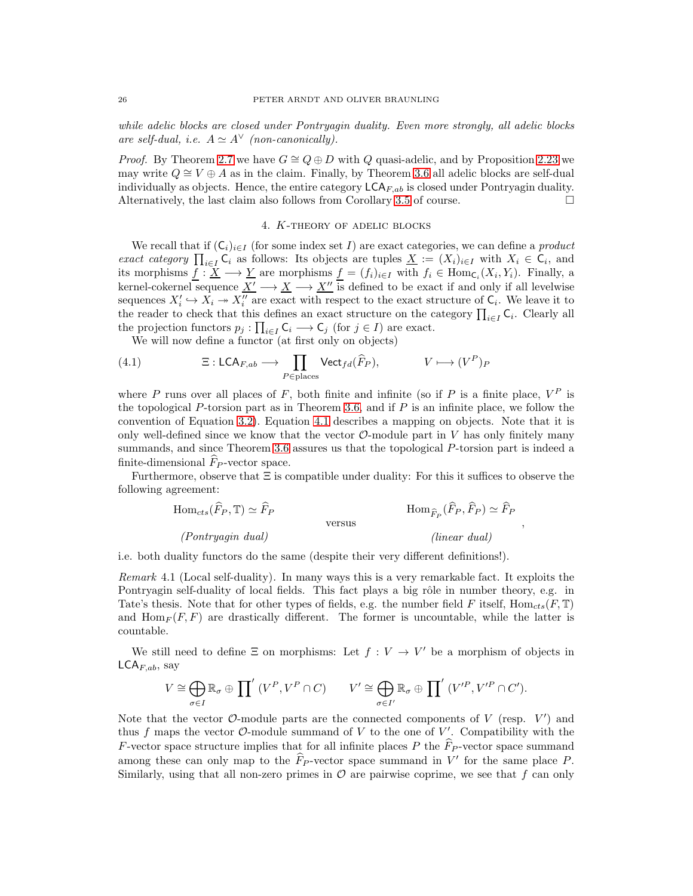while adelic blocks are closed under Pontryagin duality. Even more strongly, all adelic blocks are self-dual, i.e.  $A \simeq A^{\vee}$  (non-canonically).

*Proof.* By Theorem [2.7](#page-7-3) we have  $G \cong Q \oplus D$  with Q quasi-adelic, and by Proposition [2.23](#page-13-0) we may write  $Q \cong V \oplus A$  as in the claim. Finally, by Theorem [3.6](#page-22-0) all adelic blocks are self-dual individually as objects. Hence, the entire category  $LCA_{F,ab}$  is closed under Pontryagin duality. Alternatively, the last claim also follows from Corollary [3.5](#page-21-1) of course.  $\Box$ 

#### 4. K-theory of adelic blocks

We recall that if  $(C_i)_{i\in I}$  (for some index set I) are exact categories, we can define a *product* exact category  $\prod_{i\in I} C_i$  as follows: Its objects are tuples  $\underline{X} := (X_i)_{i\in I}$  with  $X_i \in C_i$ , and its morphisms  $\underline{f} : \underline{X} \longrightarrow \underline{Y}$  are morphisms  $\underline{f} = (f_i)_{i \in I}$  with  $f_i \in \text{Hom}_{\mathsf{C}_i}(X_i, Y_i)$ . Finally, a kernel-cokernel sequence  $\underline{X'} \longrightarrow \underline{X} \longrightarrow \underline{X''}$  is defined to be exact if and only if all levelwise sequences  $X'_i \hookrightarrow X_i \twoheadrightarrow X''_i$  are exact with respect to the exact structure of  $C_i$ . We leave it to the reader to check that this defines an exact structure on the category  $\prod_{i\in I} C_i$ . Clearly all the projection functors  $p_j : \prod_{i \in I} C_i \longrightarrow C_j$  (for  $j \in I$ ) are exact.

<span id="page-25-0"></span>We will now define a functor (at first only on objects)

(4.1) 
$$
\Xi: \mathsf{LCA}_{F,ab} \longrightarrow \prod_{P \in \mathsf{places}} \mathsf{Vect}_{fd}(\widehat{F}_P), \qquad V \longmapsto (V^P)_P
$$

where P runs over all places of F, both finite and infinite (so if P is a finite place,  $V^P$  is the topological P-torsion part as in Theorem [3.6,](#page-22-0) and if  $P$  is an infinite place, we follow the convention of Equation [3.2\)](#page-22-2). Equation [4.1](#page-25-0) describes a mapping on objects. Note that it is only well-defined since we know that the vector  $\mathcal{O}\text{-module part}$  in V has only finitely many summands, and since Theorem [3.6](#page-22-0) assures us that the topological P-torsion part is indeed a finite-dimensional  $\ddot{F}_P$ -vector space.

Furthermore, observe that  $\Xi$  is compatible under duality: For this it suffices to observe the following agreement:

$$
\text{Hom}_{cts}(\widehat{F}_P, \mathbb{T}) \simeq \widehat{F}_P
$$
\n
$$
\text{Hom}_{\widehat{F}_P}(\widehat{F}_P, \widehat{F}_P) \simeq \widehat{F}_P
$$
\n
$$
\text{versus}
$$
\n
$$
\text{(Iinear dual)}
$$
\n
$$
\text{(linear dual)}
$$

,

i.e. both duality functors do the same (despite their very different definitions!).

Remark 4.1 (Local self-duality). In many ways this is a very remarkable fact. It exploits the Pontryagin self-duality of local fields. This fact plays a big rôle in number theory, e.g. in Tate's thesis. Note that for other types of fields, e.g. the number field F itself,  $\text{Hom}_{cts}(F, \mathbb{T})$ and  $\text{Hom}_F(F, F)$  are drastically different. The former is uncountable, while the latter is countable.

We still need to define  $\Xi$  on morphisms: Let  $f: V \to V'$  be a morphism of objects in  $\mathsf{LCA}_{F,ab}$ , say

$$
V \cong \bigoplus_{\sigma \in I} \mathbb{R}_{\sigma} \oplus \prod' (V^P, V^P \cap C) \qquad V' \cong \bigoplus_{\sigma \in I'} \mathbb{R}_{\sigma} \oplus \prod' (V'^P, V'^P \cap C').
$$

Note that the vector  $\mathcal{O}\text{-module parts}$  are the connected components of V (resp.  $V'$ ) and thus f maps the vector  $\mathcal{O}\text{-module summand of }V$  to the one of  $V'$ . Compatibility with the F-vector space structure implies that for all infinite places P the  $\widehat{F}_{P}$ -vector space summand among these can only map to the  $\widehat{F}_P$ -vector space summand in V' for the same place P. Similarly, using that all non-zero primes in  $\mathcal O$  are pairwise coprime, we see that f can only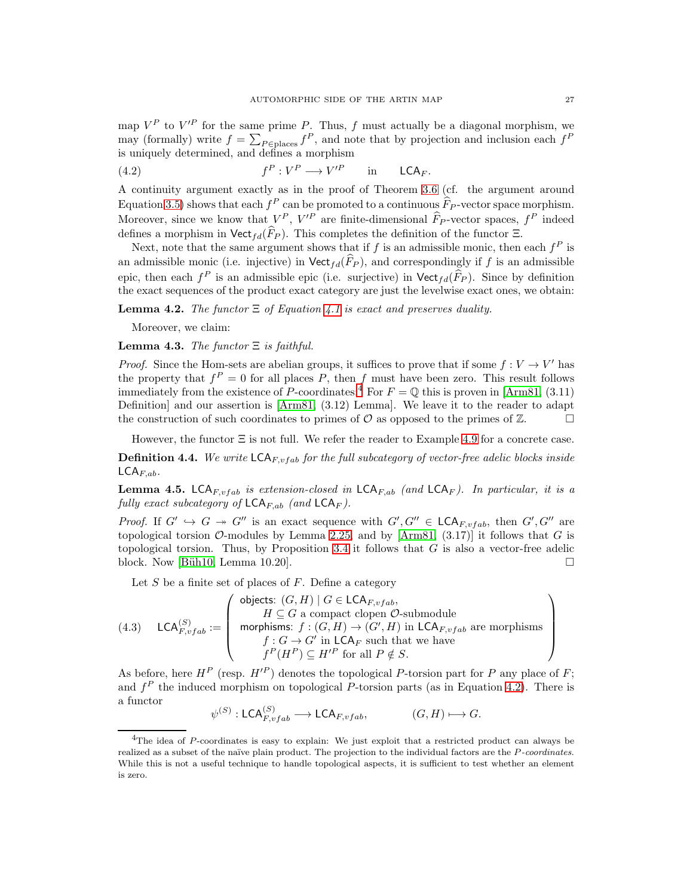map  $V^P$  to  $V'^P$  for the same prime P. Thus, f must actually be a diagonal morphism, we may (formally) write  $f = \sum_{P \in \text{places}} f^P$ , and note that by projection and inclusion each  $f^P$ is uniquely determined, and defines a morphism

<span id="page-26-1"></span>(4.2) 
$$
f^P: V^P \longrightarrow V'^P
$$
 in LCA<sub>F</sub>.

A continuity argument exactly as in the proof of Theorem [3.6](#page-22-0) (cf. the argument around Equation [3.5\)](#page-23-2) shows that each  $f^P$  can be promoted to a continuous  $\widetilde{F}_P$ -vector space morphism. Moreover, since we know that  $V^P$ ,  $V^P$  are finite-dimensional  $\widehat{F}_P$ -vector spaces,  $f^P$  indeed defines a morphism in  $\mathsf{Vect}_{fd}(\widehat{F}_P)$ . This completes the definition of the functor Ξ.

Next, note that the same argument shows that if f is an admissible monic, then each  $f^P$  is an admissible monic (i.e. injective) in  $\mathsf{Vect}_{fd}(\widehat{F}_P)$ , and correspondingly if f is an admissible epic, then each  $f^P$  is an admissible epic (i.e. surjective) in  $\text{Vect}_{fd}(\widehat{F}_P)$ . Since by definition the exact sequences of the product exact category are just the levelwise exact ones, we obtain:

**Lemma 4.2.** The functor  $\Xi$  of Equation [4.1](#page-25-0) is exact and preserves duality.

Moreover, we claim:

<span id="page-26-3"></span>**Lemma 4.3.** The functor  $\Xi$  is faithful.

*Proof.* Since the Hom-sets are abelian groups, it suffices to prove that if some  $f: V \to V'$  has the property that  $f^P = 0$  for all places P, then f must have been zero. This result follows immediately from the existence of P-coordinates:<sup>[4](#page-26-0)</sup> For  $F = \mathbb{Q}$  this is proven in [\[Arm81,](#page-39-14) (3.11) Definition] and our assertion is [\[Arm81,](#page-39-14) (3.12) Lemma]. We leave it to the reader to adapt the construction of such coordinates to primes of  $\mathcal O$  as opposed to the primes of  $\mathbb Z$ .

However, the functor  $\Xi$  is not full. We refer the reader to Example [4.9](#page-29-1) for a concrete case.

**Definition 4.4.** We write  $\mathsf{LCA}_{F,vfab}$  for the full subcategory of vector-free adelic blocks inside  $\mathsf{LCA}_{F,ab}.$ 

**Lemma 4.5.** LCA<sub>F,vfab</sub> is extension-closed in  $LCA_{F,ab}$  (and  $LCA_F$ ). In particular, it is a fully exact subcategory of  $\mathsf{LCA}_{F,ab}$  (and  $\mathsf{LCA}_F$ ).

*Proof.* If  $G' \hookrightarrow G \twoheadrightarrow G''$  is an exact sequence with  $G', G'' \in \mathsf{LCA}_{F, vfab}$ , then  $G', G''$  are topological torsion  $\mathcal{O}\text{-modules}$  by Lemma [2.25,](#page-14-1) and by [\[Arm81,](#page-39-14) (3.17)] it follows that G is topological torsion. Thus, by Proposition [3.4](#page-21-0) it follows that  $G$  is also a vector-free adelic block. Now [Büh10, Lemma 10.20].  $\square$ 

Let  $S$  be a finite set of places of  $F$ . Define a category

 $\sqrt{1+\frac{1}{2}}$ 

<span id="page-26-2"></span>(4.3) 
$$
\mathsf{LCA}_{F, vfab}^{(S)} := \left( \begin{array}{c} \mathsf{objects:} \ (G, H) \mid G \in \mathsf{LCA}_{F, vfab}, \\ H \subseteq G \text{ a compact clopen } \mathcal{O}\text{-submodule} \\ \text{morphisms:} \ f: (G, H) \to (G', H) \text{ in } \mathsf{LCA}_{F, vfab} \text{ are morphisms} \\ f: G \to G' \text{ in } \mathsf{LCA}_F \text{ such that we have} \\ f^P(H^P) \subseteq H'^P \text{ for all } P \notin S. \end{array} \right)
$$

 $(9.5)$  $(9.1)$ 

As before, here  $H^P$  (resp.  $H'^P$ ) denotes the topological P-torsion part for P any place of F; and  $f<sup>P</sup>$  the induced morphism on topological P-torsion parts (as in Equation [4.2\)](#page-26-1). There is a functor

$$
\psi^{(S)}: \mathsf{LCA}_{F,vfab}^{(S)} \longrightarrow \mathsf{LCA}_{F,vfab}, \qquad (G,H) \longmapsto G.
$$

<span id="page-26-0"></span><sup>&</sup>lt;sup>4</sup>The idea of P-coordinates is easy to explain: We just exploit that a restricted product can always be realized as a subset of the naïve plain product. The projection to the individual factors are the P-coordinates. While this is not a useful technique to handle topological aspects, it is sufficient to test whether an element is zero.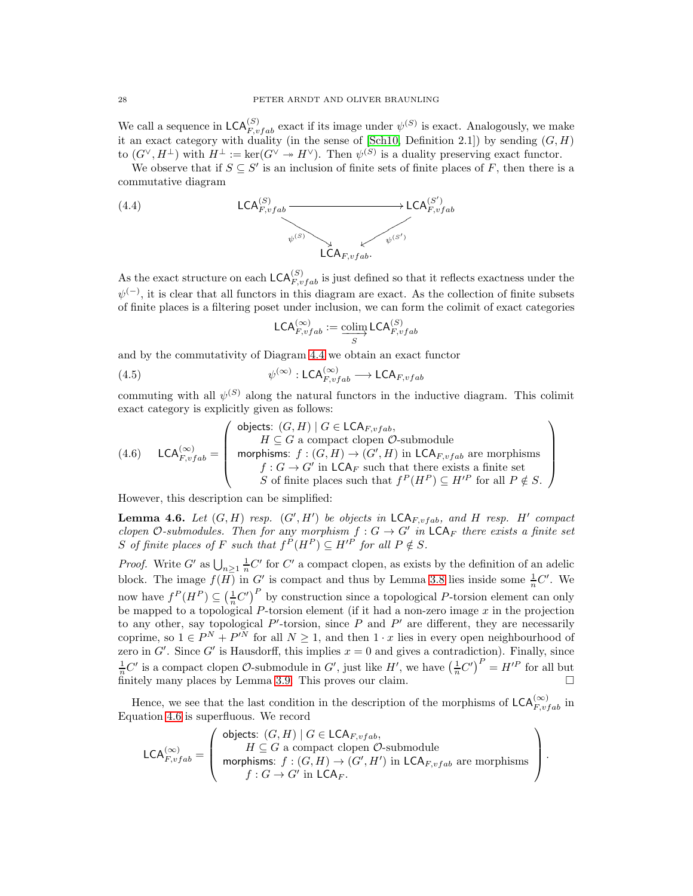We call a sequence in  $\mathsf{LCA}_{F,vfab}^{(S)}$  exact if its image under  $\psi^{(S)}$  is exact. Analogously, we make it an exact category with duality (in the sense of [\[Sch10,](#page-39-4) Definition 2.1]) by sending  $(G, H)$ to  $(G^{\vee}, H^{\perp})$  with  $H^{\perp} := \ker(G^{\vee} \twoheadrightarrow H^{\vee})$ . Then  $\psi^{(S)}$  is a duality preserving exact functor.

We observe that if  $S \subseteq S'$  is an inclusion of finite sets of finite places of F, then there is a commutative diagram

<span id="page-27-0"></span>(4.4) 
$$
LCA_{F,vfab}^{(S)} \longrightarrow LCA_{F,vfab}^{(S')} \longrightarrow LCA_{F,vfab}^{(S')}
$$

As the exact structure on each  $\mathsf{LCA}_{F,vfab}^{(S)}$  is just defined so that it reflects exactness under the  $\psi^{(-)}$ , it is clear that all functors in this diagram are exact. As the collection of finite subsets of finite places is a filtering poset under inclusion, we can form the colimit of exact categories

$$
\mathsf{LCA}_{F,vfab}^{(\infty)} := \mathop{\text{colim}}_{S} \mathsf{LCA}_{F,vfab}^{(S)}
$$

and by the commutativity of Diagram [4.4](#page-27-0) we obtain an exact functor

(4.5) 
$$
\psi^{(\infty)} : \mathsf{LCA}_{F,vfab}^{(\infty)} \longrightarrow \mathsf{LCA}_{F,vfab}^{(1)}
$$

commuting with all  $\psi^{(S)}$  along the natural functors in the inductive diagram. This colimit exact category is explicitly given as follows:

<span id="page-27-1"></span>(4.6) 
$$
\mathsf{LCA}_{F,vfab}^{(\infty)} = \left( \begin{array}{c} \text{objects: } (G,H) \mid G \in \mathsf{LCA}_{F,vfab}, \\ H \subseteq G \text{ a compact clopen } \mathcal{O}\text{-submodule} \\ \text{morphisms: } f : (G,H) \to (G',H) \text{ in } \mathsf{LCA}_{F,vfab} \text{ are morphisms} \\ f : G \to G' \text{ in } \mathsf{LCA}_F \text{ such that there exists a finite set} \\ S \text{ of finite places such that } f^P(H^P) \subseteq H'^P \text{ for all } P \notin S. \end{array} \right)
$$

However, this description can be simplified:

<span id="page-27-2"></span>**Lemma 4.6.** Let  $(G, H)$  resp.  $(G', H')$  be objects in  $\mathsf{LCA}_{F, vfab}$ , and H resp. H' compact clopen O-submodules. Then for any morphism  $f: G \to G'$  in  $\mathsf{LCA}_F$  there exists a finite set S of finite places of F such that  $f^P(H^P) \subseteq H'^P$  for all  $P \notin S$ .

*Proof.* Write G' as  $\bigcup_{n\geq 1} \frac{1}{n}C'$  for C' a compact clopen, as exists by the definition of an adelic block. The image  $f(H)$  in  $G'$  is compact and thus by Lemma [3.8](#page-24-2) lies inside some  $\frac{1}{n}C'$ . We now have  $f^P(H^P) \subseteq \left(\frac{1}{n}C'\right)^P$  by construction since a topological P-torsion element can only be mapped to a topological P-torsion element (if it had a non-zero image  $x$  in the projection to any other, say topological  $P'$ -torsion, since  $P$  and  $P'$  are different, they are necessarily coprime, so  $1 \in P^N + P^{\prime N}$  for all  $N \geq 1$ , and then  $1 \cdot x$  lies in every open neighbourhood of zero in  $G'$ . Since  $G'$  is Hausdorff, this implies  $x = 0$  and gives a contradiction). Finally, since  $\frac{1}{n}C'$  is a compact clopen  $\mathcal{O}\text{-submodule}$  in  $G'$ , just like  $H'$ , we have  $\left(\frac{1}{n}C'\right)^P = H'^P$  for all but finitely many places by Lemma [3.9.](#page-24-3) This proves our claim.

Hence, we see that the last condition in the description of the morphisms of  $\mathsf{LCA}_{F,vfab}^{(\infty)}$  in Equation [4.6](#page-27-1) is superfluous. We record

$$
\mathsf{LCA}_{F,vfab}^{(\infty)} = \left( \begin{array}{c} \mathsf{objects:} \ (G,H) \mid G \in \mathsf{LCA}_{F,vfab}, \\ H \subseteq G \ \text{a compact clopen } \mathcal{O}\text{-submodule} \\ \text{morphisms:} \ f: (G,H) \to (G',H') \ \text{in} \ \mathsf{LCA}_{F,vfab} \ \text{are morphisms} \\ f: G \to G' \ \text{in} \ \mathsf{LCA}_F. \end{array} \right).
$$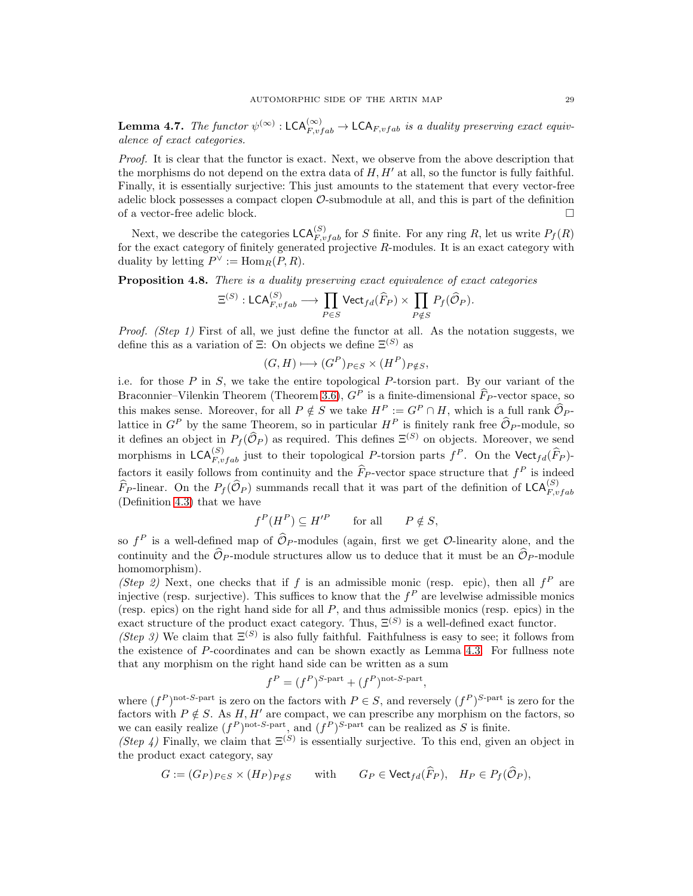<span id="page-28-1"></span>**Lemma 4.7.** The functor  $\psi^{(\infty)} : \mathsf{LCA}_{F,vfab}^{(\infty)} \to \mathsf{LCA}_{F,vfab}$  is a duality preserving exact equivalence of exact categories.

Proof. It is clear that the functor is exact. Next, we observe from the above description that the morphisms do not depend on the extra data of  $H, H'$  at all, so the functor is fully faithful. Finally, it is essentially surjective: This just amounts to the statement that every vector-free adelic block possesses a compact clopen  $\mathcal{O}\text{-submodule}$  at all, and this is part of the definition of a vector-free adelic block.  $\Box$ 

Next, we describe the categories  $\mathsf{LCA}_{F,vfab}^{(S)}$  for S finite. For any ring R, let us write  $P_f(R)$ for the exact category of finitely generated projective  $R$ -modules. It is an exact category with duality by letting  $P^{\vee} := \text{Hom}_R(P, R)$ .

<span id="page-28-0"></span>Proposition 4.8. There is a duality preserving exact equivalence of exact categories

$$
\Xi^{(S)} : \mathsf{LCA}_{F,vfab}^{(S)} \longrightarrow \prod_{P \in S} \mathsf{Vect}_{fd}(\widehat{F}_P) \times \prod_{P \notin S} P_f(\widehat{\mathcal{O}}_P).
$$

Proof. (Step 1) First of all, we just define the functor at all. As the notation suggests, we define this as a variation of  $\Xi$ : On objects we define  $\Xi^{(S)}$  as

$$
(G, H) \longmapsto (G^P)_{P \in S} \times (H^P)_{P \notin S},
$$

i.e. for those  $P$  in  $S$ , we take the entire topological  $P$ -torsion part. By our variant of the Braconnier–Vilenkin Theorem (Theorem [3.6\)](#page-22-0),  $G^P$  is a finite-dimensional  $\widehat{F}_P$ -vector space, so this makes sense. Moreover, for all  $P \notin S$  we take  $H^P := G^P \cap H$ , which is a full rank  $\widehat{\mathcal{O}}_{P}$ lattice in  $G^P$  by the same Theorem, so in particular  $H^P$  is finitely rank free  $\widehat{\mathcal{O}}_P$ -module, so it defines an object in  $P_f(\widehat{O}_P)$  as required. This defines  $\Xi^{(S)}$  on objects. Moreover, we send morphisms in  $\mathsf{LCA}_{F,vfab}^{(S)}$  just to their topological P-torsion parts  $f^P$ . On the  $\mathsf{Vect}_{fd}(\widehat{F}_P)$ factors it easily follows from continuity and the  $\widehat{F}_{P}$ -vector space structure that  $f^{P}$  is indeed  $\widehat{F}_P$ -linear. On the  $P_f(\widehat{O}_P)$  summands recall that it was part of the definition of  $\mathsf{LCA}_{F,vfab}^{(S)}$ (Definition [4.3\)](#page-26-2) that we have

$$
f^P(H^P) \subseteq H'^P \qquad \text{for all} \qquad P \notin S,
$$

so  $f^P$  is a well-defined map of  $\mathcal{O}_P$ -modules (again, first we get  $\mathcal{O}$ -linearity alone, and the continuity and the  $\widehat{\mathcal{O}}_P$ -module structures allow us to deduce that it must be an  $\widehat{\mathcal{O}}_P$ -module homomorphism).

(Step 2) Next, one checks that if f is an admissible monic (resp. epic), then all  $f<sup>P</sup>$  are injective (resp. surjective). This suffices to know that the  $f<sup>P</sup>$  are levelwise admissible monics (resp. epics) on the right hand side for all  $P$ , and thus admissible monics (resp. epics) in the exact structure of the product exact category. Thus,  $\Xi^{(S)}$  is a well-defined exact functor.

(Step 3) We claim that  $\Xi^{(S)}$  is also fully faithful. Faithfulness is easy to see; it follows from the existence of P-coordinates and can be shown exactly as Lemma [4.3.](#page-26-3) For fullness note that any morphism on the right hand side can be written as a sum

$$
f^P = (f^P)^{S\text{-part}} + (f^P)^{\text{not-}S\text{-part}},
$$

where  $(f^P)$ <sup>not-S-part</sup> is zero on the factors with  $P \in S$ , and reversely  $(f^P)^{S\text{-part}}$  is zero for the factors with  $P \notin S$ . As H, H' are compact, we can prescribe any morphism on the factors, so we can easily realize  $(f^P)^{\text{not-}S\text{-part}}$ , and  $(f^P)^{S\text{-part}}$  can be realized as S is finite.

(Step 4) Finally, we claim that  $\Xi^{(S)}$  is essentially surjective. To this end, given an object in the product exact category, say

$$
G := (G_P)_{P \in S} \times (H_P)_{P \notin S} \qquad \text{with} \qquad G_P \in \text{Vect}_{fd}(F_P), \quad H_P \in P_f(\mathcal{O}_P),
$$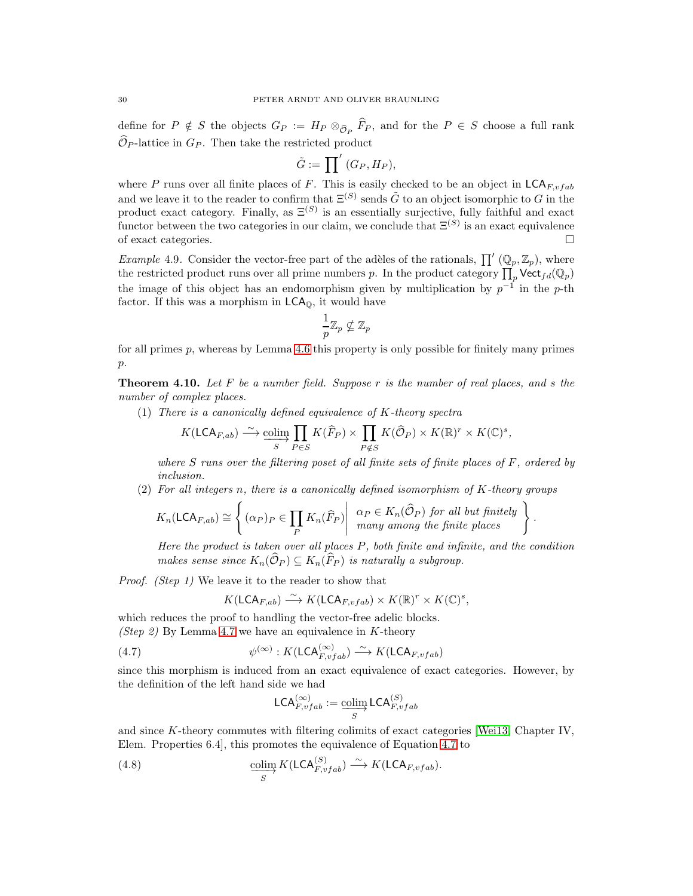define for  $P \notin S$  the objects  $G_P := H_P \otimes_{\widehat{\mathcal{O}}_P} F_P$ , and for the  $P \in S$  choose a full rank  $\widehat{\mathcal{O}}_{P}$ -lattice in  $G_{P}$ . Then take the restricted product

$$
\tilde{G} := \prod' (G_P, H_P),
$$

where P runs over all finite places of F. This is easily checked to be an object in  $\mathsf{LCA}_{F,vfab}$ and we leave it to the reader to confirm that  $\Xi^{(S)}$  sends  $\tilde{G}$  to an object isomorphic to G in the product exact category. Finally, as  $\Xi^{(S)}$  is an essentially surjective, fully faithful and exact functor between the two categories in our claim, we conclude that  $\Xi^{(S)}$  is an exact equivalence of exact categories.  $\Box$ 

<span id="page-29-1"></span>*Example* 4.9. Consider the vector-free part of the adèles of the rationals,  $\prod' (\mathbb{Q}_p, \mathbb{Z}_p)$ , where the restricted product runs over all prime numbers p. In the product category  $\prod_p \text{Vect}_{fd}(\mathbb{Q}_p)$ the image of this object has an endomorphism given by multiplication by  $p^{-1}$  in the p-th factor. If this was a morphism in LCAQ, it would have

$$
\frac{1}{p}\mathbb{Z}_p\nsubseteq\mathbb{Z}_p
$$

for all primes  $p$ , whereas by Lemma [4.6](#page-27-2) this property is only possible for finitely many primes  $p$ .

<span id="page-29-0"></span>**Theorem 4.10.** Let F be a number field. Suppose r is the number of real places, and s the number of complex places.

(1) There is a canonically defined equivalence of K-theory spectra

$$
K(\mathsf{LCA}_{F,ab}) \stackrel{\sim}{\longrightarrow} \underline{\operatorname{colim}}_{S} \prod_{P \in S} K(\widehat{F}_P) \times \prod_{P \notin S} K(\widehat{\mathcal{O}}_P) \times K(\mathbb{R})^r \times K(\mathbb{C})^s,
$$

where  $S$  runs over the filtering poset of all finite sets of finite places of  $F$ , ordered by inclusion.

 $(2)$  For all integers n, there is a canonically defined isomorphism of K-theory groups

$$
K_n(\mathsf{LCA}_{F,ab}) \cong \left\{ (\alpha_P)_P \in \prod_P K_n(\widehat{F}_P) \middle| \begin{array}{c} \alpha_P \in K_n(\widehat{\mathcal{O}}_P) \text{ for all but finitely} \\ many among the finite places \end{array} \right\}
$$

Here the product is taken over all places  $P$ , both finite and infinite, and the condition makes sense since  $K_n(\widehat{\mathcal{O}}_P) \subseteq K_n(\widehat{F}_P)$  is naturally a subgroup.

.

Proof. (Step 1) We leave it to the reader to show that

$$
K(\mathsf{LCA}_{F,ab}) \stackrel{\sim}{\longrightarrow} K(\mathsf{LCA}_{F,vfab}) \times K(\mathbb{R})^r \times K(\mathbb{C})^s,
$$

which reduces the proof to handling the vector-free adelic blocks. (Step 2) By Lemma [4.7](#page-28-1) we have an equivalence in K-theory

(4.7) 
$$
\psi^{(\infty)} : K(\mathsf{LCA}_{F,vfab}^{(\infty)}) \xrightarrow{\sim} K(\mathsf{LCA}_{F,vfab})
$$

since this morphism is induced from an exact equivalence of exact categories. However, by the definition of the left hand side we had

<span id="page-29-3"></span><span id="page-29-2"></span>
$$
\mathsf{LCA}_{F,vfab}^{(\infty)} := \mathop{\text{colim}}_{S} \mathsf{LCA}_{F,vfab}^{(S)}
$$

and since K-theory commutes with filtering colimits of exact categories [\[Wei13,](#page-39-15) Chapter IV, Elem. Properties 6.4], this promotes the equivalence of Equation [4.7](#page-29-2) to

(4.8) 
$$
\underset{S}{\text{colim}} K(\mathsf{LCA}_{F,vfab}^{(S)}) \xrightarrow{\sim} K(\mathsf{LCA}_{F,vfab}).
$$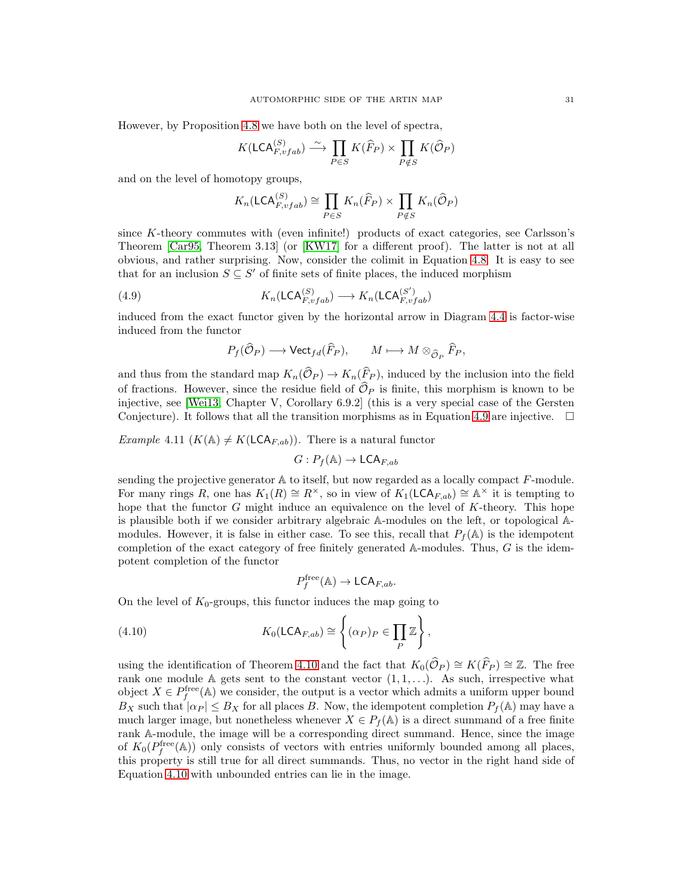However, by Proposition [4.8](#page-28-0) we have both on the level of spectra,

$$
K(\mathsf{LCA}_{F,vfab}^{(S)}) \xrightarrow{\sim} \prod_{P \in S} K(\widehat{F}_P) \times \prod_{P \notin S} K(\widehat{\mathcal{O}}_P)
$$

and on the level of homotopy groups,

$$
K_n(\mathsf{LCA}_{F,vfab}^{(S)}) \cong \prod_{P \in S} K_n(\widehat{F}_P) \times \prod_{P \notin S} K_n(\widehat{\mathcal{O}}_P)
$$

since K-theory commutes with (even infinite!) products of exact categories, see Carlsson's Theorem [\[Car95,](#page-39-16) Theorem 3.13] (or [\[KW17\]](#page-39-17) for a different proof). The latter is not at all obvious, and rather surprising. Now, consider the colimit in Equation [4.8.](#page-29-3) It is easy to see that for an inclusion  $S \subseteq S'$  of finite sets of finite places, the induced morphism

(4.9) 
$$
K_n(\mathsf{LCA}_{F,vfab}^{(S)}) \longrightarrow K_n(\mathsf{LCA}_{F,vfab}^{(S')})
$$

induced from the exact functor given by the horizontal arrow in Diagram [4.4](#page-27-0) is factor-wise induced from the functor

<span id="page-30-1"></span>
$$
P_f(\widehat{\mathcal{O}}_P) \longrightarrow \mathsf{Vect}_{fd}(\widehat{F}_P), \qquad M \longmapsto M \otimes_{\widehat{\mathcal{O}}_P} \widehat{F}_P,
$$

and thus from the standard map  $K_n(\widehat{\mathcal{O}}_P) \to K_n(\widehat{F}_P)$ , induced by the inclusion into the field of fractions. However, since the residue field of  $\widehat{\mathcal{O}}_P$  is finite, this morphism is known to be injective, see [\[Wei13,](#page-39-15) Chapter V, Corollary 6.9.2] (this is a very special case of the Gersten Conjecture). It follows that all the transition morphisms as in Equation [4.9](#page-30-1) are injective.  $\Box$ 

<span id="page-30-0"></span>*Example* 4.11  $(K(\mathbb{A}) \neq K(\mathsf{LCA}_{F,ab}))$ . There is a natural functor

$$
G: P_f(\mathbb{A}) \to \mathsf{LCA}_{F,ab}
$$

sending the projective generator  $A$  to itself, but now regarded as a locally compact  $F$ -module. For many rings R, one has  $K_1(R) \cong R^{\times}$ , so in view of  $K_1(\mathsf{LCA}_{F,ab}) \cong \mathbb{A}^{\times}$  it is tempting to hope that the functor G might induce an equivalence on the level of  $K$ -theory. This hope is plausible both if we consider arbitrary algebraic A-modules on the left, or topological Amodules. However, it is false in either case. To see this, recall that  $P_f(\mathbb{A})$  is the idempotent completion of the exact category of free finitely generated  $A$ -modules. Thus,  $G$  is the idempotent completion of the functor

<span id="page-30-2"></span>
$$
P_f^{\text{free}}(\mathbb{A}) \to \mathsf{LCA}_{F,ab}.
$$

On the level of  $K_0$ -groups, this functor induces the map going to

(4.10) 
$$
K_0(\mathsf{LCA}_{F,ab}) \cong \left\{ (\alpha_P)_P \in \prod_P \mathbb{Z} \right\},\,
$$

using the identification of Theorem [4.10](#page-29-0) and the fact that  $K_0(\widehat{\mathcal{O}}_P) \cong K(\widehat{F}_P) \cong \mathbb{Z}$ . The free rank one module  $A$  gets sent to the constant vector  $(1, 1, \ldots)$ . As such, irrespective what object  $X \in P_f^{\text{free}}(\mathbb{A})$  we consider, the output is a vector which admits a uniform upper bound  $B_X$  such that  $| \alpha_P | \leq B_X$  for all places B. Now, the idempotent completion  $P_f(\mathbb{A})$  may have a much larger image, but nonetheless whenever  $X \in P_f(\mathbb{A})$  is a direct summand of a free finite rank A-module, the image will be a corresponding direct summand. Hence, since the image of  $K_0(P_f^{\text{free}}(\mathbb{A}))$  only consists of vectors with entries uniformly bounded among all places, this property is still true for all direct summands. Thus, no vector in the right hand side of Equation [4.10](#page-30-2) with unbounded entries can lie in the image.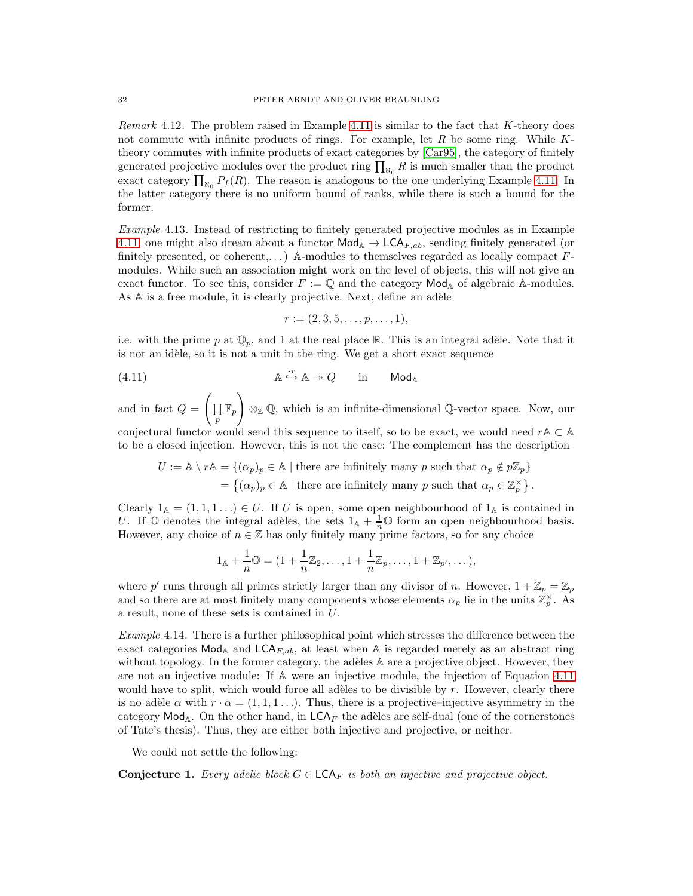Remark  $4.12$ . The problem raised in Example  $4.11$  is similar to the fact that K-theory does not commute with infinite products of rings. For example, let  $R$  be some ring. While  $K$ theory commutes with infinite products of exact categories by [\[Car95\]](#page-39-16), the category of finitely generated projective modules over the product ring  $\prod_{\aleph_0} R$  is much smaller than the product exact category  $\prod_{\aleph_0} P_f(R)$ . The reason is analogous to the one underlying Example [4.11:](#page-30-0) In the latter category there is no uniform bound of ranks, while there is such a bound for the former.

Example 4.13. Instead of restricting to finitely generated projective modules as in Example [4.11,](#page-30-0) one might also dream about a functor  $\text{Mod}_{\mathbb{A}} \to \text{LCA}_{F,ab}$ , sending finitely generated (or finitely presented, or coherent,...) A-modules to themselves regarded as locally compact  $F$ modules. While such an association might work on the level of objects, this will not give an exact functor. To see this, consider  $F := \mathbb{Q}$  and the category  $\mathsf{Mod}_{\mathbb{A}}$  of algebraic A-modules. As A is a free module, it is clearly projective. Next, define an adèle

<span id="page-31-0"></span>
$$
r := (2, 3, 5, \ldots, p, \ldots, 1),
$$

i.e. with the prime p at  $\mathbb{Q}_p$ , and 1 at the real place R. This is an integral adèle. Note that it is not an id`ele, so it is not a unit in the ring. We get a short exact sequence

(4.11) 
$$
\mathbb{A} \stackrel{\cdot r}{\hookrightarrow} \mathbb{A} \twoheadrightarrow Q \quad \text{in} \quad \text{Mod}_{\mathbb{A}}
$$

and in fact  $Q =$  $\sqrt{ }$  $\overline{\Pi}$  $\prod\limits_p \mathbb{F}_p$ !  $\otimes_{\mathbb{Z}} \mathbb{Q}$ , which is an infinite-dimensional  $\mathbb{Q}$ -vector space. Now, our conjectural functor would send this sequence to itself, so to be exact, we would need  $rA \subset A$ 

to be a closed injection. However, this is not the case: The complement has the description  $U := \mathbb{A} \setminus r\mathbb{A} = \{(\alpha_p)_p \in \mathbb{A} \mid \text{there are infinitely many } p \text{ such that } \alpha_p \notin p\mathbb{Z}_p\}$ 

= { $(\alpha_p)_p \in \mathbb{A}$  | there are infinitely many p such that  $\alpha_p \in \mathbb{Z}_p^{\times}$  }.

Clearly  $1_A = (1, 1, 1, ...) \in U$ . If U is open, some open neighbourhood of  $1_A$  is contained in U. If  $\mathbb{O}$  denotes the integral adèles, the sets  $1_{\mathbb{A}} + \frac{1}{n} \mathbb{O}$  form an open neighbourhood basis. However, any choice of  $n \in \mathbb{Z}$  has only finitely many prime factors, so for any choice

$$
1_{\mathbb{A}} + \frac{1}{n} \mathbb{O} = (1 + \frac{1}{n} \mathbb{Z}_2, \dots, 1 + \frac{1}{n} \mathbb{Z}_p, \dots, 1 + \mathbb{Z}_{p'}, \dots),
$$

where p' runs through all primes strictly larger than any divisor of n. However,  $1 + \mathbb{Z}_p = \mathbb{Z}_p$ and so there are at most finitely many components whose elements  $\alpha_p$  lie in the units  $\mathbb{Z}_p^{\times}$ . As a result, none of these sets is contained in U.

<span id="page-31-1"></span>Example 4.14. There is a further philosophical point which stresses the difference between the exact categories  $\textsf{Mod}_{A}$  and  $\textsf{LCA}_{F,ab}$ , at least when A is regarded merely as an abstract ring without topology. In the former category, the adèles  $A$  are a projective object. However, they are not an injective module: If A were an injective module, the injection of Equation [4.11](#page-31-0) would have to split, which would force all adèles to be divisible by  $r$ . However, clearly there is no adèle  $\alpha$  with  $r \cdot \alpha = (1, 1, 1, \ldots)$ . Thus, there is a projective–injective asymmetry in the category  $\text{Mod}_{\mathbb{A}}$ . On the other hand, in  $\textsf{LCA}_F$  the adèles are self-dual (one of the cornerstones of Tate's thesis). Thus, they are either both injective and projective, or neither.

We could not settle the following:

**Conjecture 1.** Every adelic block  $G \in \mathsf{LCA}_F$  is both an injective and projective object.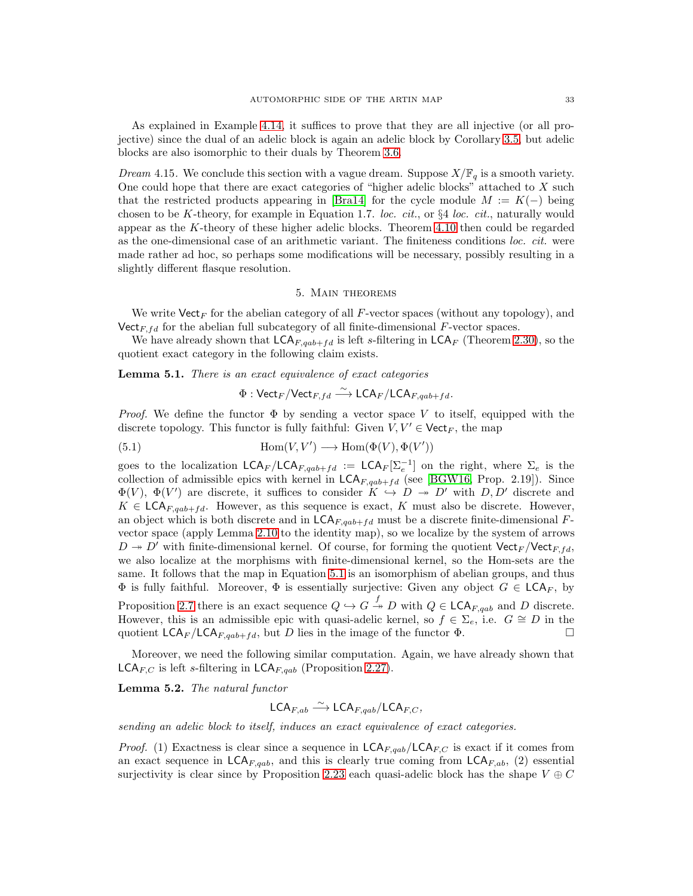As explained in Example [4.14,](#page-31-1) it suffices to prove that they are all injective (or all projective) since the dual of an adelic block is again an adelic block by Corollary [3.5,](#page-21-1) but adelic blocks are also isomorphic to their duals by Theorem [3.6.](#page-22-0)

*Dream* 4.15. We conclude this section with a vague dream. Suppose  $X/\mathbb{F}_q$  is a smooth variety. One could hope that there are exact categories of "higher adelic blocks" attached to  $X$  such that the restricted products appearing in [\[Bra14\]](#page-39-18) for the cycle module  $M := K(-)$  being chosen to be K-theory, for example in Equation 1.7. loc. cit., or  $\S 4$  loc. cit., naturally would appear as the K-theory of these higher adelic blocks. Theorem [4.10](#page-29-0) then could be regarded as the one-dimensional case of an arithmetic variant. The finiteness conditions loc. cit. were made rather ad hoc, so perhaps some modifications will be necessary, possibly resulting in a slightly different flasque resolution.

## 5. Main theorems

We write  $\text{Vect}_F$  for the abelian category of all F-vector spaces (without any topology), and Vect<sub>F, fd</sub> for the abelian full subcategory of all finite-dimensional  $F$ -vector spaces.

We have already shown that  $\mathsf{LCA}_{F,qab+fd}$  is left s-filtering in  $\mathsf{LCA}_F$  (Theorem [2.30\)](#page-17-1), so the quotient exact category in the following claim exists.

<span id="page-32-1"></span>**Lemma 5.1.** There is an exact equivalence of exact categories

<span id="page-32-0"></span>
$$
\Phi : \mathsf{Vect}_F / \mathsf{Vect}_{F,fd} \xrightarrow{\sim} \mathsf{LCA}_F / \mathsf{LCA}_{F, qab + fd}.
$$

*Proof.* We define the functor  $\Phi$  by sending a vector space V to itself, equipped with the discrete topology. This functor is fully faithful: Given  $V, V' \in \text{Vect}_F$ , the map

(5.1) 
$$
\text{Hom}(V, V') \longrightarrow \text{Hom}(\Phi(V), \Phi(V'))
$$

goes to the localization  $\mathsf{LCA}_{F}/\mathsf{LCA}_{F,qab+fd} := \mathsf{LCA}_F[\Sigma_e^{-1}]$  on the right, where  $\Sigma_e$  is the collection of admissible epics with kernel in  $\mathsf{LCA}_{F,qab+fd}$  (see [\[BGW16,](#page-39-7) Prop. 2.19]). Since  $\Phi(V)$ ,  $\Phi(V')$  are discrete, it suffices to consider  $K \to D \to D'$  with  $D, D'$  discrete and  $K \in \mathsf{LCA}_{F, qab+fd}$ . However, as this sequence is exact, K must also be discrete. However, an object which is both discrete and in  $\mathsf{LCA}_{F, qab+fd}$  must be a discrete finite-dimensional Fvector space (apply Lemma [2.10](#page-8-0) to the identity map), so we localize by the system of arrows  $D \rightarrow D'$  with finite-dimensional kernel. Of course, for forming the quotient Vect<sub>F</sub>/Vect<sub>F,fd</sub>, we also localize at the morphisms with finite-dimensional kernel, so the Hom-sets are the same. It follows that the map in Equation [5.1](#page-32-0) is an isomorphism of abelian groups, and thus  $\Phi$  is fully faithful. Moreover,  $\Phi$  is essentially surjective: Given any object  $G \in \mathsf{LCA}_F$ , by Proposition [2.7](#page-7-3) there is an exact sequence  $Q \hookrightarrow G \stackrel{f}{\rightarrow} D$  with  $Q \in \mathsf{LCA}_{F,qab}$  and D discrete. However, this is an admissible epic with quasi-adelic kernel, so  $f \in \Sigma_e$ , i.e.  $G \cong D$  in the quotient  $LCA_F/LCA_{F,qab+fd}$ , but D lies in the image of the functor  $\Phi$ .

Moreover, we need the following similar computation. Again, we have already shown that  $\mathsf{LCA}_{F,C}$  is left s-filtering in  $\mathsf{LCA}_{F, qab}$  (Proposition [2.27\)](#page-15-0).

<span id="page-32-2"></span>Lemma 5.2. The natural functor

$$
\mathsf{LCA}_{F,ab} \stackrel{\sim}{\longrightarrow} \mathsf{LCA}_{F,qab}/\mathsf{LCA}_{F,C},
$$

sending an adelic block to itself, induces an exact equivalence of exact categories.

*Proof.* (1) Exactness is clear since a sequence in  $\mathsf{LCA}_{F, qab}/\mathsf{LCA}_{F,C}$  is exact if it comes from an exact sequence in  $\mathsf{LCA}_{F,qab}$ , and this is clearly true coming from  $\mathsf{LCA}_{F,ab}$ , (2) essential surjectivity is clear since by Proposition [2.23](#page-13-0) each quasi-adelic block has the shape  $V \oplus C$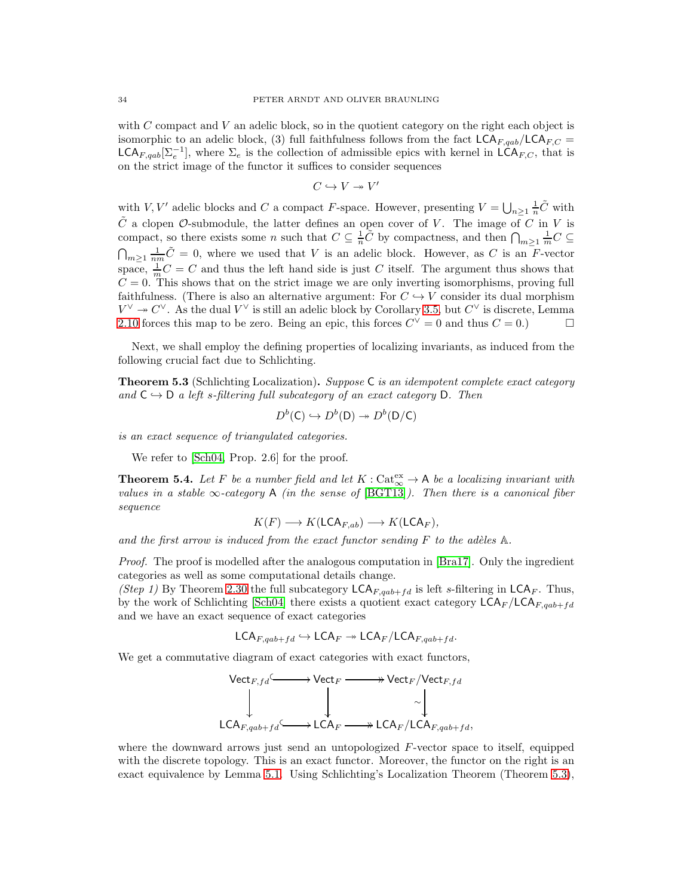with C compact and V an adelic block, so in the quotient category on the right each object is isomorphic to an adelic block, (3) full faithfulness follows from the fact  $LCA_{F,cab}/LCA_{F,C}$ LCA<sub>F,qab</sub> $[\Sigma_e^{-1}]$ , where  $\Sigma_e$  is the collection of admissible epics with kernel in LCA<sub>F,C</sub>, that is on the strict image of the functor it suffices to consider sequences

$$
C\hookrightarrow V\twoheadrightarrow V'
$$

with  $V, V'$  adelic blocks and C a compact F-space. However, presenting  $V = \bigcup_{n \geq 1} \frac{1}{n} \tilde{C}$  with  $\tilde{C}$  a clopen  $\mathcal{O}$ -submodule, the latter defines an open cover of V. The image of C in V is compact, so there exists some n such that  $C \subseteq \frac{1}{n}\tilde{C}$  by compactness, and then  $\bigcap_{m\geq 1} \frac{1}{m}C \subseteq$  $\bigcap_{m\geq 1}\frac{1}{nm}\tilde{C}=0$ , where we used that V is an adelic block. However, as C is an F-vector space,  $\frac{1}{m}C = C$  and thus the left hand side is just C itself. The argument thus shows that  $C = 0$ . This shows that on the strict image we are only inverting isomorphisms, proving full faithfulness. (There is also an alternative argument: For  $C \rightarrow V$  consider its dual morphism  $V^{\vee} \twoheadrightarrow C^{\vee}$ . As the dual  $V^{\vee}$  is still an adelic block by Corollary [3.5,](#page-21-1) but  $C^{\vee}$  is discrete, Lemma [2.10](#page-8-0) forces this map to be zero. Being an epic, this forces  $C^{\vee} = 0$  and thus  $C = 0$ .)

Next, we shall employ the defining properties of localizing invariants, as induced from the following crucial fact due to Schlichting.

<span id="page-33-1"></span>**Theorem 5.3** (Schlichting Localization). Suppose C is an idempotent complete exact category and  $C \hookrightarrow D$  a left s-filtering full subcategory of an exact category D. Then

$$
D^b(\mathsf{C}) \hookrightarrow D^b(\mathsf{D}) \twoheadrightarrow D^b(\mathsf{D}/\mathsf{C})
$$

is an exact sequence of triangulated categories.

We refer to [\[Sch04,](#page-39-6) Prop. 2.6] for the proof.

<span id="page-33-0"></span>**Theorem 5.4.** Let F be a number field and let  $K : \text{Cat}_{\infty}^{\text{ex}} \to \mathsf{A}$  be a localizing invariant with values in a stable  $\infty$ -category A (in the sense of [\[BGT13\]](#page-39-1)). Then there is a canonical fiber sequence

$$
K(F) \longrightarrow K(\mathsf{LCA}_{F,ab}) \longrightarrow K(\mathsf{LCA}_F),
$$

and the first arrow is induced from the exact functor sending  $F$  to the adèles  $A$ .

Proof. The proof is modelled after the analogous computation in [\[Bra17\]](#page-39-2). Only the ingredient categories as well as some computational details change.

(Step 1) By Theorem [2.30](#page-17-1) the full subcategory  $\mathsf{LCA}_{F,qab+fd}$  is left s-filtering in  $\mathsf{LCA}_{F}$ . Thus, by the work of Schlichting [\[Sch04\]](#page-39-6) there exists a quotient exact category  $\mathsf{LCA}_F/\mathsf{LCA}_{F,qab+fd}$ and we have an exact sequence of exact categories

$$
\mathsf{LCA}_{F, qab + fd} \hookrightarrow \mathsf{LCA}_{F} \twoheadrightarrow \mathsf{LCA}_{F}/\mathsf{LCA}_{F, qab + fd}.
$$

We get a commutative diagram of exact categories with exact functors,



where the downward arrows just send an untopologized F-vector space to itself, equipped with the discrete topology. This is an exact functor. Moreover, the functor on the right is an exact equivalence by Lemma [5.1.](#page-32-1) Using Schlichting's Localization Theorem (Theorem [5.3\)](#page-33-1),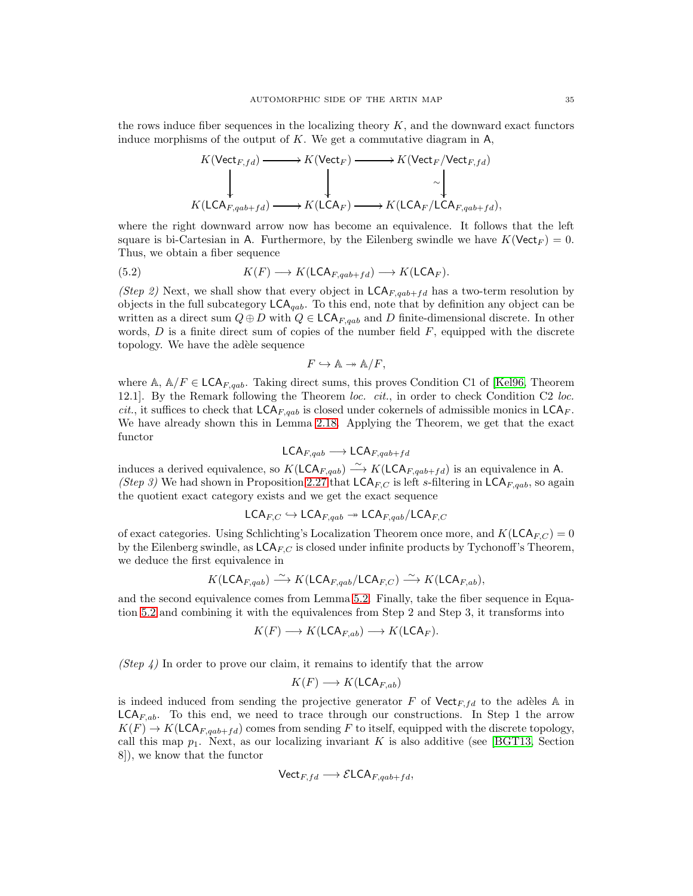the rows induce fiber sequences in the localizing theory  $K$ , and the downward exact functors induce morphisms of the output of  $K$ . We get a commutative diagram in  $A$ ,

$$
K(\text{Vect}_{F,fd}) \longrightarrow K(\text{Vect}_{F}) \longrightarrow K(\text{Vect}_{F}/\text{Vect}_{F,fd})
$$
  
\n
$$
\downarrow \qquad \qquad \downarrow \qquad \qquad \downarrow
$$
  
\n
$$
K(\text{LCA}_{F,qab+fd}) \longrightarrow K(\text{LCA}_{F}) \longrightarrow K(\text{LCA}_{F}/\text{LCA}_{F,qab+fd}),
$$

where the right downward arrow now has become an equivalence. It follows that the left square is bi-Cartesian in A. Furthermore, by the Eilenberg swindle we have  $K(\text{Vect}_F) = 0$ . Thus, we obtain a fiber sequence

(5.2) 
$$
K(F) \longrightarrow K(\mathsf{LCA}_{F,qab+fd}) \longrightarrow K(\mathsf{LCA}_F).
$$

(Step 2) Next, we shall show that every object in  $\mathsf{LCA}_{F, qab+fd}$  has a two-term resolution by objects in the full subcategory  $\mathsf{LCA}_{qab}$ . To this end, note that by definition any object can be written as a direct sum  $Q \oplus D$  with  $Q \in \mathsf{LCA}_{F, qab}$  and D finite-dimensional discrete. In other words,  $D$  is a finite direct sum of copies of the number field  $F$ , equipped with the discrete topology. We have the adèle sequence

<span id="page-34-0"></span>
$$
F \hookrightarrow \mathbb{A} \twoheadrightarrow \mathbb{A}/F,
$$

where A,  $\mathbb{A}/F \in \mathsf{LCA}_{F, qab}$ . Taking direct sums, this proves Condition C1 of [\[Kel96,](#page-39-19) Theorem 12.1]. By the Remark following the Theorem loc. cit., in order to check Condition C2 loc. *cit.*, it suffices to check that  $\mathsf{LCA}_{F,qab}$  is closed under cokernels of admissible monics in  $\mathsf{LCA}_{F}$ . We have already shown this in Lemma [2.18.](#page-11-2) Applying the Theorem, we get that the exact functor

$$
\mathsf{LCA}_{F, qab} \longrightarrow \mathsf{LCA}_{F, qab + fd}
$$

induces a derived equivalence, so  $K(\mathsf{LCA}_{F,qab}) \longrightarrow K(\mathsf{LCA}_{F,qab+fd})$  is an equivalence in A. (Step 3) We had shown in Proposition [2.27](#page-15-0) that  $\mathsf{LCA}_{F,C}$  is left s-filtering in  $\mathsf{LCA}_{F,qab}$ , so again the quotient exact category exists and we get the exact sequence

$$
\mathsf{LCA}_{F,C} \hookrightarrow \mathsf{LCA}_{F,qab} \twoheadrightarrow \mathsf{LCA}_{F,qab}/\mathsf{LCA}_{F,C}
$$

of exact categories. Using Schlichting's Localization Theorem once more, and  $K(\mathsf{LCA}_{F,C}) = 0$ by the Eilenberg swindle, as  $\mathsf{LCA}_{F,C}$  is closed under infinite products by Tychonoff's Theorem, we deduce the first equivalence in

$$
K(\mathsf{LCA}_{F, qab}) \xrightarrow{\sim} K(\mathsf{LCA}_{F, qab}/\mathsf{LCA}_{F, C}) \xrightarrow{\sim} K(\mathsf{LCA}_{F, ab}),
$$

and the second equivalence comes from Lemma [5.2.](#page-32-2) Finally, take the fiber sequence in Equation [5.2](#page-34-0) and combining it with the equivalences from Step 2 and Step 3, it transforms into

$$
K(F) \longrightarrow K(\mathsf{LCA}_{F,ab}) \longrightarrow K(\mathsf{LCA}_F).
$$

(Step 4) In order to prove our claim, it remains to identify that the arrow

$$
K(F) \longrightarrow K(\mathsf{LCA}_{F,ab})
$$

is indeed induced from sending the projective generator F of  $\mathsf{Vect}_{F,fd}$  to the adèles A in  $\mathsf{LCA}_{F,ab}$ . To this end, we need to trace through our constructions. In Step 1 the arrow  $K(F) \to K(\mathsf{LCA}_{F, qab+fd})$  comes from sending F to itself, equipped with the discrete topology, call this map  $p_1$ . Next, as our localizing invariant K is also additive (see [\[BGT13,](#page-39-1) Section 8]), we know that the functor

$$
\mathsf{Vect}_{F,fd} \longrightarrow \mathcal{E}\mathsf{LCA}_{F,qab+fd},
$$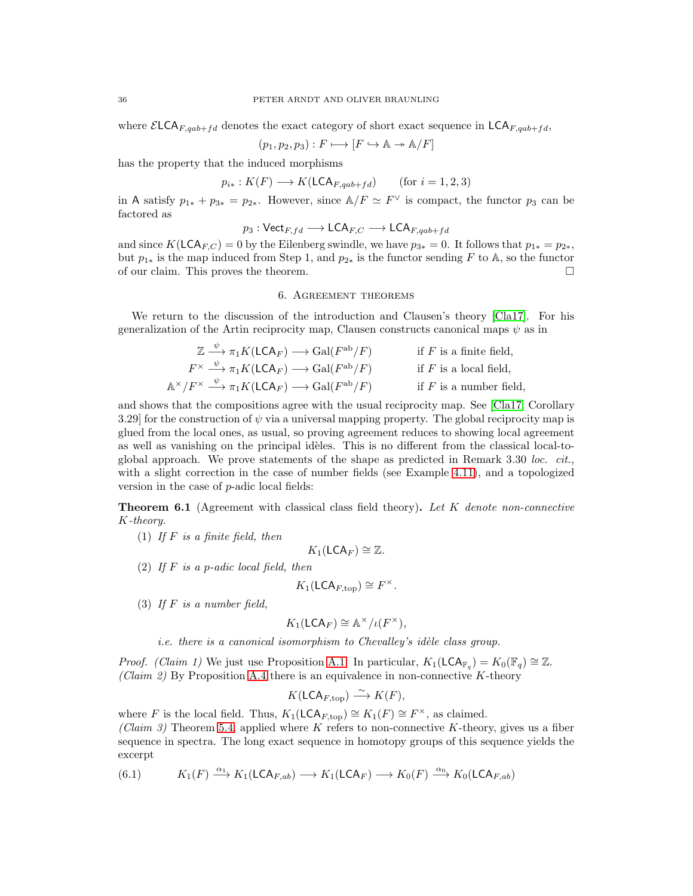where  $\mathcal{E} LCA_{F, aab+fd}$  denotes the exact category of short exact sequence in  $LCA_{F, aab+fd}$ .

$$
(p_1, p_2, p_3) : F \longmapsto [F \hookrightarrow \mathbb{A} \twoheadrightarrow \mathbb{A}/F]
$$

has the property that the induced morphisms

$$
p_{i*}: K(F) \longrightarrow K(\mathsf{LCA}_{F,qab+fd}) \qquad \text{(for } i = 1, 2, 3)
$$

in A satisfy  $p_{1*} + p_{3*} = p_{2*}$ . However, since  $\mathbb{A}/F \simeq F^{\vee}$  is compact, the functor  $p_3$  can be factored as

$$
p_3: {\sf Vect}_{F,fd} \longrightarrow {\sf LCA}_{F,C} \longrightarrow {\sf LCA}_{F,qab+fd}
$$

and since  $K(\mathsf{LCA}_{F,C}) = 0$  by the Eilenberg swindle, we have  $p_{3*} = 0$ . It follows that  $p_{1*} = p_{2*}$ , but  $p_{1*}$  is the map induced from Step 1, and  $p_{2*}$  is the functor sending F to A, so the functor of our claim. This proves the theorem.

## 6. Agreement theorems

We return to the discussion of the introduction and Clausen's theory [\[Cla17\]](#page-39-0). For his generalization of the Artin reciprocity map, Clausen constructs canonical maps  $\psi$  as in

$$
\mathbb{Z} \xrightarrow{\psi} \pi_1 K(\mathsf{LCA}_F) \longrightarrow \mathrm{Gal}(F^{\mathrm{ab}}/F) \qquad \text{if } F \text{ is a finite field,}
$$
\n
$$
F^{\times} \xrightarrow{\psi} \pi_1 K(\mathsf{LCA}_F) \longrightarrow \mathrm{Gal}(F^{\mathrm{ab}}/F) \qquad \text{if } F \text{ is a local field,}
$$
\n
$$
\mathbb{A}^{\times}/F^{\times} \xrightarrow{\psi} \pi_1 K(\mathsf{LCA}_F) \longrightarrow \mathrm{Gal}(F^{\mathrm{ab}}/F) \qquad \text{if } F \text{ is a number field,}
$$

and shows that the compositions agree with the usual reciprocity map. See [\[Cla17,](#page-39-0) Corollary 3.29 for the construction of  $\psi$  via a universal mapping property. The global reciprocity map is glued from the local ones, as usual, so proving agreement reduces to showing local agreement as well as vanishing on the principal idèles. This is no different from the classical local-toglobal approach. We prove statements of the shape as predicted in Remark  $3.30$  loc. cit., with a slight correction in the case of number fields (see Example [4.11\)](#page-30-0), and a topologized version in the case of p-adic local fields:

<span id="page-35-0"></span>**Theorem 6.1** (Agreement with classical class field theory). Let K denote non-connective K-theory.

(1) If  $F$  is a finite field, then

$$
K_1(\mathsf{LCA}_F) \cong \mathbb{Z}.
$$

(2) If  $F$  is a p-adic local field, then

$$
K_1(\mathsf{LCA}_{F,\mathrm{top}}) \cong F^\times.
$$

(3) If  $F$  is a number field,

$$
K_1(\mathsf{LCA}_F) \cong \mathbb{A}^\times/\iota(F^\times),
$$

*i.e.* there is a canonical isomorphism to Chevalley's idèle class group.

*Proof.* (Claim 1) We just use Proposition [A.1.](#page-36-0) In particular,  $K_1(\mathsf{LCA}_{\mathbb{F}_q}) = K_0(\mathbb{F}_q) \cong \mathbb{Z}$ . (Claim 2) By Proposition [A.4](#page-37-0) there is an equivalence in non-connective K-theory

$$
K(\mathsf{LCA}_{F,\mathrm{top}}) \stackrel{\sim}{\longrightarrow} K(F),
$$

where F is the local field. Thus,  $K_1(\mathsf{LCA}_{F,\text{top}}) \cong K_1(F) \cong F^\times$ , as claimed. (Claim 3) Theorem [5.4,](#page-33-0) applied where K refers to non-connective K-theory, gives us a fiber sequence in spectra. The long exact sequence in homotopy groups of this sequence yields the excerpt

<span id="page-35-1"></span>(6.1) 
$$
K_1(F) \xrightarrow{\alpha_1} K_1(\mathsf{LCA}_{F,ab}) \longrightarrow K_1(\mathsf{LCA}_F) \longrightarrow K_0(F) \xrightarrow{\alpha_0} K_0(\mathsf{LCA}_{F,ab})
$$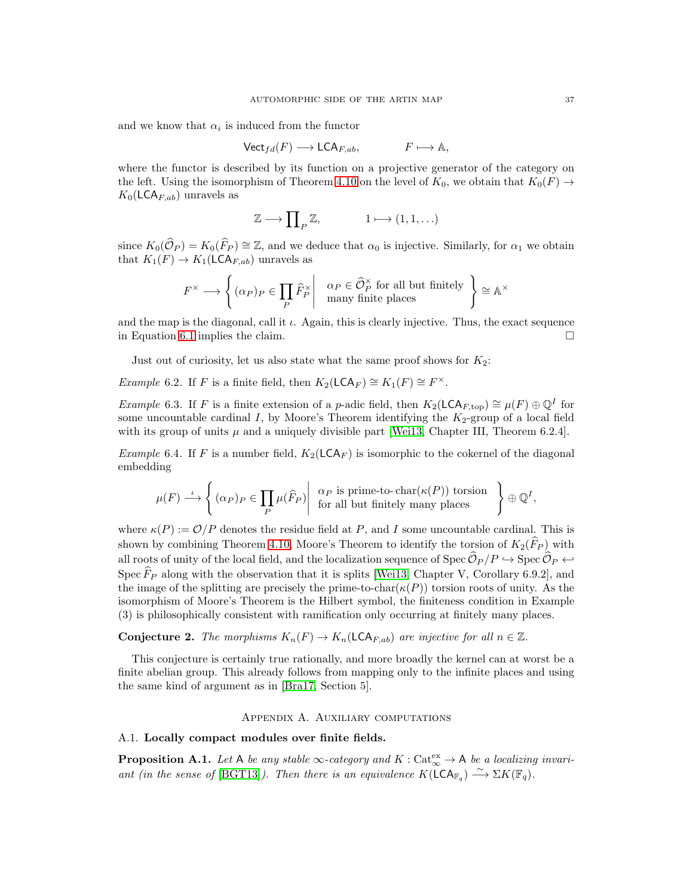and we know that  $\alpha_i$  is induced from the functor

$$
\mathsf{Vect}_{fd}(F) \longrightarrow \mathsf{LCA}_{F,ab}, \qquad F \longmapsto \mathbb{A},
$$

where the functor is described by its function on a projective generator of the category on the left. Using the isomorphism of Theorem [4.10](#page-29-0) on the level of  $K_0$ , we obtain that  $K_0(F) \to$  $K_0(\mathsf{LCA}_{F,ab})$  unravels as

$$
\mathbb{Z} \longrightarrow \prod\nolimits_P \mathbb{Z}, \qquad \qquad 1 \longmapsto (1,1,\ldots)
$$

since  $K_0(\widehat{\mathcal{O}}_P) = K_0(\widehat{F}_P) \cong \mathbb{Z}$ , and we deduce that  $\alpha_0$  is injective. Similarly, for  $\alpha_1$  we obtain that  $K_1(F) \to K_1(\mathsf{LCA}_{F,ab})$  unravels as

$$
F^\times \longrightarrow \left\{ (\alpha_P)_P \in \prod_P \widehat{F}_P^\times \middle| \begin{array}{c} \alpha_P \in \widehat{\mathcal{O}}_P^\times \text{ for all but finitely} \\ \text{many finite places} \end{array} \right\} \cong \mathbb{A}^\times
$$

and the map is the diagonal, call it  $\iota$ . Again, this is clearly injective. Thus, the exact sequence in Equation [6.1](#page-35-1) implies the claim.

Just out of curiosity, let us also state what the same proof shows for  $K_2$ :

Example 6.2. If F is a finite field, then  $K_2(\mathsf{LCA}_F) \cong K_1(F) \cong F^\times$ .

Example 6.3. If F is a finite extension of a p-adic field, then  $K_2(\mathsf{LCA}_{F,\text{top}}) \cong \mu(F) \oplus \mathbb{Q}^I$  for some uncountable cardinal I, by Moore's Theorem identifying the  $K_2$ -group of a local field with its group of units  $\mu$  and a uniquely divisible part [\[Wei13,](#page-39-15) Chapter III, Theorem 6.2.4].

*Example* 6.4. If F is a number field,  $K_2(\mathsf{LCA}_F)$  is isomorphic to the cokernel of the diagonal embedding

$$
\mu(F) \stackrel{\iota}{\longrightarrow} \left\{ (\alpha_P)_P \in \prod_P \mu(\widehat{F}_P) \middle| \begin{array}{c} \alpha_P \text{ is prime-to-char}(\kappa(P)) \text{ torsion} \\ \text{for all but finitely many places} \end{array} \right\} \oplus \mathbb{Q}^I,
$$

where  $\kappa(P) := \mathcal{O}/P$  denotes the residue field at P, and I some uncountable cardinal. This is shown by combining Theorem [4.10,](#page-29-0) Moore's Theorem to identify the torsion of  $K_2(\widehat{F}_P)$  with all roots of unity of the local field, and the localization sequence of Spec  $\widehat{\mathcal{O}}_P/P \hookrightarrow$  Spec  $\widehat{\mathcal{O}}_P \hookleftarrow$ Spec  $\widehat{F}_P$  along with the observation that it is splits [\[Wei13,](#page-39-15) Chapter V, Corollary 6.9.2], and the image of the splitting are precisely the prime-to-char( $\kappa(P)$ ) torsion roots of unity. As the isomorphism of Moore's Theorem is the Hilbert symbol, the finiteness condition in Example (3) is philosophically consistent with ramification only occurring at finitely many places.

**Conjecture 2.** The morphisms  $K_n(F) \to K_n(\mathsf{LCA}_{F,ab})$  are injective for all  $n \in \mathbb{Z}$ .

This conjecture is certainly true rationally, and more broadly the kernel can at worst be a finite abelian group. This already follows from mapping only to the infinite places and using the same kind of argument as in [\[Bra17,](#page-39-2) Section 5].

#### Appendix A. Auxiliary computations

#### A.1. Locally compact modules over finite fields.

<span id="page-36-0"></span>**Proposition A.1.** Let A be any stable  $\infty$ -category and  $K : \text{Cat}_{\infty}^{\text{ex}} \to \mathsf{A}$  be a localizing invari-ant (in the sense of [\[BGT13\]](#page-39-1)). Then there is an equivalence  $K(\widetilde{\mathsf{LCA}}_{\mathbb{F}_q}) \stackrel{\sim}{\longrightarrow} \Sigma K(\mathbb{F}_q)$ .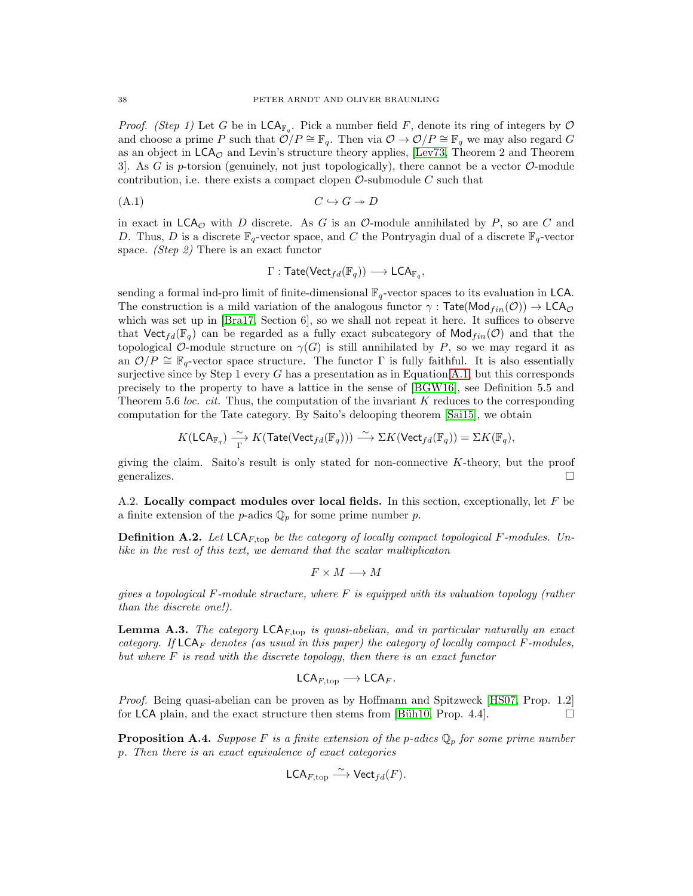*Proof.* (Step 1) Let G be in  $\mathsf{LCA}_{\mathbb{F}_q}$ . Pick a number field F, denote its ring of integers by  $\mathcal O$ and choose a prime P such that  $\mathcal{O}/P \cong \mathbb{F}_q$ . Then via  $\mathcal{O} \to \mathcal{O}/P \cong \mathbb{F}_q$  we may also regard G as an object in  $LCA_{\mathcal{O}}$  and Levin's structure theory applies, [\[Lev73,](#page-39-9) Theorem 2 and Theorem 3. As G is p-torsion (genuinely, not just topologically), there cannot be a vector  $\mathcal{O}\text{-module}$ contribution, i.e. there exists a compact clopen  $\mathcal{O}\text{-submodule }C$  such that

$$
(A.1) \tC \hookrightarrow G \twoheadrightarrow D
$$

in exact in  $\mathsf{LCA}_{\mathcal{O}}$  with D discrete. As G is an  $\mathcal{O}\text{-module annihilated by }P$ , so are C and D. Thus, D is a discrete  $\mathbb{F}_q$ -vector space, and C the Pontryagin dual of a discrete  $\mathbb{F}_q$ -vector space. *(Step 2)* There is an exact functor

<span id="page-37-1"></span>
$$
\Gamma: \mathsf{Tate}(\mathsf{Vect}_{fd}(\mathbb{F}_q)) \longrightarrow \mathsf{LCA}_{\mathbb{F}_q},
$$

sending a formal ind-pro limit of finite-dimensional  $\mathbb{F}_q$ -vector spaces to its evaluation in LCA. The construction is a mild variation of the analogous functor  $\gamma$ : Tate(Mod $_{fin}(\mathcal{O})$ )  $\rightarrow$  LCA $_{\mathcal{O}}$ which was set up in  $[\text{Bra17}, \text{Section 6}]$ , so we shall not repeat it here. It suffices to observe that Vect $_{fd}(\mathbb{F}_q)$  can be regarded as a fully exact subcategory of Mod $_{fin}(\mathcal{O})$  and that the topological O-module structure on  $\gamma(G)$  is still annihilated by P, so we may regard it as an  $\mathcal{O}/P \cong \mathbb{F}_q$ -vector space structure. The functor  $\Gamma$  is fully faithful. It is also essentially surjective since by Step 1 every  $G$  has a presentation as in Equation [A.1,](#page-37-1) but this corresponds precisely to the property to have a lattice in the sense of [\[BGW16\]](#page-39-7), see Definition 5.5 and Theorem 5.6 loc. cit. Thus, the computation of the invariant  $K$  reduces to the corresponding computation for the Tate category. By Saito's delooping theorem [\[Sai15\]](#page-39-20), we obtain

$$
K(\mathsf{LCA}_{\mathbb{F}_q})\xrightarrow[\Gamma]{\sim} K(\mathsf{Tate}(\mathsf{Vect}_{fd}(\mathbb{F}_q)))\xrightarrow{\sim}\Sigma K(\mathsf{Vect}_{fd}(\mathbb{F}_q))=\Sigma K(\mathbb{F}_q),
$$

giving the claim. Saito's result is only stated for non-connective  $K$ -theory, but the proof generalizes.  $\Box$ 

A.2. Locally compact modules over local fields. In this section, exceptionally, let  $F$  be a finite extension of the *p*-adics  $\mathbb{Q}_p$  for some prime number *p*.

**Definition A.2.** Let  $\mathsf{LCA}_{F,\text{top}}$  be the category of locally compact topological F-modules. Unlike in the rest of this text, we demand that the scalar multiplicaton

$$
F \times M \longrightarrow M
$$

gives a topological F-module structure, where  $F$  is equipped with its valuation topology (rather than the discrete one!).

**Lemma A.3.** The category  $\mathsf{LCA}_{F,\text{top}}$  is quasi-abelian, and in particular naturally an exact category. If  $LCA_F$  denotes (as usual in this paper) the category of locally compact F-modules, but where  $F$  is read with the discrete topology, then there is an exact functor

$$
\mathsf{LCA}_{F,\text{top}} \longrightarrow \mathsf{LCA}_F.
$$

*Proof.* Being quasi-abelian can be proven as by Hoffmann and Spitzweck [\[HS07,](#page-39-3) Prop. 1.2] for LCA plain, and the exact structure then stems from [Büh10, Prop. 4.4].

<span id="page-37-0"></span>**Proposition A.4.** Suppose F is a finite extension of the p-adics  $\mathbb{Q}_p$  for some prime number p. Then there is an exact equivalence of exact categories

$$
\mathsf{LCA}_{F,\mathrm{top}} \stackrel{\sim}{\longrightarrow} \mathsf{Vect}_{fd}(F).
$$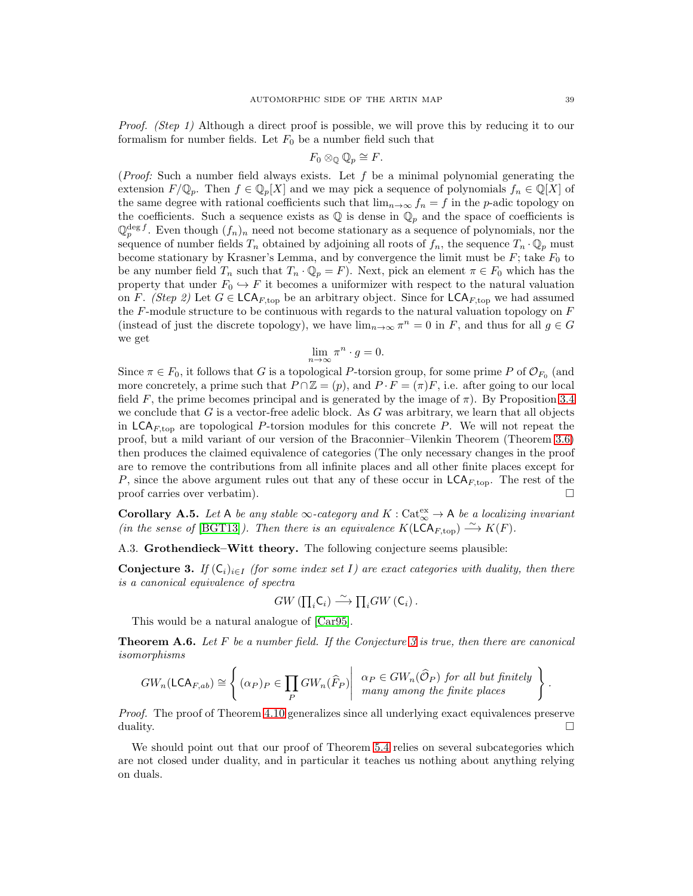Proof. (Step 1) Although a direct proof is possible, we will prove this by reducing it to our formalism for number fields. Let  $F_0$  be a number field such that

$$
F_0 \otimes_{\mathbb{Q}} \mathbb{Q}_p \cong F.
$$

(*Proof:* Such a number field always exists. Let f be a minimal polynomial generating the extension  $F/\mathbb{Q}_p$ . Then  $f \in \mathbb{Q}_p[X]$  and we may pick a sequence of polynomials  $f_n \in \mathbb{Q}[X]$  of the same degree with rational coefficients such that  $\lim_{n\to\infty} f_n = f$  in the p-adic topology on the coefficients. Such a sequence exists as  $\mathbb Q$  is dense in  $\mathbb Q_p$  and the space of coefficients is  $\mathbb{Q}_p^{\deg f}$ . Even though  $(f_n)_n$  need not become stationary as a sequence of polynomials, nor the sequence of number fields  $T_n$  obtained by adjoining all roots of  $f_n$ , the sequence  $T_n \cdot \mathbb{Q}_p$  must become stationary by Krasner's Lemma, and by convergence the limit must be  $F_1$ ; take  $F_0$  to be any number field  $T_n$  such that  $T_n \cdot \mathbb{Q}_p = F$ ). Next, pick an element  $\pi \in F_0$  which has the property that under  $F_0 \hookrightarrow F$  it becomes a uniformizer with respect to the natural valuation on F. (Step 2) Let  $G \in \mathsf{LCA}_{F,\text{top}}$  be an arbitrary object. Since for  $\mathsf{LCA}_{F,\text{top}}$  we had assumed the  $F$ -module structure to be continuous with regards to the natural valuation topology on  $F$ (instead of just the discrete topology), we have  $\lim_{n\to\infty} \pi^n = 0$  in F, and thus for all  $g \in G$ we get

$$
\lim_{n \to \infty} \pi^n \cdot g = 0.
$$

Since  $\pi \in F_0$ , it follows that G is a topological P-torsion group, for some prime P of  $\mathcal{O}_{F_0}$  (and more concretely, a prime such that  $P \cap \mathbb{Z} = (p)$ , and  $P \cdot F = (\pi)F$ , i.e. after going to our local field F, the prime becomes principal and is generated by the image of  $\pi$ ). By Proposition [3.4](#page-21-0) we conclude that  $G$  is a vector-free adelic block. As  $G$  was arbitrary, we learn that all objects in LCA<sub>F,top</sub> are topological P-torsion modules for this concrete P. We will not repeat the proof, but a mild variant of our version of the Braconnier–Vilenkin Theorem (Theorem [3.6\)](#page-22-0) then produces the claimed equivalence of categories (The only necessary changes in the proof are to remove the contributions from all infinite places and all other finite places except for P, since the above argument rules out that any of these occur in  $\mathsf{LCA}_{F,\text{top}}$ . The rest of the proof carries over verbatim).

<span id="page-38-0"></span>**Corollary A.5.** Let A be any stable  $\infty$ -category and  $K : \text{Cat}_{\infty}^{\text{ex}} \to \mathsf{A}$  be a localizing invariant (in the sense of [\[BGT13\]](#page-39-1)). Then there is an equivalence  $K(LCA_{F,\text{top}}) \stackrel{\sim}{\longrightarrow} K(F)$ .

A.3. Grothendieck–Witt theory. The following conjecture seems plausible:

<span id="page-38-1"></span>**Conjecture 3.** If  $(C_i)_{i\in I}$  (for some index set I) are exact categories with duality, then there is a canonical equivalence of spectra

$$
GW \left( \prod_i C_i \right) \stackrel{\sim}{\longrightarrow} \prod_i GW \left( C_i \right).
$$

This would be a natural analogue of [\[Car95\]](#page-39-16).

**Theorem A.6.** Let F be a number field. If the Conjecture [3](#page-38-1) is true, then there are canonical isomorphisms

$$
GW_n(\mathsf{LCA}_{F,ab}) \cong \left\{ (\alpha_P)_P \in \prod_P GW_n(\widehat{F}_P) \middle| \begin{array}{c} \alpha_P \in GW_n(\widehat{\mathcal{O}}_P) \text{ for all but finitely} \\ many among the finite places \end{array} \right\}
$$

Proof. The proof of Theorem [4.10](#page-29-0) generalizes since all underlying exact equivalences preserve duality.  $\Box$ 

We should point out that our proof of Theorem [5.4](#page-33-0) relies on several subcategories which are not closed under duality, and in particular it teaches us nothing about anything relying on duals.

.